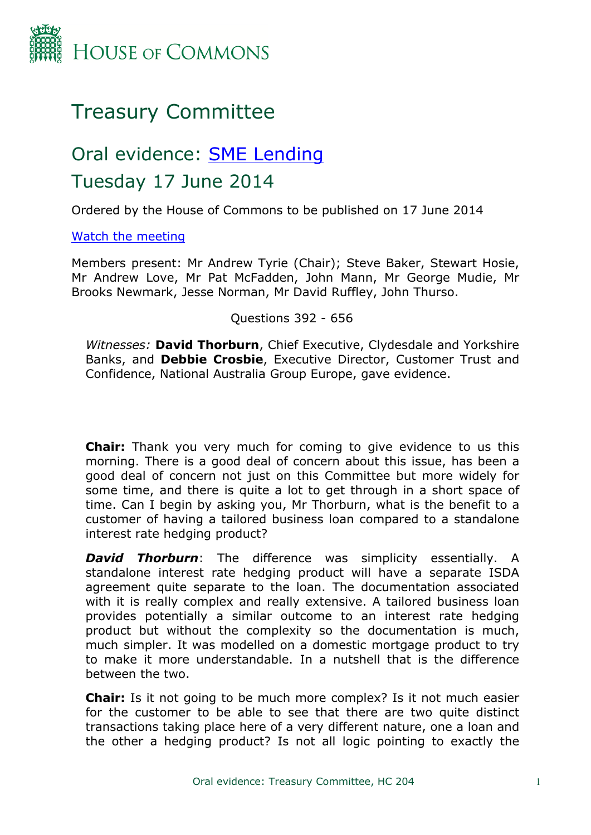

# Treasury Committee

# Oral evidence: [SME](http://www.parliament.uk/business/committees/committees-a-z/commons-select/treasury-committee/inquiries1/parliament-2010/sme-lending/) [Lending](http://www.parliament.uk/business/committees/committees-a-z/commons-select/treasury-committee/inquiries1/parliament-2010/sme-lending/) Tuesday 17 June 2014

Ordered by the House of Commons to be published on 17 June 2014

[Watch](http://www.parliamentlive.tv/main/Player.aspx?meetingId=15555) [the](http://www.parliamentlive.tv/main/Player.aspx?meetingId=15555) [meeting](http://www.parliamentlive.tv/main/Player.aspx?meetingId=15555)

Members present: Mr Andrew Tyrie (Chair); Steve Baker, Stewart Hosie, Mr Andrew Love, Mr Pat McFadden, John Mann, Mr George Mudie, Mr Brooks Newmark, Jesse Norman, Mr David Ruffley, John Thurso.

Questions 392 - 656

*Witnesses:* **David Thorburn**, Chief Executive, Clydesdale and Yorkshire Banks, and **Debbie Crosbie**, Executive Director, Customer Trust and Confidence, National Australia Group Europe, gave evidence.

**Chair:** Thank you very much for coming to give evidence to us this morning. There is a good deal of concern about this issue, has been a good deal of concern not just on this Committee but more widely for some time, and there is quite a lot to get through in a short space of time. Can I begin by asking you, Mr Thorburn, what is the benefit to a customer of having a tailored business loan compared to a standalone interest rate hedging product?

*David Thorburn*: The difference was simplicity essentially. A standalone interest rate hedging product will have a separate ISDA agreement quite separate to the loan. The documentation associated with it is really complex and really extensive. A tailored business loan provides potentially a similar outcome to an interest rate hedging product but without the complexity so the documentation is much, much simpler. It was modelled on a domestic mortgage product to try to make it more understandable. In a nutshell that is the difference between the two.

**Chair:** Is it not going to be much more complex? Is it not much easier for the customer to be able to see that there are two quite distinct transactions taking place here of a very different nature, one a loan and the other a hedging product? Is not all logic pointing to exactly the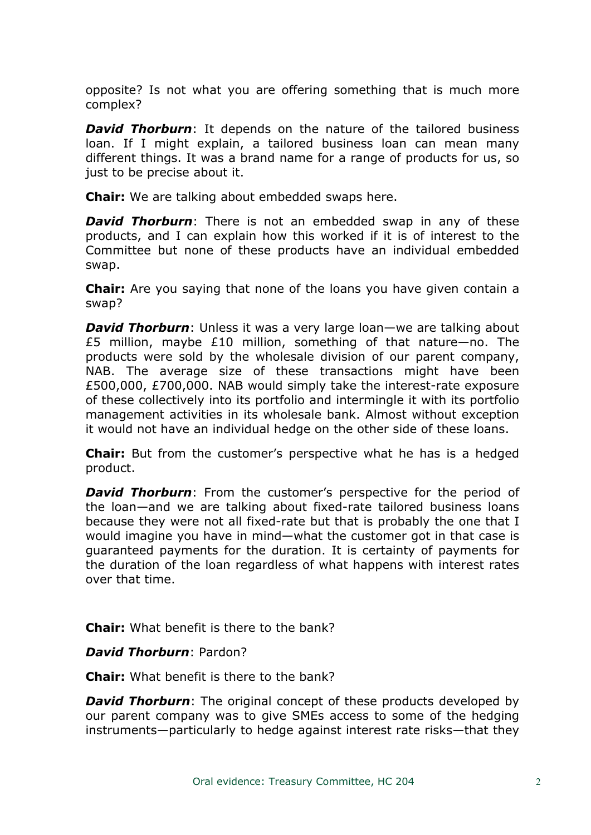opposite? Is not what you are offering something that is much more complex?

*David Thorburn*: It depends on the nature of the tailored business loan. If I might explain, a tailored business loan can mean many different things. It was a brand name for a range of products for us, so just to be precise about it.

**Chair:** We are talking about embedded swaps here.

*David Thorburn*: There is not an embedded swap in any of these products, and I can explain how this worked if it is of interest to the Committee but none of these products have an individual embedded swap.

**Chair:** Are you saying that none of the loans you have given contain a swap?

*David Thorburn*: Unless it was a very large loan—we are talking about £5 million, maybe £10 million, something of that nature—no. The products were sold by the wholesale division of our parent company, NAB. The average size of these transactions might have been £500,000, £700,000. NAB would simply take the interest-rate exposure of these collectively into its portfolio and intermingle it with its portfolio management activities in its wholesale bank. Almost without exception it would not have an individual hedge on the other side of these loans.

**Chair:** But from the customer's perspective what he has is a hedged product.

*David Thorburn*: From the customer's perspective for the period of the loan—and we are talking about fixed-rate tailored business loans because they were not all fixed-rate but that is probably the one that I would imagine you have in mind—what the customer got in that case is guaranteed payments for the duration. It is certainty of payments for the duration of the loan regardless of what happens with interest rates over that time.

**Chair:** What benefit is there to the bank?

*David Thorburn*: Pardon?

**Chair:** What benefit is there to the bank?

*David Thorburn*: The original concept of these products developed by our parent company was to give SMEs access to some of the hedging instruments—particularly to hedge against interest rate risks—that they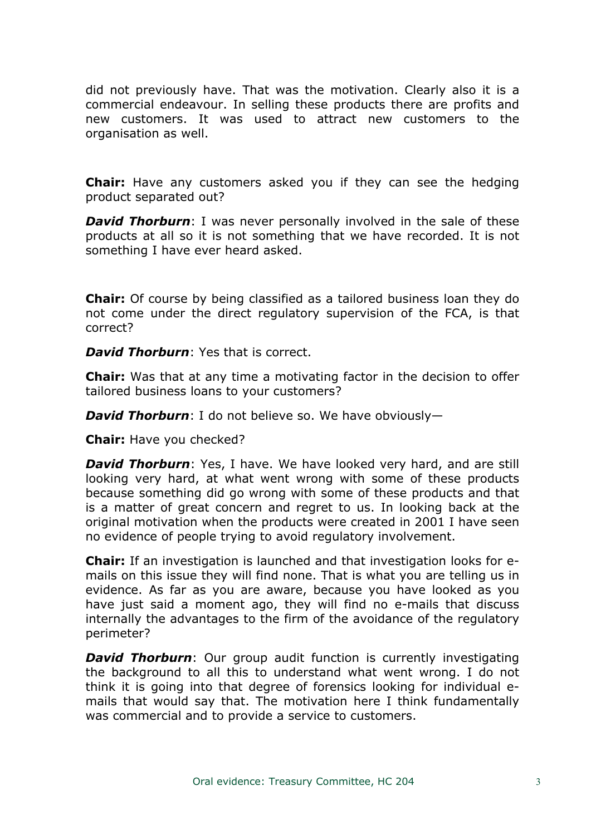did not previously have. That was the motivation. Clearly also it is a commercial endeavour. In selling these products there are profits and new customers. It was used to attract new customers to the organisation as well.

**Chair:** Have any customers asked you if they can see the hedging product separated out?

*David Thorburn*: I was never personally involved in the sale of these products at all so it is not something that we have recorded. It is not something I have ever heard asked.

**Chair:** Of course by being classified as a tailored business loan they do not come under the direct regulatory supervision of the FCA, is that correct?

*David Thorburn*: Yes that is correct.

**Chair:** Was that at any time a motivating factor in the decision to offer tailored business loans to your customers?

*David Thorburn*: I do not believe so. We have obviously—

**Chair:** Have you checked?

*David Thorburn*: Yes, I have. We have looked very hard, and are still looking very hard, at what went wrong with some of these products because something did go wrong with some of these products and that is a matter of great concern and regret to us. In looking back at the original motivation when the products were created in 2001 I have seen no evidence of people trying to avoid regulatory involvement.

**Chair:** If an investigation is launched and that investigation looks for emails on this issue they will find none. That is what you are telling us in evidence. As far as you are aware, because you have looked as you have just said a moment ago, they will find no e-mails that discuss internally the advantages to the firm of the avoidance of the regulatory perimeter?

*David Thorburn:* Our group audit function is currently investigating the background to all this to understand what went wrong. I do not think it is going into that degree of forensics looking for individual emails that would say that. The motivation here I think fundamentally was commercial and to provide a service to customers.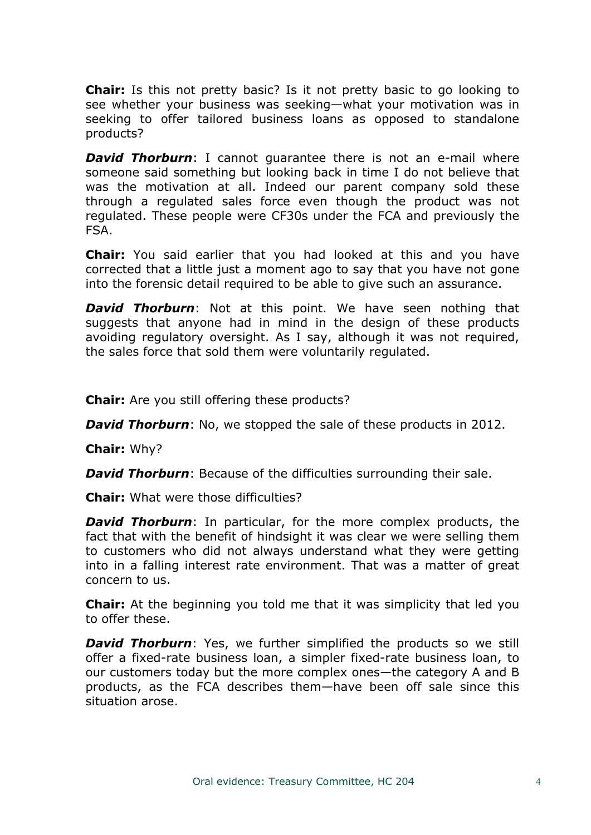**Chair:** Is this not pretty basic? Is it not pretty basic to go looking to see whether your business was seeking—what your motivation was in seeking to offer tailored business loans as opposed to standalone products?

*David Thorburn*: I cannot quarantee there is not an e-mail where someone said something but looking back in time I do not believe that was the motivation at all. Indeed our parent company sold these through a regulated sales force even though the product was not regulated. These people were CF30s under the FCA and previously the FSA.

**Chair:** You said earlier that you had looked at this and you have corrected that a little just a moment ago to say that you have not gone into the forensic detail required to be able to give such an assurance.

*David Thorburn*: Not at this point. We have seen nothing that suggests that anyone had in mind in the design of these products avoiding regulatory oversight. As I say, although it was not required, the sales force that sold them were voluntarily regulated.

**Chair:** Are you still offering these products?

*David Thorburn:* No, we stopped the sale of these products in 2012.

**Chair:** Why?

*David Thorburn*: Because of the difficulties surrounding their sale.

**Chair:** What were those difficulties?

*David Thorburn*: In particular, for the more complex products, the fact that with the benefit of hindsight it was clear we were selling them to customers who did not always understand what they were getting into in a falling interest rate environment. That was a matter of great concern to us.

**Chair:** At the beginning you told me that it was simplicity that led you to offer these.

**David Thorburn**: Yes, we further simplified the products so we still offer a fixed-rate business loan, a simpler fixed-rate business loan, to our customers today but the more complex ones—the category A and B products, as the FCA describes them—have been off sale since this situation arose.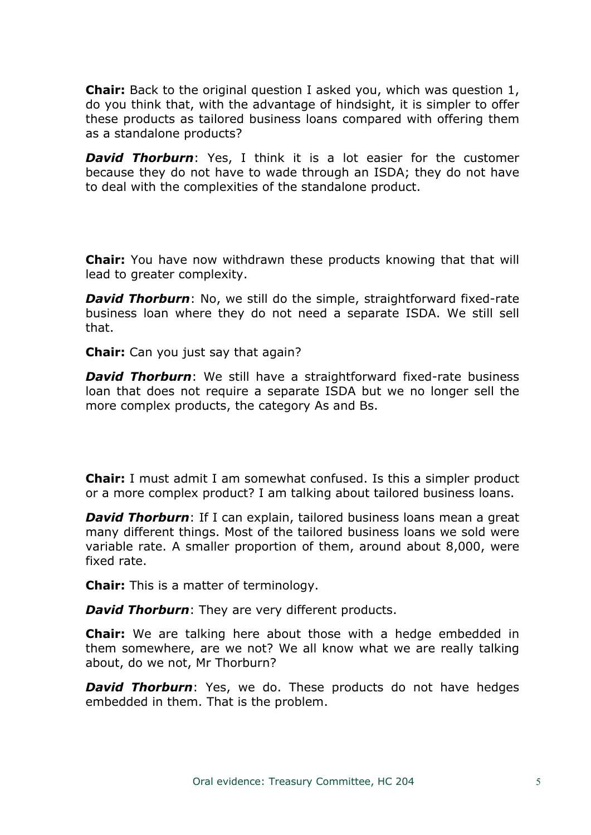**Chair:** Back to the original question I asked you, which was question 1, do you think that, with the advantage of hindsight, it is simpler to offer these products as tailored business loans compared with offering them as a standalone products?

*David Thorburn*: Yes, I think it is a lot easier for the customer because they do not have to wade through an ISDA; they do not have to deal with the complexities of the standalone product.

**Chair:** You have now withdrawn these products knowing that that will lead to greater complexity.

*David Thorburn*: No, we still do the simple, straightforward fixed-rate business loan where they do not need a separate ISDA. We still sell that.

**Chair:** Can you just say that again?

*David Thorburn*: We still have a straightforward fixed-rate business loan that does not require a separate ISDA but we no longer sell the more complex products, the category As and Bs.

**Chair:** I must admit I am somewhat confused. Is this a simpler product or a more complex product? I am talking about tailored business loans.

*David Thorburn*: If I can explain, tailored business loans mean a great many different things. Most of the tailored business loans we sold were variable rate. A smaller proportion of them, around about 8,000, were fixed rate.

**Chair:** This is a matter of terminology.

*David Thorburn*: They are very different products.

**Chair:** We are talking here about those with a hedge embedded in them somewhere, are we not? We all know what we are really talking about, do we not, Mr Thorburn?

*David Thorburn*: Yes, we do. These products do not have hedges embedded in them. That is the problem.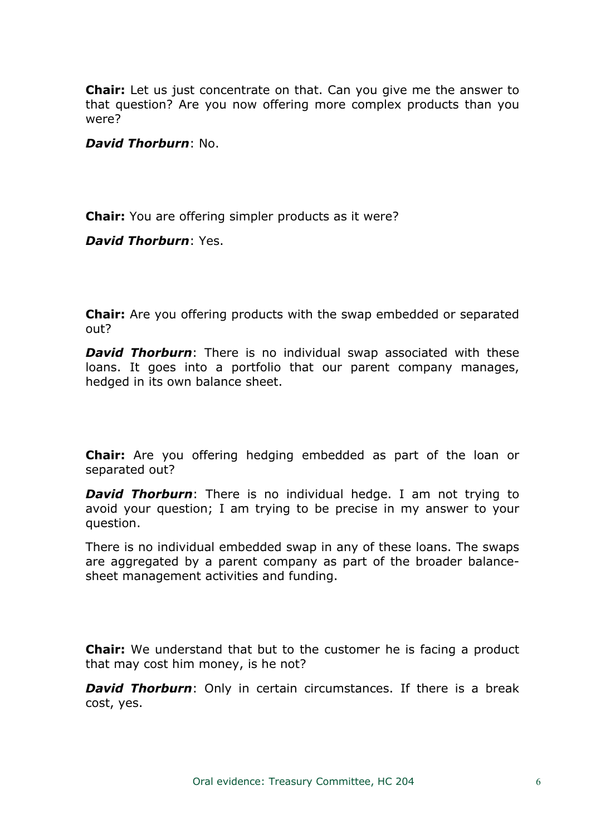**Chair:** Let us just concentrate on that. Can you give me the answer to that question? Are you now offering more complex products than you were?

*David Thorburn*: No.

**Chair:** You are offering simpler products as it were?

*David Thorburn*: Yes.

**Chair:** Are you offering products with the swap embedded or separated out?

*David Thorburn*: There is no individual swap associated with these loans. It goes into a portfolio that our parent company manages, hedged in its own balance sheet.

**Chair:** Are you offering hedging embedded as part of the loan or separated out?

*David Thorburn*: There is no individual hedge. I am not trying to avoid your question; I am trying to be precise in my answer to your question.

There is no individual embedded swap in any of these loans. The swaps are aggregated by a parent company as part of the broader balancesheet management activities and funding.

**Chair:** We understand that but to the customer he is facing a product that may cost him money, is he not?

*David Thorburn:* Only in certain circumstances. If there is a break cost, yes.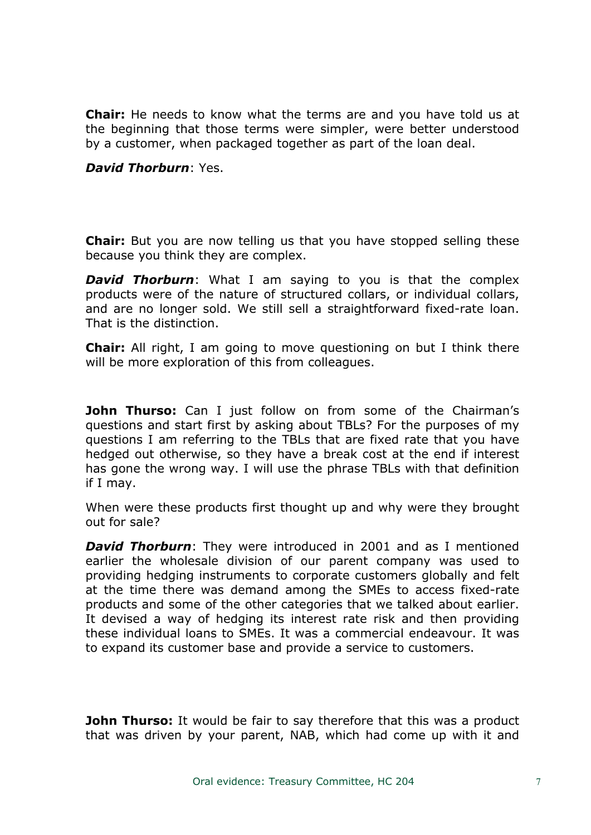**Chair:** He needs to know what the terms are and you have told us at the beginning that those terms were simpler, were better understood by a customer, when packaged together as part of the loan deal.

#### *David Thorburn*: Yes.

**Chair:** But you are now telling us that you have stopped selling these because you think they are complex.

*David Thorburn*: What I am saying to you is that the complex products were of the nature of structured collars, or individual collars, and are no longer sold. We still sell a straightforward fixed-rate loan. That is the distinction.

**Chair:** All right, I am going to move questioning on but I think there will be more exploration of this from colleagues.

**John Thurso:** Can I just follow on from some of the Chairman's questions and start first by asking about TBLs? For the purposes of my questions I am referring to the TBLs that are fixed rate that you have hedged out otherwise, so they have a break cost at the end if interest has gone the wrong way. I will use the phrase TBLs with that definition if I may.

When were these products first thought up and why were they brought out for sale?

*David Thorburn*: They were introduced in 2001 and as I mentioned earlier the wholesale division of our parent company was used to providing hedging instruments to corporate customers globally and felt at the time there was demand among the SMEs to access fixed-rate products and some of the other categories that we talked about earlier. It devised a way of hedging its interest rate risk and then providing these individual loans to SMEs. It was a commercial endeavour. It was to expand its customer base and provide a service to customers.

**John Thurso:** It would be fair to say therefore that this was a product that was driven by your parent, NAB, which had come up with it and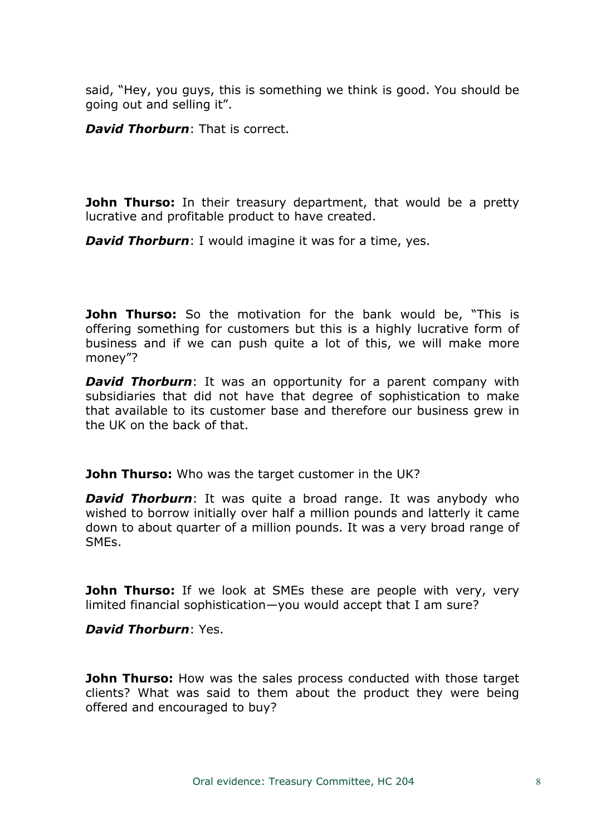said, "Hey, you guys, this is something we think is good. You should be going out and selling it".

*David Thorburn*: That is correct.

**John Thurso:** In their treasury department, that would be a pretty lucrative and profitable product to have created.

*David Thorburn*: I would imagine it was for a time, yes.

**John Thurso:** So the motivation for the bank would be, "This is offering something for customers but this is a highly lucrative form of business and if we can push quite a lot of this, we will make more money"?

**David Thorburn**: It was an opportunity for a parent company with subsidiaries that did not have that degree of sophistication to make that available to its customer base and therefore our business grew in the UK on the back of that.

**John Thurso:** Who was the target customer in the UK?

*David Thorburn*: It was quite a broad range. It was anybody who wished to borrow initially over half a million pounds and latterly it came down to about quarter of a million pounds. It was a very broad range of SMEs.

**John Thurso:** If we look at SMEs these are people with very, very limited financial sophistication—you would accept that I am sure?

*David Thorburn*: Yes.

**John Thurso:** How was the sales process conducted with those target clients? What was said to them about the product they were being offered and encouraged to buy?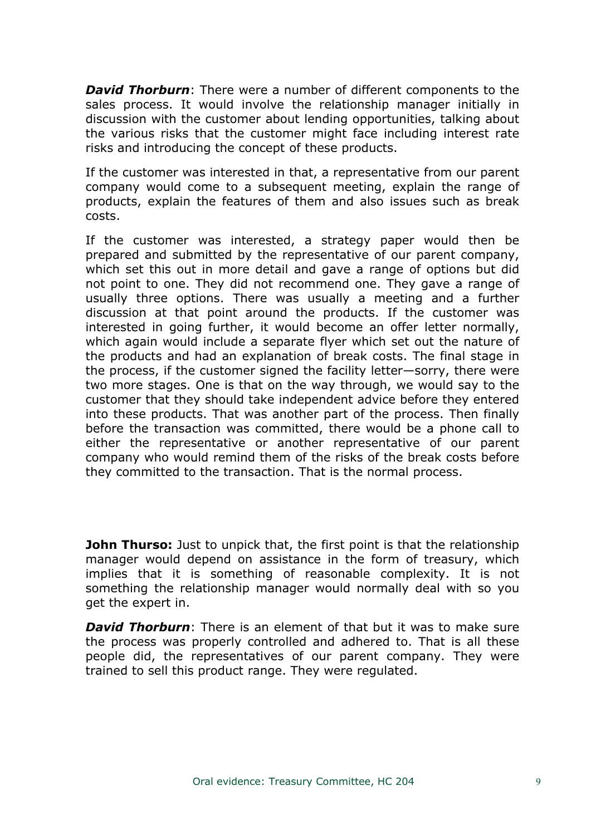*David Thorburn*: There were a number of different components to the sales process. It would involve the relationship manager initially in discussion with the customer about lending opportunities, talking about the various risks that the customer might face including interest rate risks and introducing the concept of these products.

If the customer was interested in that, a representative from our parent company would come to a subsequent meeting, explain the range of products, explain the features of them and also issues such as break costs.

If the customer was interested, a strategy paper would then be prepared and submitted by the representative of our parent company, which set this out in more detail and gave a range of options but did not point to one. They did not recommend one. They gave a range of usually three options. There was usually a meeting and a further discussion at that point around the products. If the customer was interested in going further, it would become an offer letter normally, which again would include a separate flyer which set out the nature of the products and had an explanation of break costs. The final stage in the process, if the customer signed the facility letter—sorry, there were two more stages. One is that on the way through, we would say to the customer that they should take independent advice before they entered into these products. That was another part of the process. Then finally before the transaction was committed, there would be a phone call to either the representative or another representative of our parent company who would remind them of the risks of the break costs before they committed to the transaction. That is the normal process.

**John Thurso:** Just to unpick that, the first point is that the relationship manager would depend on assistance in the form of treasury, which implies that it is something of reasonable complexity. It is not something the relationship manager would normally deal with so you get the expert in.

*David Thorburn*: There is an element of that but it was to make sure the process was properly controlled and adhered to. That is all these people did, the representatives of our parent company. They were trained to sell this product range. They were regulated.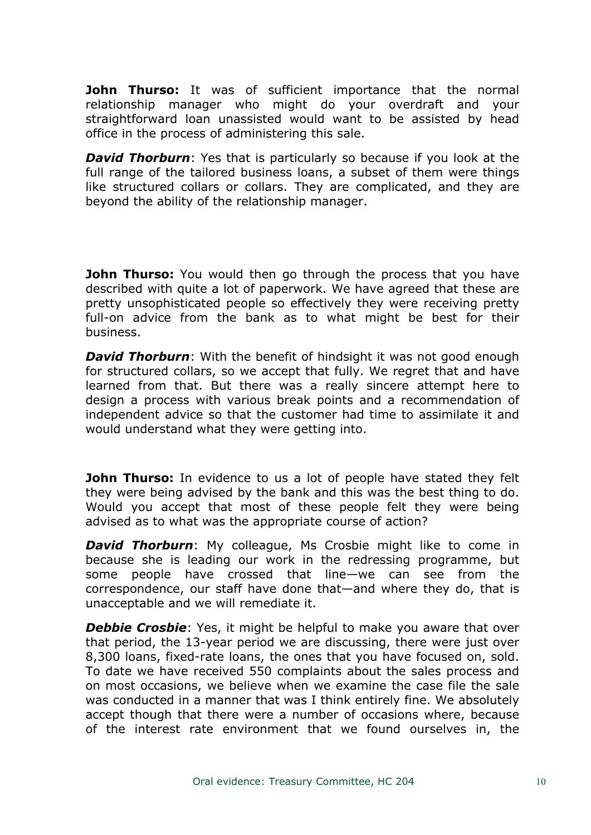**John Thurso:** It was of sufficient importance that the normal relationship manager who might do your overdraft and your straightforward loan unassisted would want to be assisted by head office in the process of administering this sale.

*David Thorburn*: Yes that is particularly so because if you look at the full range of the tailored business loans, a subset of them were things like structured collars or collars. They are complicated, and they are beyond the ability of the relationship manager.

**John Thurso:** You would then go through the process that you have described with quite a lot of paperwork. We have agreed that these are pretty unsophisticated people so effectively they were receiving pretty full-on advice from the bank as to what might be best for their business.

*David Thorburn*: With the benefit of hindsight it was not good enough for structured collars, so we accept that fully. We regret that and have learned from that. But there was a really sincere attempt here to design a process with various break points and a recommendation of independent advice so that the customer had time to assimilate it and would understand what they were getting into.

**John Thurso:** In evidence to us a lot of people have stated they felt they were being advised by the bank and this was the best thing to do. Would you accept that most of these people felt they were being advised as to what was the appropriate course of action?

**David Thorburn:** My colleague, Ms Crosbie might like to come in because she is leading our work in the redressing programme, but some people have crossed that line—we can see from the correspondence, our staff have done that—and where they do, that is unacceptable and we will remediate it.

*Debbie Crosbie*: Yes, it might be helpful to make you aware that over that period, the 13-year period we are discussing, there were just over 8,300 loans, fixed-rate loans, the ones that you have focused on, sold. To date we have received 550 complaints about the sales process and on most occasions, we believe when we examine the case file the sale was conducted in a manner that was I think entirely fine. We absolutely accept though that there were a number of occasions where, because of the interest rate environment that we found ourselves in, the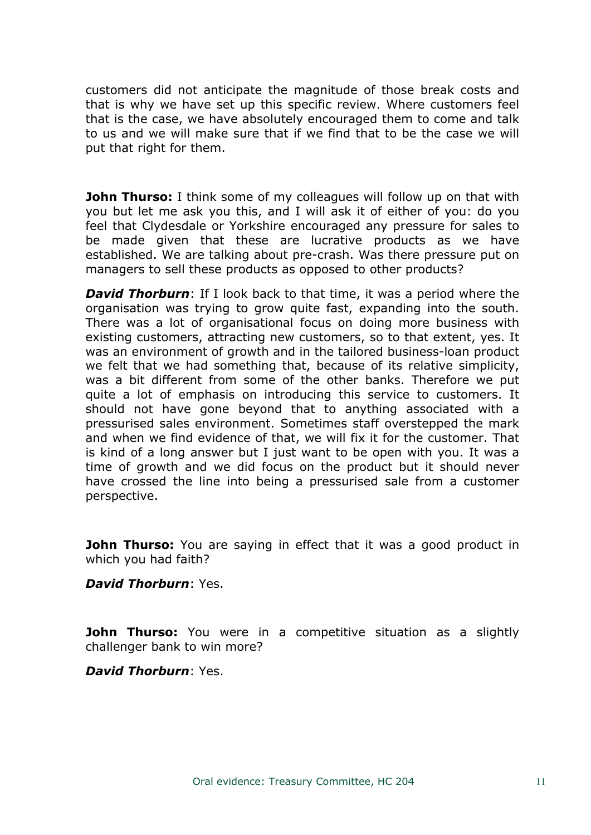customers did not anticipate the magnitude of those break costs and that is why we have set up this specific review. Where customers feel that is the case, we have absolutely encouraged them to come and talk to us and we will make sure that if we find that to be the case we will put that right for them.

**John Thurso:** I think some of my colleagues will follow up on that with you but let me ask you this, and I will ask it of either of you: do you feel that Clydesdale or Yorkshire encouraged any pressure for sales to be made given that these are lucrative products as we have established. We are talking about pre-crash. Was there pressure put on managers to sell these products as opposed to other products?

*David Thorburn*: If I look back to that time, it was a period where the organisation was trying to grow quite fast, expanding into the south. There was a lot of organisational focus on doing more business with existing customers, attracting new customers, so to that extent, yes. It was an environment of growth and in the tailored business-loan product we felt that we had something that, because of its relative simplicity, was a bit different from some of the other banks. Therefore we put quite a lot of emphasis on introducing this service to customers. It should not have gone beyond that to anything associated with a pressurised sales environment. Sometimes staff overstepped the mark and when we find evidence of that, we will fix it for the customer. That is kind of a long answer but I just want to be open with you. It was a time of growth and we did focus on the product but it should never have crossed the line into being a pressurised sale from a customer perspective.

**John Thurso:** You are saying in effect that it was a good product in which you had faith?

# *David Thorburn*: Yes.

**John Thurso:** You were in a competitive situation as a slightly challenger bank to win more?

# *David Thorburn*: Yes.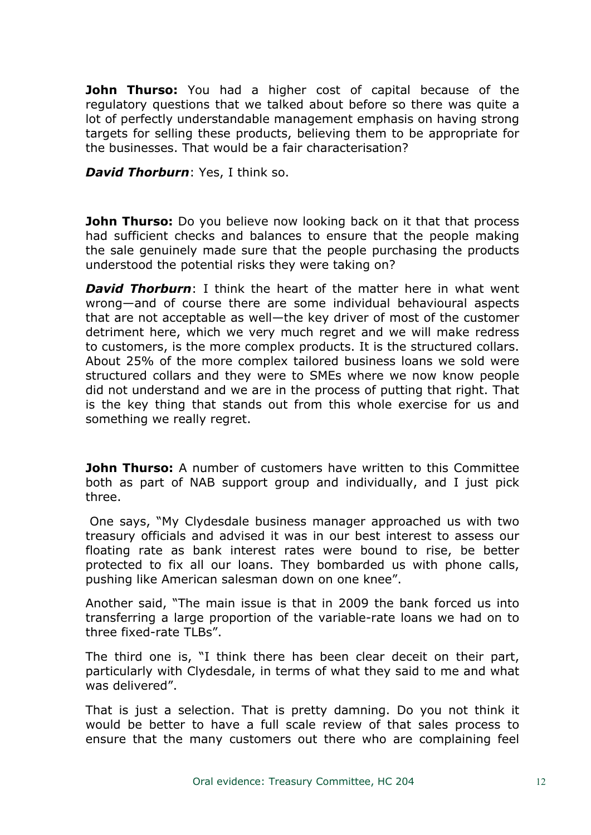**John Thurso:** You had a higher cost of capital because of the regulatory questions that we talked about before so there was quite a lot of perfectly understandable management emphasis on having strong targets for selling these products, believing them to be appropriate for the businesses. That would be a fair characterisation?

*David Thorburn*: Yes, I think so.

**John Thurso:** Do you believe now looking back on it that that process had sufficient checks and balances to ensure that the people making the sale genuinely made sure that the people purchasing the products understood the potential risks they were taking on?

*David Thorburn*: I think the heart of the matter here in what went wrong—and of course there are some individual behavioural aspects that are not acceptable as well—the key driver of most of the customer detriment here, which we very much regret and we will make redress to customers, is the more complex products. It is the structured collars. About 25% of the more complex tailored business loans we sold were structured collars and they were to SMEs where we now know people did not understand and we are in the process of putting that right. That is the key thing that stands out from this whole exercise for us and something we really regret.

**John Thurso:** A number of customers have written to this Committee both as part of NAB support group and individually, and I just pick three.

One says, "My Clydesdale business manager approached us with two treasury officials and advised it was in our best interest to assess our floating rate as bank interest rates were bound to rise, be better protected to fix all our loans. They bombarded us with phone calls, pushing like American salesman down on one knee".

Another said, "The main issue is that in 2009 the bank forced us into transferring a large proportion of the variable-rate loans we had on to three fixed-rate TLBs".

The third one is, "I think there has been clear deceit on their part, particularly with Clydesdale, in terms of what they said to me and what was delivered".

That is just a selection. That is pretty damning. Do you not think it would be better to have a full scale review of that sales process to ensure that the many customers out there who are complaining feel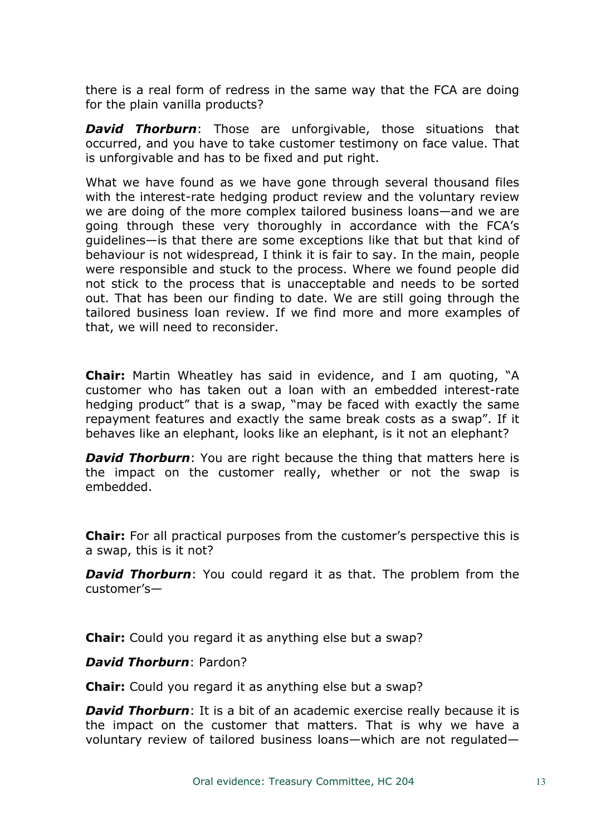there is a real form of redress in the same way that the FCA are doing for the plain vanilla products?

*David Thorburn*: Those are unforgivable, those situations that occurred, and you have to take customer testimony on face value. That is unforgivable and has to be fixed and put right.

What we have found as we have gone through several thousand files with the interest-rate hedging product review and the voluntary review we are doing of the more complex tailored business loans—and we are going through these very thoroughly in accordance with the FCA's guidelines—is that there are some exceptions like that but that kind of behaviour is not widespread, I think it is fair to say. In the main, people were responsible and stuck to the process. Where we found people did not stick to the process that is unacceptable and needs to be sorted out. That has been our finding to date. We are still going through the tailored business loan review. If we find more and more examples of that, we will need to reconsider.

**Chair:** Martin Wheatley has said in evidence, and I am quoting, "A customer who has taken out a loan with an embedded interest-rate hedging product" that is a swap, "may be faced with exactly the same repayment features and exactly the same break costs as a swap". If it behaves like an elephant, looks like an elephant, is it not an elephant?

*David Thorburn:* You are right because the thing that matters here is the impact on the customer really, whether or not the swap is embedded.

**Chair:** For all practical purposes from the customer's perspective this is a swap, this is it not?

*David Thorburn:* You could regard it as that. The problem from the customer's—

**Chair:** Could you regard it as anything else but a swap?

# *David Thorburn*: Pardon?

**Chair:** Could you regard it as anything else but a swap?

*David Thorburn*: It is a bit of an academic exercise really because it is the impact on the customer that matters. That is why we have a voluntary review of tailored business loans—which are not regulated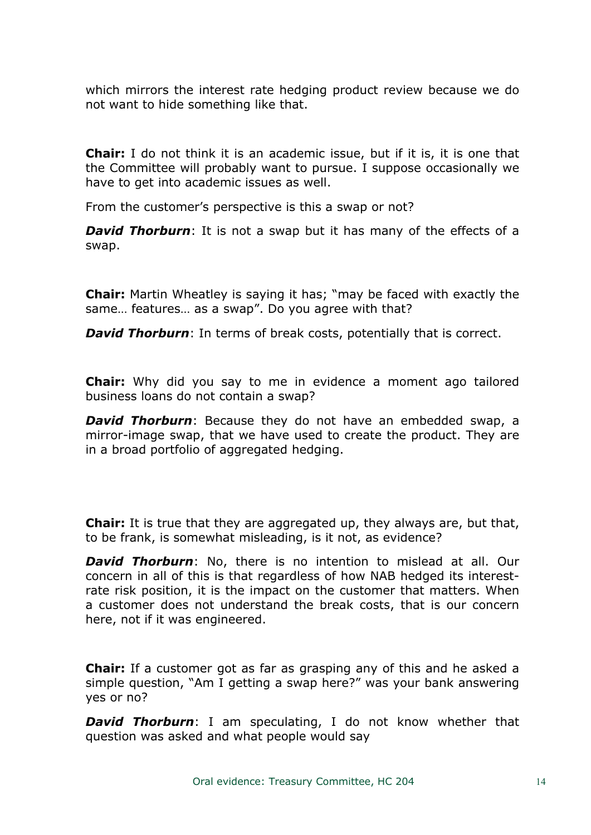which mirrors the interest rate hedging product review because we do not want to hide something like that.

**Chair:** I do not think it is an academic issue, but if it is, it is one that the Committee will probably want to pursue. I suppose occasionally we have to get into academic issues as well.

From the customer's perspective is this a swap or not?

*David Thorburn*: It is not a swap but it has many of the effects of a swap.

**Chair:** Martin Wheatley is saying it has; "may be faced with exactly the same… features… as a swap". Do you agree with that?

*David Thorburn*: In terms of break costs, potentially that is correct.

**Chair:** Why did you say to me in evidence a moment ago tailored business loans do not contain a swap?

*David Thorburn*: Because they do not have an embedded swap, a mirror-image swap, that we have used to create the product. They are in a broad portfolio of aggregated hedging.

**Chair:** It is true that they are aggregated up, they always are, but that, to be frank, is somewhat misleading, is it not, as evidence?

*David Thorburn*: No, there is no intention to mislead at all. Our concern in all of this is that regardless of how NAB hedged its interestrate risk position, it is the impact on the customer that matters. When a customer does not understand the break costs, that is our concern here, not if it was engineered.

**Chair:** If a customer got as far as grasping any of this and he asked a simple question, "Am I getting a swap here?" was your bank answering yes or no?

*David Thorburn*: I am speculating, I do not know whether that question was asked and what people would say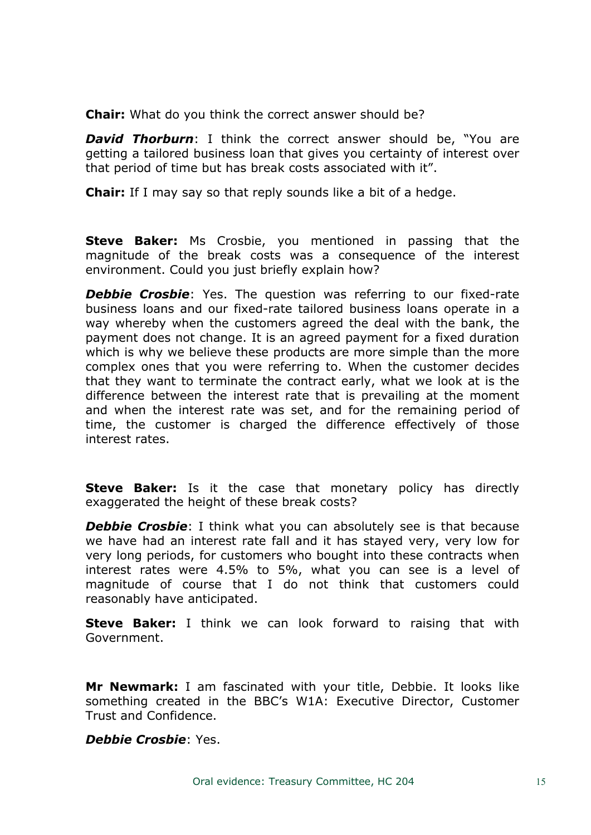**Chair:** What do you think the correct answer should be?

*David Thorburn*: I think the correct answer should be, "You are getting a tailored business loan that gives you certainty of interest over that period of time but has break costs associated with it".

**Chair:** If I may say so that reply sounds like a bit of a hedge.

**Steve Baker:** Ms Crosbie, you mentioned in passing that the magnitude of the break costs was a consequence of the interest environment. Could you just briefly explain how?

**Debbie Crosbie**: Yes. The question was referring to our fixed-rate business loans and our fixed-rate tailored business loans operate in a way whereby when the customers agreed the deal with the bank, the payment does not change. It is an agreed payment for a fixed duration which is why we believe these products are more simple than the more complex ones that you were referring to. When the customer decides that they want to terminate the contract early, what we look at is the difference between the interest rate that is prevailing at the moment and when the interest rate was set, and for the remaining period of time, the customer is charged the difference effectively of those interest rates.

**Steve Baker:** Is it the case that monetary policy has directly exaggerated the height of these break costs?

*Debbie Crosbie*: I think what you can absolutely see is that because we have had an interest rate fall and it has stayed very, very low for very long periods, for customers who bought into these contracts when interest rates were 4.5% to 5%, what you can see is a level of magnitude of course that I do not think that customers could reasonably have anticipated.

**Steve Baker:** I think we can look forward to raising that with Government.

**Mr Newmark:** I am fascinated with your title, Debbie. It looks like something created in the BBC's W1A: Executive Director, Customer Trust and Confidence.

*Debbie Crosbie*: Yes.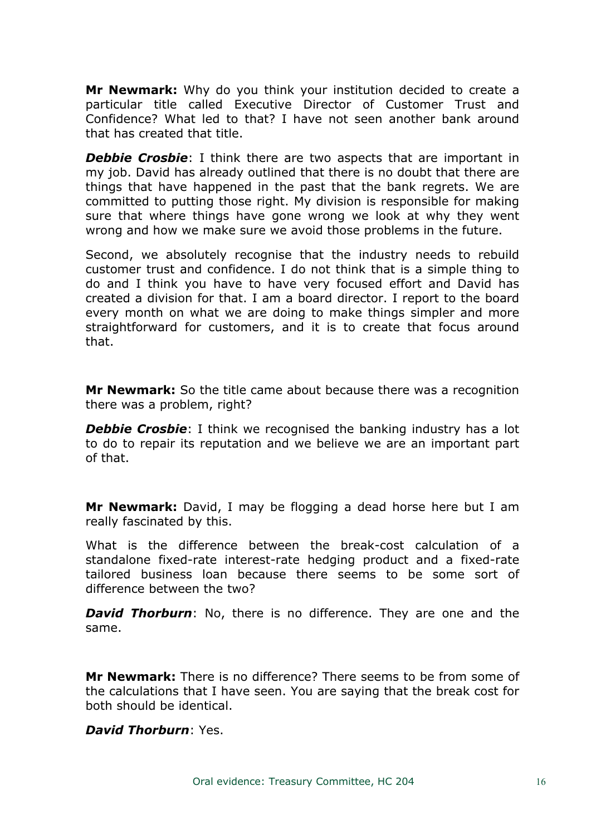**Mr Newmark:** Why do you think your institution decided to create a particular title called Executive Director of Customer Trust and Confidence? What led to that? I have not seen another bank around that has created that title.

*Debbie Crosbie*: I think there are two aspects that are important in my job. David has already outlined that there is no doubt that there are things that have happened in the past that the bank regrets. We are committed to putting those right. My division is responsible for making sure that where things have gone wrong we look at why they went wrong and how we make sure we avoid those problems in the future.

Second, we absolutely recognise that the industry needs to rebuild customer trust and confidence. I do not think that is a simple thing to do and I think you have to have very focused effort and David has created a division for that. I am a board director. I report to the board every month on what we are doing to make things simpler and more straightforward for customers, and it is to create that focus around that.

**Mr Newmark:** So the title came about because there was a recognition there was a problem, right?

**Debbie Crosbie**: I think we recognised the banking industry has a lot to do to repair its reputation and we believe we are an important part of that.

**Mr Newmark:** David, I may be flogging a dead horse here but I am really fascinated by this.

What is the difference between the break-cost calculation of a standalone fixed-rate interest-rate hedging product and a fixed-rate tailored business loan because there seems to be some sort of difference between the two?

*David Thorburn*: No, there is no difference. They are one and the same.

**Mr Newmark:** There is no difference? There seems to be from some of the calculations that I have seen. You are saying that the break cost for both should be identical.

#### *David Thorburn*: Yes.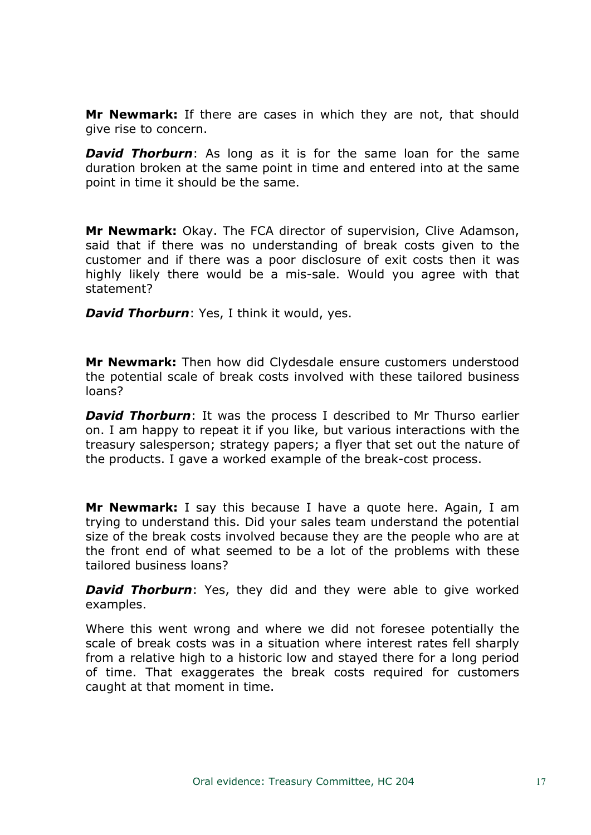**Mr Newmark:** If there are cases in which they are not, that should give rise to concern.

*David Thorburn*: As long as it is for the same loan for the same duration broken at the same point in time and entered into at the same point in time it should be the same.

**Mr Newmark:** Okay. The FCA director of supervision, Clive Adamson, said that if there was no understanding of break costs given to the customer and if there was a poor disclosure of exit costs then it was highly likely there would be a mis-sale. Would you agree with that statement?

*David Thorburn*: Yes, I think it would, yes.

**Mr Newmark:** Then how did Clydesdale ensure customers understood the potential scale of break costs involved with these tailored business loans?

*David Thorburn*: It was the process I described to Mr Thurso earlier on. I am happy to repeat it if you like, but various interactions with the treasury salesperson; strategy papers; a flyer that set out the nature of the products. I gave a worked example of the break-cost process.

**Mr Newmark:** I say this because I have a quote here. Again, I am trying to understand this. Did your sales team understand the potential size of the break costs involved because they are the people who are at the front end of what seemed to be a lot of the problems with these tailored business loans?

*David Thorburn*: Yes, they did and they were able to give worked examples.

Where this went wrong and where we did not foresee potentially the scale of break costs was in a situation where interest rates fell sharply from a relative high to a historic low and stayed there for a long period of time. That exaggerates the break costs required for customers caught at that moment in time.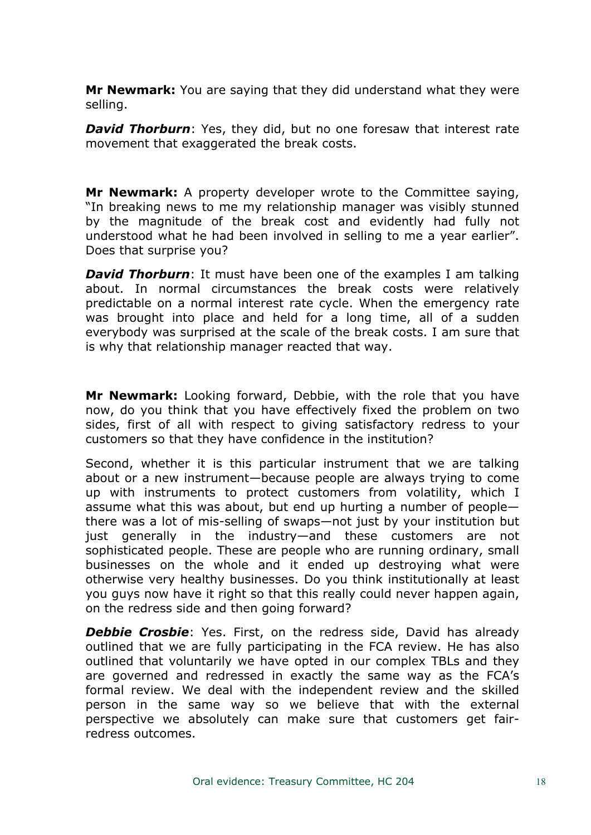**Mr Newmark:** You are saying that they did understand what they were selling.

*David Thorburn*: Yes, they did, but no one foresaw that interest rate movement that exaggerated the break costs.

**Mr Newmark:** A property developer wrote to the Committee saying, "In breaking news to me my relationship manager was visibly stunned by the magnitude of the break cost and evidently had fully not understood what he had been involved in selling to me a year earlier". Does that surprise you?

*David Thorburn*: It must have been one of the examples I am talking about. In normal circumstances the break costs were relatively predictable on a normal interest rate cycle. When the emergency rate was brought into place and held for a long time, all of a sudden everybody was surprised at the scale of the break costs. I am sure that is why that relationship manager reacted that way.

**Mr Newmark:** Looking forward, Debbie, with the role that you have now, do you think that you have effectively fixed the problem on two sides, first of all with respect to giving satisfactory redress to your customers so that they have confidence in the institution?

Second, whether it is this particular instrument that we are talking about or a new instrument—because people are always trying to come up with instruments to protect customers from volatility, which I assume what this was about, but end up hurting a number of people there was a lot of mis-selling of swaps—not just by your institution but just generally in the industry—and these customers are not sophisticated people. These are people who are running ordinary, small businesses on the whole and it ended up destroying what were otherwise very healthy businesses. Do you think institutionally at least you guys now have it right so that this really could never happen again, on the redress side and then going forward?

**Debbie Crosbie:** Yes. First, on the redress side, David has already outlined that we are fully participating in the FCA review. He has also outlined that voluntarily we have opted in our complex TBLs and they are governed and redressed in exactly the same way as the FCA's formal review. We deal with the independent review and the skilled person in the same way so we believe that with the external perspective we absolutely can make sure that customers get fairredress outcomes.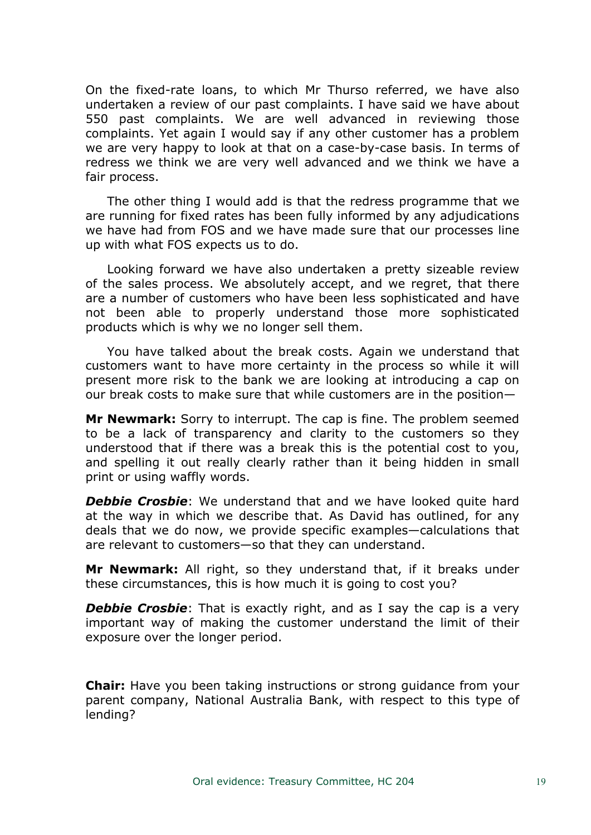On the fixed-rate loans, to which Mr Thurso referred, we have also undertaken a review of our past complaints. I have said we have about 550 past complaints. We are well advanced in reviewing those complaints. Yet again I would say if any other customer has a problem we are very happy to look at that on a case-by-case basis. In terms of redress we think we are very well advanced and we think we have a fair process.

The other thing I would add is that the redress programme that we are running for fixed rates has been fully informed by any adjudications we have had from FOS and we have made sure that our processes line up with what FOS expects us to do.

Looking forward we have also undertaken a pretty sizeable review of the sales process. We absolutely accept, and we regret, that there are a number of customers who have been less sophisticated and have not been able to properly understand those more sophisticated products which is why we no longer sell them.

You have talked about the break costs. Again we understand that customers want to have more certainty in the process so while it will present more risk to the bank we are looking at introducing a cap on our break costs to make sure that while customers are in the position—

**Mr Newmark:** Sorry to interrupt. The cap is fine. The problem seemed to be a lack of transparency and clarity to the customers so they understood that if there was a break this is the potential cost to you, and spelling it out really clearly rather than it being hidden in small print or using waffly words.

**Debbie Crosbie:** We understand that and we have looked quite hard at the way in which we describe that. As David has outlined, for any deals that we do now, we provide specific examples—calculations that are relevant to customers—so that they can understand.

**Mr Newmark:** All right, so they understand that, if it breaks under these circumstances, this is how much it is going to cost you?

**Debbie Crosbie**: That is exactly right, and as I say the cap is a very important way of making the customer understand the limit of their exposure over the longer period.

**Chair:** Have you been taking instructions or strong guidance from your parent company, National Australia Bank, with respect to this type of lending?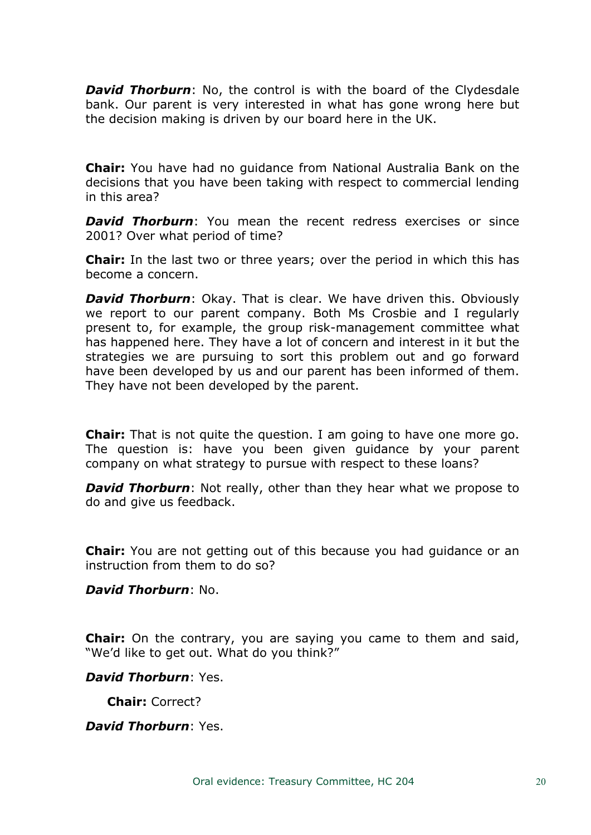**David Thorburn**: No, the control is with the board of the Clydesdale bank. Our parent is very interested in what has gone wrong here but the decision making is driven by our board here in the UK.

**Chair:** You have had no guidance from National Australia Bank on the decisions that you have been taking with respect to commercial lending in this area?

*David Thorburn*: You mean the recent redress exercises or since 2001? Over what period of time?

**Chair:** In the last two or three years; over the period in which this has become a concern.

*David Thorburn*: Okay. That is clear. We have driven this. Obviously we report to our parent company. Both Ms Crosbie and I regularly present to, for example, the group risk-management committee what has happened here. They have a lot of concern and interest in it but the strategies we are pursuing to sort this problem out and go forward have been developed by us and our parent has been informed of them. They have not been developed by the parent.

**Chair:** That is not quite the question. I am going to have one more go. The question is: have you been given guidance by your parent company on what strategy to pursue with respect to these loans?

*David Thorburn*: Not really, other than they hear what we propose to do and give us feedback.

**Chair:** You are not getting out of this because you had guidance or an instruction from them to do so?

*David Thorburn*: No.

**Chair:** On the contrary, you are saying you came to them and said, "We'd like to get out. What do you think?"

*David Thorburn*: Yes.

**Chair:** Correct?

*David Thorburn*: Yes.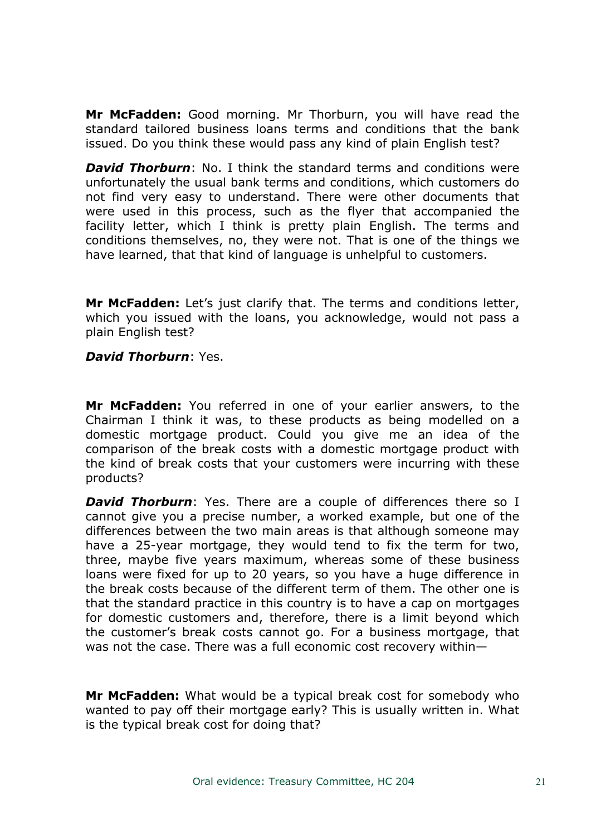**Mr McFadden:** Good morning. Mr Thorburn, you will have read the standard tailored business loans terms and conditions that the bank issued. Do you think these would pass any kind of plain English test?

*David Thorburn*: No. I think the standard terms and conditions were unfortunately the usual bank terms and conditions, which customers do not find very easy to understand. There were other documents that were used in this process, such as the flyer that accompanied the facility letter, which I think is pretty plain English. The terms and conditions themselves, no, they were not. That is one of the things we have learned, that that kind of language is unhelpful to customers.

**Mr McFadden:** Let's just clarify that. The terms and conditions letter, which you issued with the loans, you acknowledge, would not pass a plain English test?

# *David Thorburn*: Yes.

**Mr McFadden:** You referred in one of your earlier answers, to the Chairman I think it was, to these products as being modelled on a domestic mortgage product. Could you give me an idea of the comparison of the break costs with a domestic mortgage product with the kind of break costs that your customers were incurring with these products?

*David Thorburn*: Yes. There are a couple of differences there so I cannot give you a precise number, a worked example, but one of the differences between the two main areas is that although someone may have a 25-year mortgage, they would tend to fix the term for two, three, maybe five years maximum, whereas some of these business loans were fixed for up to 20 years, so you have a huge difference in the break costs because of the different term of them. The other one is that the standard practice in this country is to have a cap on mortgages for domestic customers and, therefore, there is a limit beyond which the customer's break costs cannot go. For a business mortgage, that was not the case. There was a full economic cost recovery within—

**Mr McFadden:** What would be a typical break cost for somebody who wanted to pay off their mortgage early? This is usually written in. What is the typical break cost for doing that?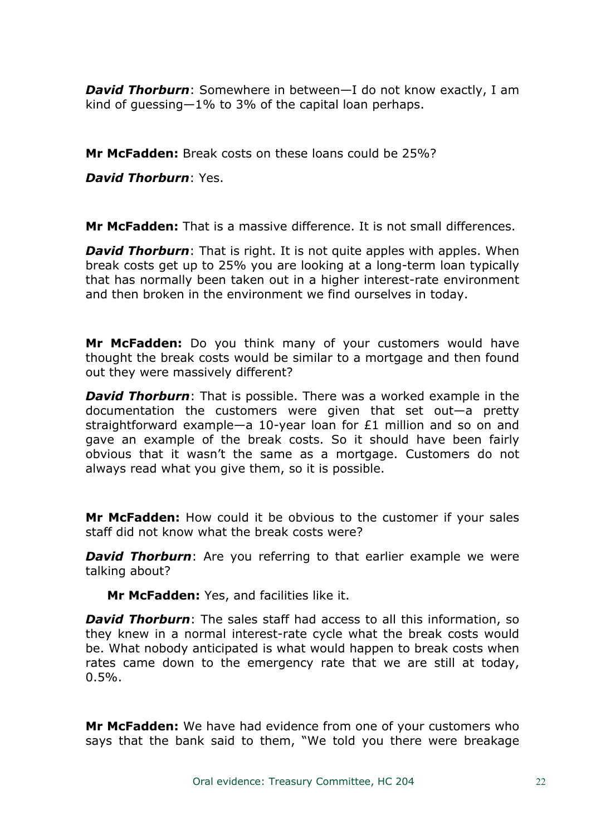*David Thorburn*: Somewhere in between—I do not know exactly, I am kind of guessing—1% to 3% of the capital loan perhaps.

**Mr McFadden:** Break costs on these loans could be 25%?

*David Thorburn*: Yes.

**Mr McFadden:** That is a massive difference. It is not small differences.

*David Thorburn*: That is right. It is not quite apples with apples. When break costs get up to 25% you are looking at a long-term loan typically that has normally been taken out in a higher interest-rate environment and then broken in the environment we find ourselves in today.

**Mr McFadden:** Do you think many of your customers would have thought the break costs would be similar to a mortgage and then found out they were massively different?

*David Thorburn*: That is possible. There was a worked example in the documentation the customers were given that set out—a pretty straightforward example—a 10-year loan for £1 million and so on and gave an example of the break costs. So it should have been fairly obvious that it wasn't the same as a mortgage. Customers do not always read what you give them, so it is possible.

**Mr McFadden:** How could it be obvious to the customer if your sales staff did not know what the break costs were?

*David Thorburn:* Are you referring to that earlier example we were talking about?

**Mr McFadden:** Yes, and facilities like it.

*David Thorburn*: The sales staff had access to all this information, so they knew in a normal interest-rate cycle what the break costs would be. What nobody anticipated is what would happen to break costs when rates came down to the emergency rate that we are still at today,  $0.5%$ .

**Mr McFadden:** We have had evidence from one of your customers who says that the bank said to them, "We told you there were breakage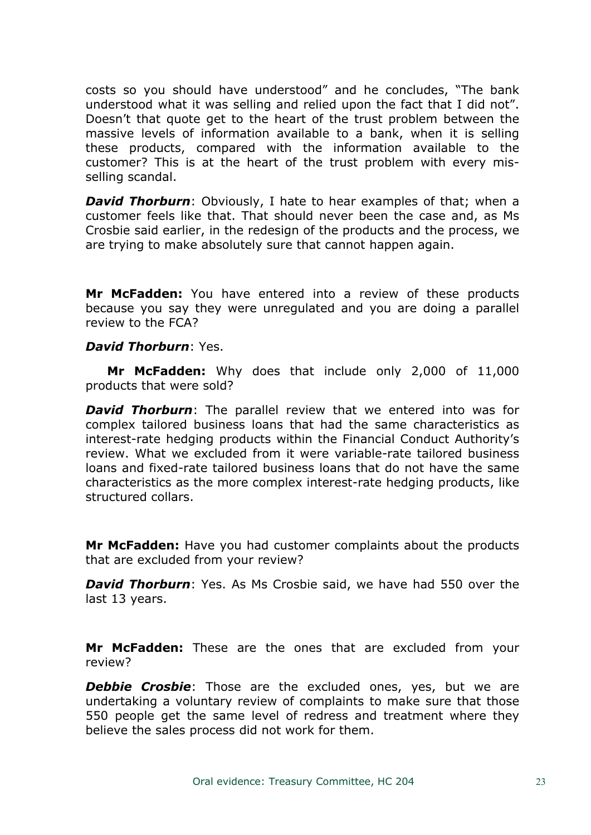costs so you should have understood" and he concludes, "The bank understood what it was selling and relied upon the fact that I did not". Doesn't that quote get to the heart of the trust problem between the massive levels of information available to a bank, when it is selling these products, compared with the information available to the customer? This is at the heart of the trust problem with every misselling scandal.

*David Thorburn*: Obviously, I hate to hear examples of that; when a customer feels like that. That should never been the case and, as Ms Crosbie said earlier, in the redesign of the products and the process, we are trying to make absolutely sure that cannot happen again.

**Mr McFadden:** You have entered into a review of these products because you say they were unregulated and you are doing a parallel review to the FCA?

#### *David Thorburn*: Yes.

**Mr McFadden:** Why does that include only 2,000 of 11,000 products that were sold?

*David Thorburn*: The parallel review that we entered into was for complex tailored business loans that had the same characteristics as interest-rate hedging products within the Financial Conduct Authority's review. What we excluded from it were variable-rate tailored business loans and fixed-rate tailored business loans that do not have the same characteristics as the more complex interest-rate hedging products, like structured collars.

**Mr McFadden:** Have you had customer complaints about the products that are excluded from your review?

*David Thorburn*: Yes. As Ms Crosbie said, we have had 550 over the last 13 years.

**Mr McFadden:** These are the ones that are excluded from your review?

**Debbie Crosbie**: Those are the excluded ones, yes, but we are undertaking a voluntary review of complaints to make sure that those 550 people get the same level of redress and treatment where they believe the sales process did not work for them.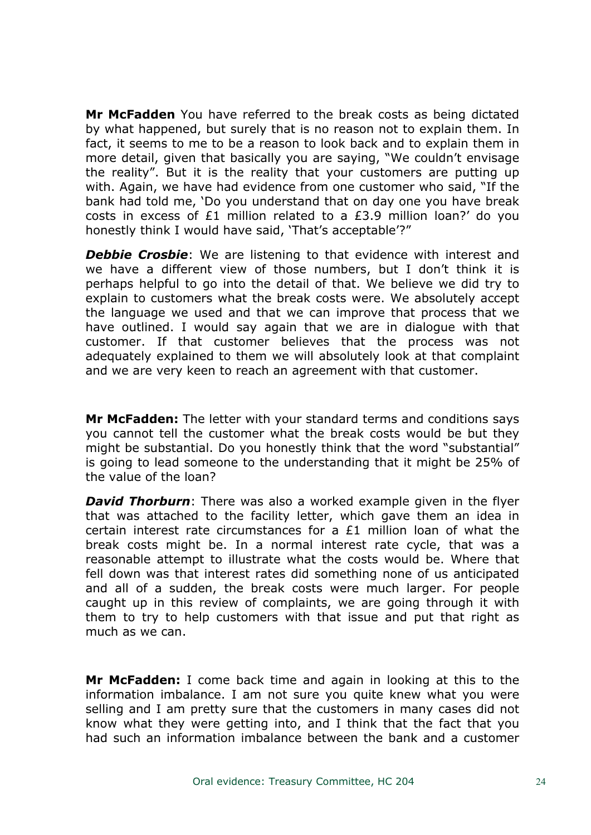**Mr McFadden** You have referred to the break costs as being dictated by what happened, but surely that is no reason not to explain them. In fact, it seems to me to be a reason to look back and to explain them in more detail, given that basically you are saying, "We couldn't envisage the reality". But it is the reality that your customers are putting up with. Again, we have had evidence from one customer who said, "If the bank had told me, 'Do you understand that on day one you have break costs in excess of £1 million related to a £3.9 million loan?' do you honestly think I would have said, 'That's acceptable'?"

*Debbie Crosbie*: We are listening to that evidence with interest and we have a different view of those numbers, but I don't think it is perhaps helpful to go into the detail of that. We believe we did try to explain to customers what the break costs were. We absolutely accept the language we used and that we can improve that process that we have outlined. I would say again that we are in dialogue with that customer. If that customer believes that the process was not adequately explained to them we will absolutely look at that complaint and we are very keen to reach an agreement with that customer.

**Mr McFadden:** The letter with your standard terms and conditions says you cannot tell the customer what the break costs would be but they might be substantial. Do you honestly think that the word "substantial" is going to lead someone to the understanding that it might be 25% of the value of the loan?

*David Thorburn*: There was also a worked example given in the flyer that was attached to the facility letter, which gave them an idea in certain interest rate circumstances for a £1 million loan of what the break costs might be. In a normal interest rate cycle, that was a reasonable attempt to illustrate what the costs would be. Where that fell down was that interest rates did something none of us anticipated and all of a sudden, the break costs were much larger. For people caught up in this review of complaints, we are going through it with them to try to help customers with that issue and put that right as much as we can.

**Mr McFadden:** I come back time and again in looking at this to the information imbalance. I am not sure you quite knew what you were selling and I am pretty sure that the customers in many cases did not know what they were getting into, and I think that the fact that you had such an information imbalance between the bank and a customer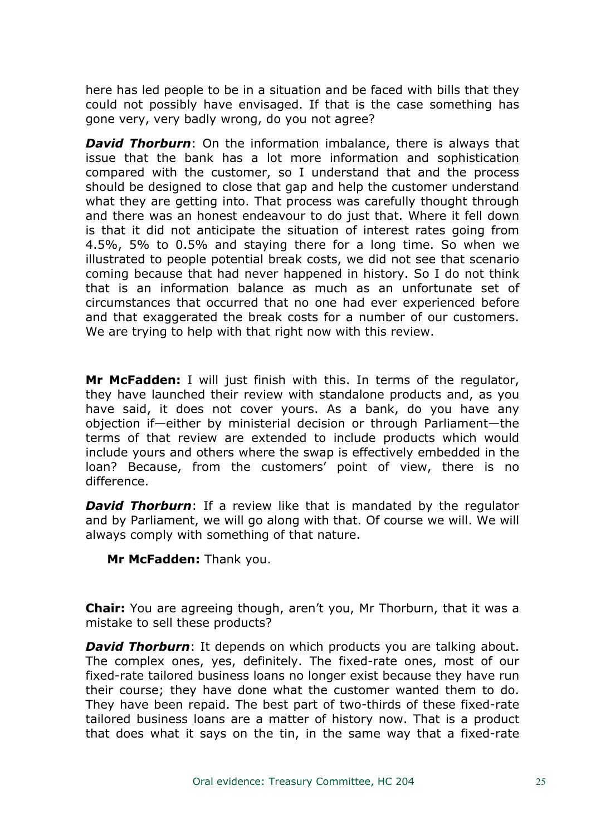here has led people to be in a situation and be faced with bills that they could not possibly have envisaged. If that is the case something has gone very, very badly wrong, do you not agree?

*David Thorburn*: On the information imbalance, there is always that issue that the bank has a lot more information and sophistication compared with the customer, so I understand that and the process should be designed to close that gap and help the customer understand what they are getting into. That process was carefully thought through and there was an honest endeavour to do just that. Where it fell down is that it did not anticipate the situation of interest rates going from 4.5%, 5% to 0.5% and staying there for a long time. So when we illustrated to people potential break costs, we did not see that scenario coming because that had never happened in history. So I do not think that is an information balance as much as an unfortunate set of circumstances that occurred that no one had ever experienced before and that exaggerated the break costs for a number of our customers. We are trying to help with that right now with this review.

**Mr McFadden:** I will just finish with this. In terms of the regulator, they have launched their review with standalone products and, as you have said, it does not cover yours. As a bank, do you have any objection if—either by ministerial decision or through Parliament—the terms of that review are extended to include products which would include yours and others where the swap is effectively embedded in the loan? Because, from the customers' point of view, there is no difference.

*David Thorburn*: If a review like that is mandated by the regulator and by Parliament, we will go along with that. Of course we will. We will always comply with something of that nature.

**Mr McFadden:** Thank you.

**Chair:** You are agreeing though, aren't you, Mr Thorburn, that it was a mistake to sell these products?

*David Thorburn*: It depends on which products you are talking about. The complex ones, yes, definitely. The fixed-rate ones, most of our fixed-rate tailored business loans no longer exist because they have run their course; they have done what the customer wanted them to do. They have been repaid. The best part of two-thirds of these fixed-rate tailored business loans are a matter of history now. That is a product that does what it says on the tin, in the same way that a fixed-rate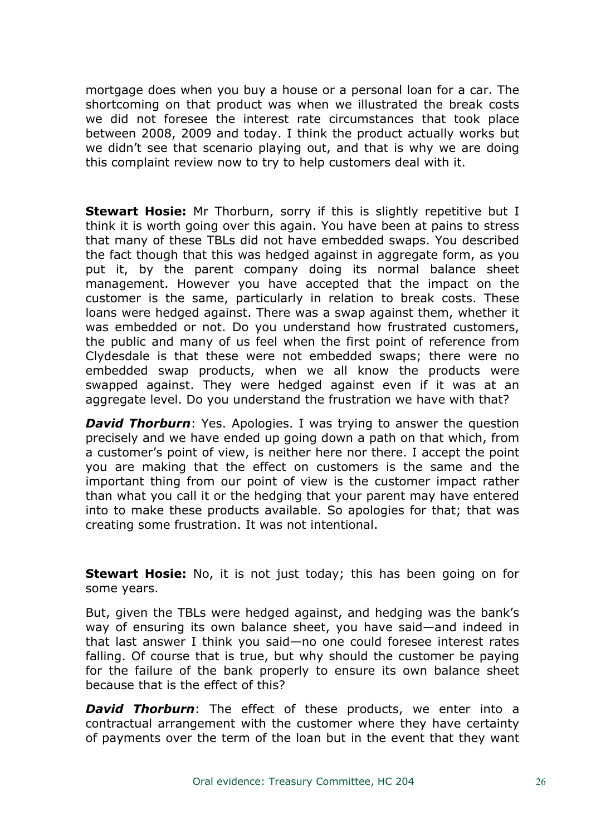mortgage does when you buy a house or a personal loan for a car. The shortcoming on that product was when we illustrated the break costs we did not foresee the interest rate circumstances that took place between 2008, 2009 and today. I think the product actually works but we didn't see that scenario playing out, and that is why we are doing this complaint review now to try to help customers deal with it.

**Stewart Hosie:** Mr Thorburn, sorry if this is slightly repetitive but I think it is worth going over this again. You have been at pains to stress that many of these TBLs did not have embedded swaps. You described the fact though that this was hedged against in aggregate form, as you put it, by the parent company doing its normal balance sheet management. However you have accepted that the impact on the customer is the same, particularly in relation to break costs. These loans were hedged against. There was a swap against them, whether it was embedded or not. Do you understand how frustrated customers, the public and many of us feel when the first point of reference from Clydesdale is that these were not embedded swaps; there were no embedded swap products, when we all know the products were swapped against. They were hedged against even if it was at an aggregate level. Do you understand the frustration we have with that?

*David Thorburn*: Yes. Apologies. I was trying to answer the question precisely and we have ended up going down a path on that which, from a customer's point of view, is neither here nor there. I accept the point you are making that the effect on customers is the same and the important thing from our point of view is the customer impact rather than what you call it or the hedging that your parent may have entered into to make these products available. So apologies for that; that was creating some frustration. It was not intentional.

**Stewart Hosie:** No, it is not just today; this has been going on for some years.

But, given the TBLs were hedged against, and hedging was the bank's way of ensuring its own balance sheet, you have said—and indeed in that last answer I think you said—no one could foresee interest rates falling. Of course that is true, but why should the customer be paying for the failure of the bank properly to ensure its own balance sheet because that is the effect of this?

*David Thorburn*: The effect of these products, we enter into a contractual arrangement with the customer where they have certainty of payments over the term of the loan but in the event that they want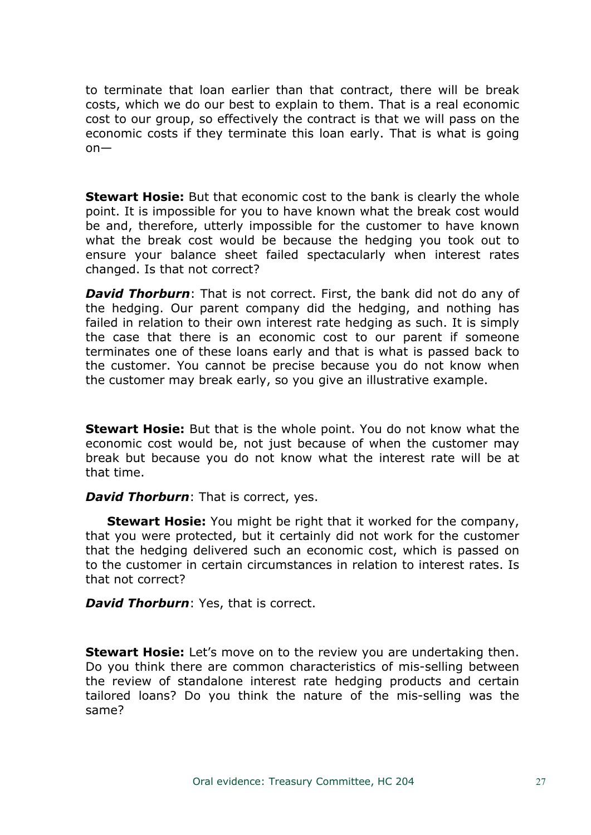to terminate that loan earlier than that contract, there will be break costs, which we do our best to explain to them. That is a real economic cost to our group, so effectively the contract is that we will pass on the economic costs if they terminate this loan early. That is what is going on—

**Stewart Hosie:** But that economic cost to the bank is clearly the whole point. It is impossible for you to have known what the break cost would be and, therefore, utterly impossible for the customer to have known what the break cost would be because the hedging you took out to ensure your balance sheet failed spectacularly when interest rates changed. Is that not correct?

*David Thorburn*: That is not correct. First, the bank did not do any of the hedging. Our parent company did the hedging, and nothing has failed in relation to their own interest rate hedging as such. It is simply the case that there is an economic cost to our parent if someone terminates one of these loans early and that is what is passed back to the customer. You cannot be precise because you do not know when the customer may break early, so you give an illustrative example.

**Stewart Hosie:** But that is the whole point. You do not know what the economic cost would be, not just because of when the customer may break but because you do not know what the interest rate will be at that time.

# *David Thorburn*: That is correct, yes.

**Stewart Hosie:** You might be right that it worked for the company, that you were protected, but it certainly did not work for the customer that the hedging delivered such an economic cost, which is passed on to the customer in certain circumstances in relation to interest rates. Is that not correct?

*David Thorburn*: Yes, that is correct.

**Stewart Hosie:** Let's move on to the review you are undertaking then. Do you think there are common characteristics of mis-selling between the review of standalone interest rate hedging products and certain tailored loans? Do you think the nature of the mis-selling was the same?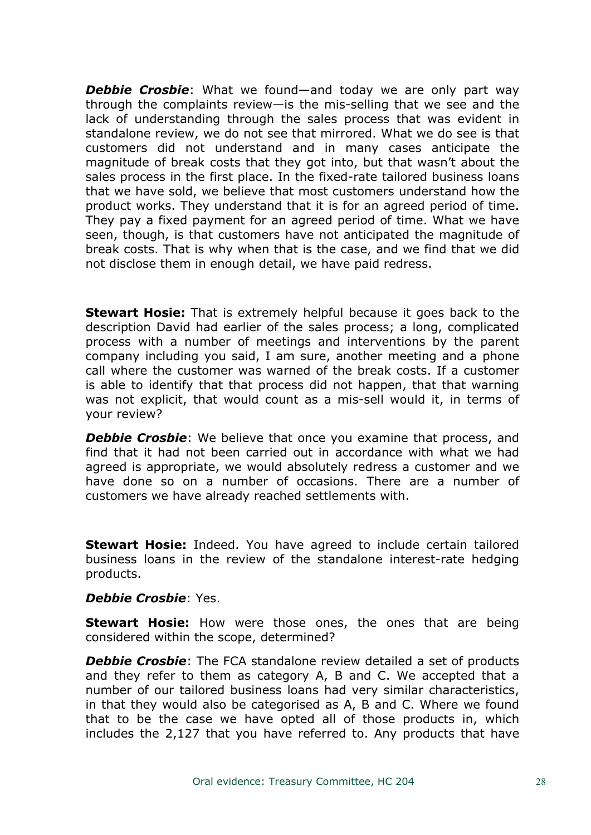*Debbie Crosbie*: What we found—and today we are only part way through the complaints review—is the mis-selling that we see and the lack of understanding through the sales process that was evident in standalone review, we do not see that mirrored. What we do see is that customers did not understand and in many cases anticipate the magnitude of break costs that they got into, but that wasn't about the sales process in the first place. In the fixed-rate tailored business loans that we have sold, we believe that most customers understand how the product works. They understand that it is for an agreed period of time. They pay a fixed payment for an agreed period of time. What we have seen, though, is that customers have not anticipated the magnitude of break costs. That is why when that is the case, and we find that we did not disclose them in enough detail, we have paid redress.

**Stewart Hosie:** That is extremely helpful because it goes back to the description David had earlier of the sales process; a long, complicated process with a number of meetings and interventions by the parent company including you said, I am sure, another meeting and a phone call where the customer was warned of the break costs. If a customer is able to identify that that process did not happen, that that warning was not explicit, that would count as a mis-sell would it, in terms of your review?

**Debbie Crosbie**: We believe that once you examine that process, and find that it had not been carried out in accordance with what we had agreed is appropriate, we would absolutely redress a customer and we have done so on a number of occasions. There are a number of customers we have already reached settlements with.

**Stewart Hosie:** Indeed. You have agreed to include certain tailored business loans in the review of the standalone interest-rate hedging products.

#### *Debbie Crosbie*: Yes.

**Stewart Hosie:** How were those ones, the ones that are being considered within the scope, determined?

*Debbie Crosbie*: The FCA standalone review detailed a set of products and they refer to them as category A, B and C. We accepted that a number of our tailored business loans had very similar characteristics, in that they would also be categorised as A, B and C. Where we found that to be the case we have opted all of those products in, which includes the 2,127 that you have referred to. Any products that have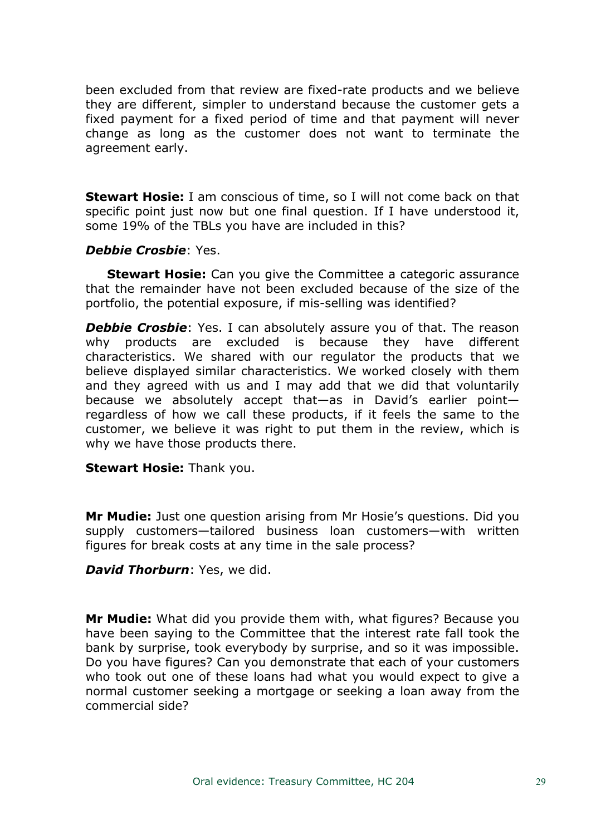been excluded from that review are fixed-rate products and we believe they are different, simpler to understand because the customer gets a fixed payment for a fixed period of time and that payment will never change as long as the customer does not want to terminate the agreement early.

**Stewart Hosie:** I am conscious of time, so I will not come back on that specific point just now but one final question. If I have understood it, some 19% of the TBLs you have are included in this?

#### *Debbie Crosbie*: Yes.

**Stewart Hosie:** Can you give the Committee a categoric assurance that the remainder have not been excluded because of the size of the portfolio, the potential exposure, if mis-selling was identified?

**Debbie Crosbie**: Yes. I can absolutely assure you of that. The reason why products are excluded is because they have different characteristics. We shared with our regulator the products that we believe displayed similar characteristics. We worked closely with them and they agreed with us and I may add that we did that voluntarily because we absolutely accept that—as in David's earlier point regardless of how we call these products, if it feels the same to the customer, we believe it was right to put them in the review, which is why we have those products there.

**Stewart Hosie:** Thank you.

**Mr Mudie:** Just one question arising from Mr Hosie's questions. Did you supply customers—tailored business loan customers—with written figures for break costs at any time in the sale process?

*David Thorburn*: Yes, we did.

**Mr Mudie:** What did you provide them with, what figures? Because you have been saying to the Committee that the interest rate fall took the bank by surprise, took everybody by surprise, and so it was impossible. Do you have figures? Can you demonstrate that each of your customers who took out one of these loans had what you would expect to give a normal customer seeking a mortgage or seeking a loan away from the commercial side?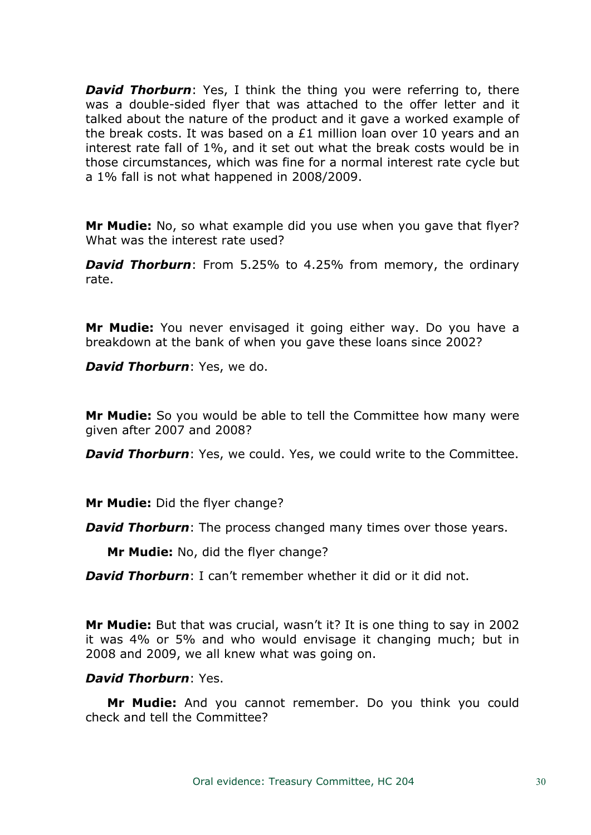*David Thorburn:* Yes, I think the thing you were referring to, there was a double-sided flyer that was attached to the offer letter and it talked about the nature of the product and it gave a worked example of the break costs. It was based on a £1 million loan over 10 years and an interest rate fall of 1%, and it set out what the break costs would be in those circumstances, which was fine for a normal interest rate cycle but a 1% fall is not what happened in 2008/2009.

**Mr Mudie:** No, so what example did you use when you gave that flyer? What was the interest rate used?

*David Thorburn*: From 5.25% to 4.25% from memory, the ordinary rate.

**Mr Mudie:** You never envisaged it going either way. Do you have a breakdown at the bank of when you gave these loans since 2002?

*David Thorburn*: Yes, we do.

**Mr Mudie:** So you would be able to tell the Committee how many were given after 2007 and 2008?

*David Thorburn*: Yes, we could. Yes, we could write to the Committee.

**Mr Mudie:** Did the flyer change?

*David Thorburn:* The process changed many times over those years.

**Mr Mudie:** No, did the flyer change?

*David Thorburn*: I can't remember whether it did or it did not.

**Mr Mudie:** But that was crucial, wasn't it? It is one thing to say in 2002 it was 4% or 5% and who would envisage it changing much; but in 2008 and 2009, we all knew what was going on.

# *David Thorburn*: Yes.

**Mr Mudie:** And you cannot remember. Do you think you could check and tell the Committee?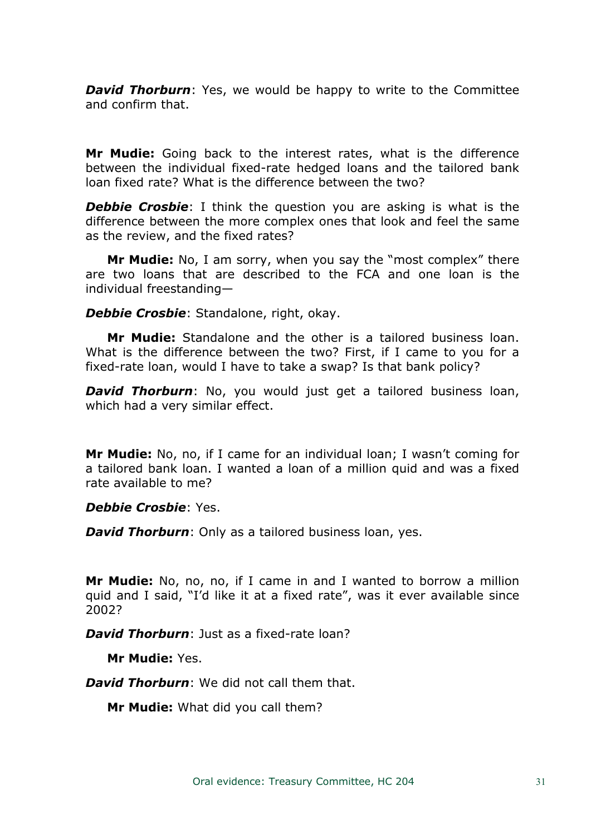*David Thorburn:* Yes, we would be happy to write to the Committee and confirm that.

**Mr Mudie:** Going back to the interest rates, what is the difference between the individual fixed-rate hedged loans and the tailored bank loan fixed rate? What is the difference between the two?

**Debbie Crosbie**: I think the question you are asking is what is the difference between the more complex ones that look and feel the same as the review, and the fixed rates?

**Mr Mudie:** No, I am sorry, when you say the "most complex" there are two loans that are described to the FCA and one loan is the individual freestanding—

*Debbie Crosbie*: Standalone, right, okay.

**Mr Mudie:** Standalone and the other is a tailored business loan. What is the difference between the two? First, if I came to you for a fixed-rate loan, would I have to take a swap? Is that bank policy?

*David Thorburn*: No, you would just get a tailored business loan, which had a very similar effect.

**Mr Mudie:** No, no, if I came for an individual loan; I wasn't coming for a tailored bank loan. I wanted a loan of a million quid and was a fixed rate available to me?

*Debbie Crosbie*: Yes.

*David Thorburn*: Only as a tailored business loan, yes.

**Mr Mudie:** No, no, no, if I came in and I wanted to borrow a million quid and I said, "I'd like it at a fixed rate", was it ever available since 2002?

*David Thorburn*: Just as a fixed-rate loan?

**Mr Mudie:** Yes.

*David Thorburn*: We did not call them that.

**Mr Mudie:** What did you call them?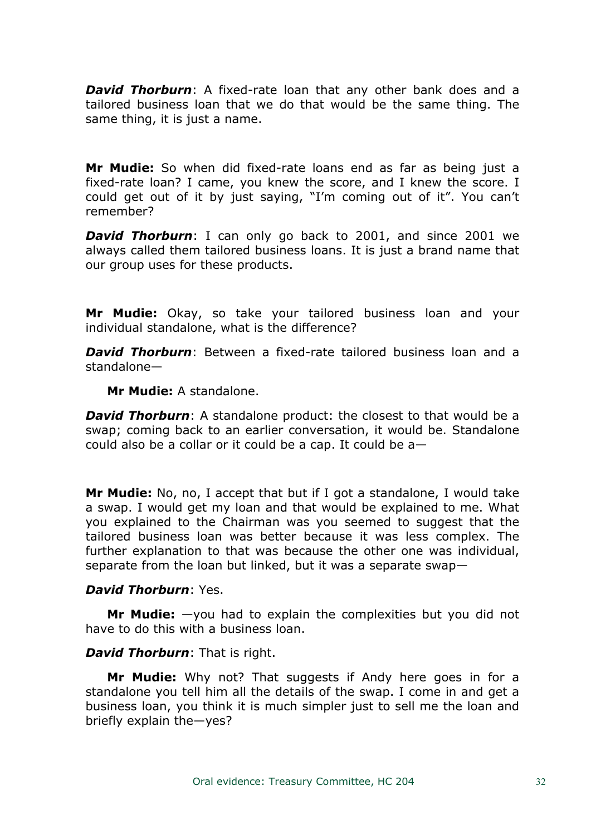*David Thorburn*: A fixed-rate loan that any other bank does and a tailored business loan that we do that would be the same thing. The same thing, it is just a name.

**Mr Mudie:** So when did fixed-rate loans end as far as being just a fixed-rate loan? I came, you knew the score, and I knew the score. I could get out of it by just saying, "I'm coming out of it". You can't remember?

*David Thorburn*: I can only go back to 2001, and since 2001 we always called them tailored business loans. It is just a brand name that our group uses for these products.

**Mr Mudie:** Okay, so take your tailored business loan and your individual standalone, what is the difference?

*David Thorburn*: Between a fixed-rate tailored business loan and a standalone—

**Mr Mudie:** A standalone.

*David Thorburn*: A standalone product: the closest to that would be a swap; coming back to an earlier conversation, it would be. Standalone could also be a collar or it could be a cap. It could be a—

**Mr Mudie:** No, no, I accept that but if I got a standalone, I would take a swap. I would get my loan and that would be explained to me. What you explained to the Chairman was you seemed to suggest that the tailored business loan was better because it was less complex. The further explanation to that was because the other one was individual, separate from the loan but linked, but it was a separate swap—

# *David Thorburn*: Yes.

**Mr Mudie:** —you had to explain the complexities but you did not have to do this with a business loan.

#### *David Thorburn*: That is right.

**Mr Mudie:** Why not? That suggests if Andy here goes in for a standalone you tell him all the details of the swap. I come in and get a business loan, you think it is much simpler just to sell me the loan and briefly explain the—yes?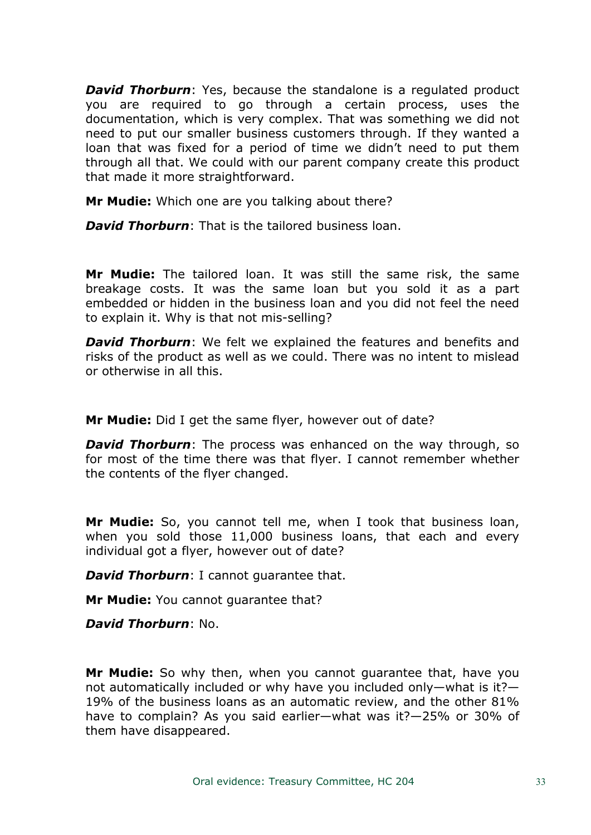*David Thorburn:* Yes, because the standalone is a regulated product you are required to go through a certain process, uses the documentation, which is very complex. That was something we did not need to put our smaller business customers through. If they wanted a loan that was fixed for a period of time we didn't need to put them through all that. We could with our parent company create this product that made it more straightforward.

**Mr Mudie:** Which one are you talking about there?

*David Thorburn*: That is the tailored business loan.

**Mr Mudie:** The tailored loan. It was still the same risk, the same breakage costs. It was the same loan but you sold it as a part embedded or hidden in the business loan and you did not feel the need to explain it. Why is that not mis-selling?

*David Thorburn*: We felt we explained the features and benefits and risks of the product as well as we could. There was no intent to mislead or otherwise in all this.

**Mr Mudie:** Did I get the same flyer, however out of date?

*David Thorburn:* The process was enhanced on the way through, so for most of the time there was that flyer. I cannot remember whether the contents of the flyer changed.

**Mr Mudie:** So, you cannot tell me, when I took that business loan, when you sold those 11,000 business loans, that each and every individual got a flyer, however out of date?

*David Thorburn*: I cannot guarantee that.

**Mr Mudie:** You cannot guarantee that?

*David Thorburn*: No.

**Mr Mudie:** So why then, when you cannot guarantee that, have you not automatically included or why have you included only—what is it?— 19% of the business loans as an automatic review, and the other 81% have to complain? As you said earlier—what was it?—25% or 30% of them have disappeared.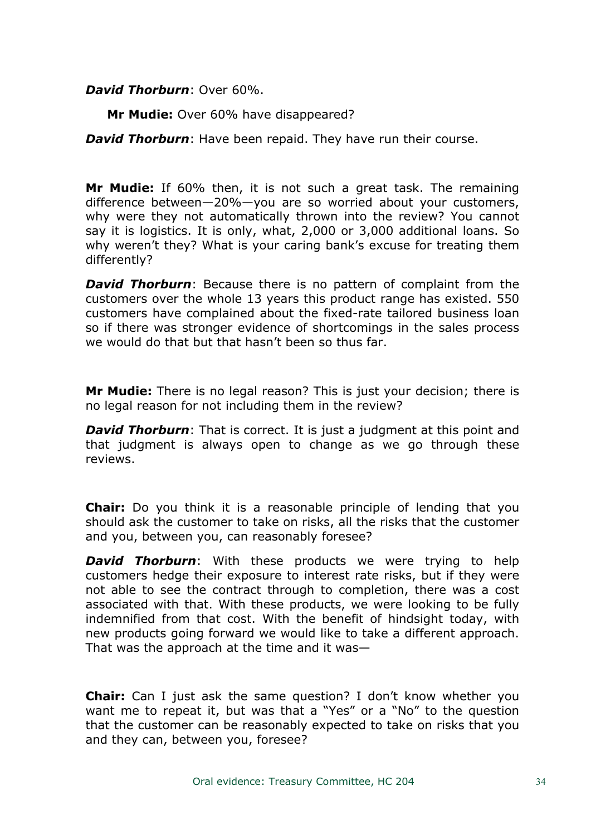# *David Thorburn*: Over 60%.

**Mr Mudie:** Over 60% have disappeared?

*David Thorburn*: Have been repaid. They have run their course.

**Mr Mudie:** If 60% then, it is not such a great task. The remaining difference between—20%—you are so worried about your customers, why were they not automatically thrown into the review? You cannot say it is logistics. It is only, what, 2,000 or 3,000 additional loans. So why weren't they? What is your caring bank's excuse for treating them differently?

*David Thorburn*: Because there is no pattern of complaint from the customers over the whole 13 years this product range has existed. 550 customers have complained about the fixed-rate tailored business loan so if there was stronger evidence of shortcomings in the sales process we would do that but that hasn't been so thus far.

**Mr Mudie:** There is no legal reason? This is just your decision; there is no legal reason for not including them in the review?

*David Thorburn*: That is correct. It is just a judgment at this point and that judgment is always open to change as we go through these reviews.

**Chair:** Do you think it is a reasonable principle of lending that you should ask the customer to take on risks, all the risks that the customer and you, between you, can reasonably foresee?

*David Thorburn*: With these products we were trying to help customers hedge their exposure to interest rate risks, but if they were not able to see the contract through to completion, there was a cost associated with that. With these products, we were looking to be fully indemnified from that cost. With the benefit of hindsight today, with new products going forward we would like to take a different approach. That was the approach at the time and it was—

**Chair:** Can I just ask the same question? I don't know whether you want me to repeat it, but was that a "Yes" or a "No" to the question that the customer can be reasonably expected to take on risks that you and they can, between you, foresee?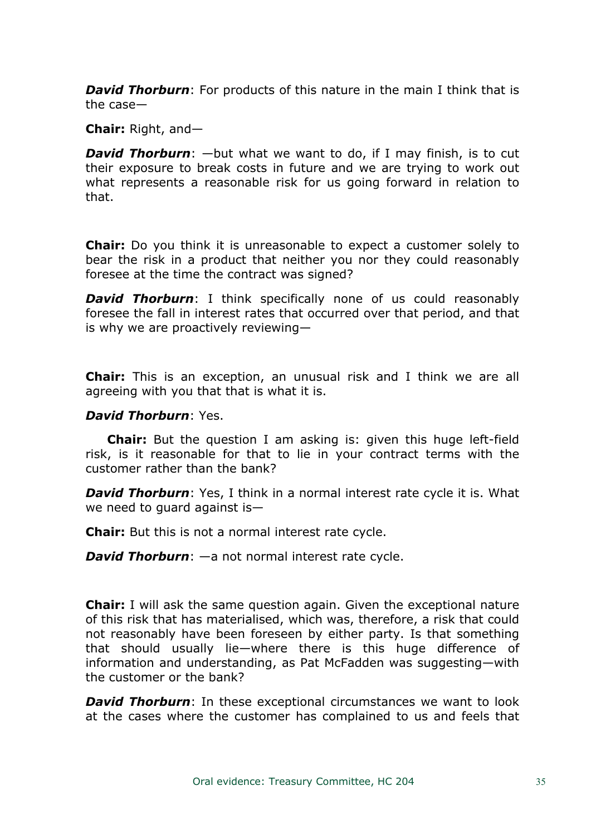*David Thorburn*: For products of this nature in the main I think that is the case—

**Chair:** Right, and—

*David Thorburn*: —but what we want to do, if I may finish, is to cut their exposure to break costs in future and we are trying to work out what represents a reasonable risk for us going forward in relation to that.

**Chair:** Do you think it is unreasonable to expect a customer solely to bear the risk in a product that neither you nor they could reasonably foresee at the time the contract was signed?

*David Thorburn*: I think specifically none of us could reasonably foresee the fall in interest rates that occurred over that period, and that is why we are proactively reviewing—

**Chair:** This is an exception, an unusual risk and I think we are all agreeing with you that that is what it is.

#### *David Thorburn*: Yes.

**Chair:** But the question I am asking is: given this huge left-field risk, is it reasonable for that to lie in your contract terms with the customer rather than the bank?

*David Thorburn*: Yes, I think in a normal interest rate cycle it is. What we need to guard against is—

**Chair:** But this is not a normal interest rate cycle.

*David Thorburn*: —a not normal interest rate cycle.

**Chair:** I will ask the same question again. Given the exceptional nature of this risk that has materialised, which was, therefore, a risk that could not reasonably have been foreseen by either party. Is that something that should usually lie—where there is this huge difference of information and understanding, as Pat McFadden was suggesting—with the customer or the bank?

*David Thorburn*: In these exceptional circumstances we want to look at the cases where the customer has complained to us and feels that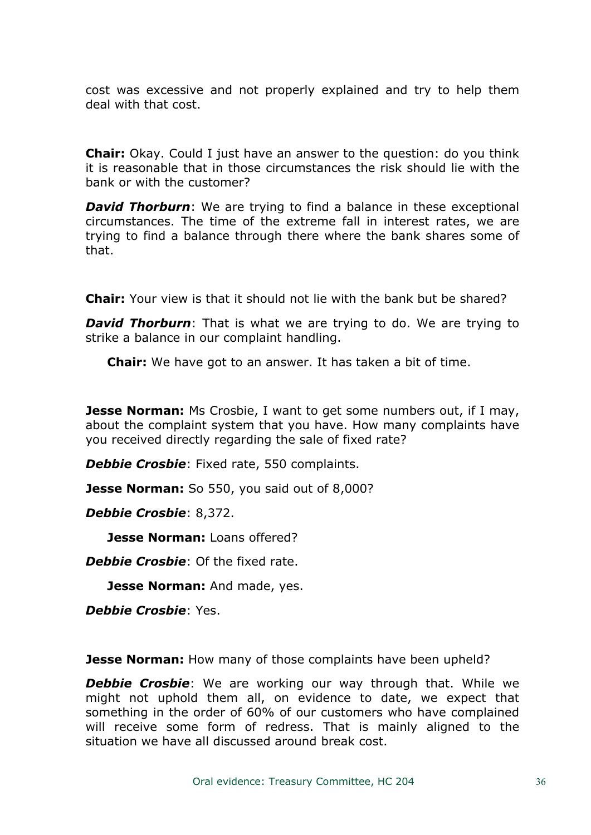cost was excessive and not properly explained and try to help them deal with that cost.

**Chair:** Okay. Could I just have an answer to the question: do you think it is reasonable that in those circumstances the risk should lie with the bank or with the customer?

*David Thorburn:* We are trying to find a balance in these exceptional circumstances. The time of the extreme fall in interest rates, we are trying to find a balance through there where the bank shares some of that.

**Chair:** Your view is that it should not lie with the bank but be shared?

*David Thorburn*: That is what we are trying to do. We are trying to strike a balance in our complaint handling.

**Chair:** We have got to an answer. It has taken a bit of time.

**Jesse Norman:** Ms Crosbie, I want to get some numbers out, if I may, about the complaint system that you have. How many complaints have you received directly regarding the sale of fixed rate?

*Debbie Crosbie*: Fixed rate, 550 complaints.

**Jesse Norman:** So 550, you said out of 8,000?

*Debbie Crosbie*: 8,372.

**Jesse Norman:** Loans offered?

*Debbie Crosbie*: Of the fixed rate.

**Jesse Norman:** And made, yes.

*Debbie Crosbie*: Yes.

**Jesse Norman:** How many of those complaints have been upheld?

*Debbie Crosbie*: We are working our way through that. While we might not uphold them all, on evidence to date, we expect that something in the order of 60% of our customers who have complained will receive some form of redress. That is mainly aligned to the situation we have all discussed around break cost.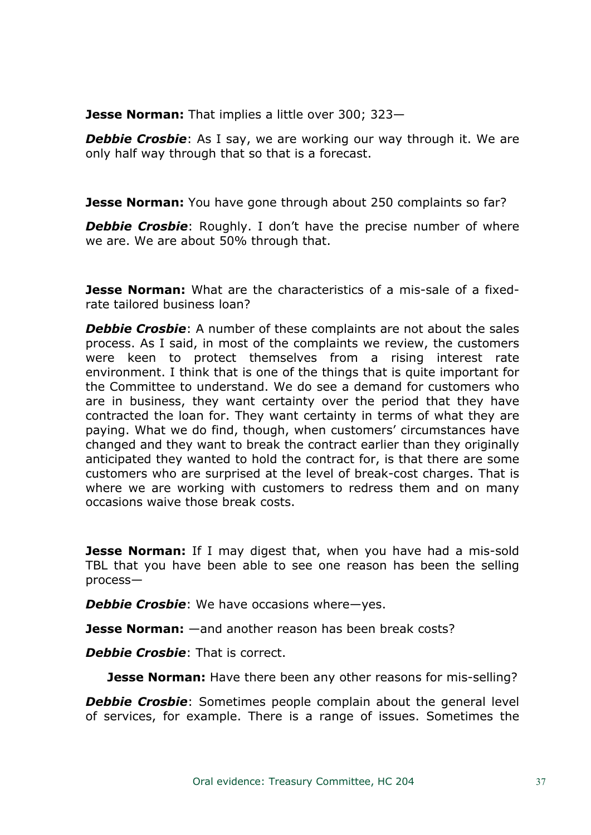**Jesse Norman:** That implies a little over 300; 323—

**Debbie Crosbie**: As I say, we are working our way through it. We are only half way through that so that is a forecast.

**Jesse Norman:** You have gone through about 250 complaints so far?

**Debbie Crosbie:** Roughly. I don't have the precise number of where we are. We are about 50% through that.

**Jesse Norman:** What are the characteristics of a mis-sale of a fixedrate tailored business loan?

*Debbie Crosbie*: A number of these complaints are not about the sales process. As I said, in most of the complaints we review, the customers were keen to protect themselves from a rising interest rate environment. I think that is one of the things that is quite important for the Committee to understand. We do see a demand for customers who are in business, they want certainty over the period that they have contracted the loan for. They want certainty in terms of what they are paying. What we do find, though, when customers' circumstances have changed and they want to break the contract earlier than they originally anticipated they wanted to hold the contract for, is that there are some customers who are surprised at the level of break-cost charges. That is where we are working with customers to redress them and on many occasions waive those break costs.

**Jesse Norman:** If I may digest that, when you have had a mis-sold TBL that you have been able to see one reason has been the selling process—

*Debbie Crosbie*: We have occasions where—yes.

**Jesse Norman:** —and another reason has been break costs?

*Debbie Crosbie*: That is correct.

**Jesse Norman:** Have there been any other reasons for mis-selling?

**Debbie Crosbie:** Sometimes people complain about the general level of services, for example. There is a range of issues. Sometimes the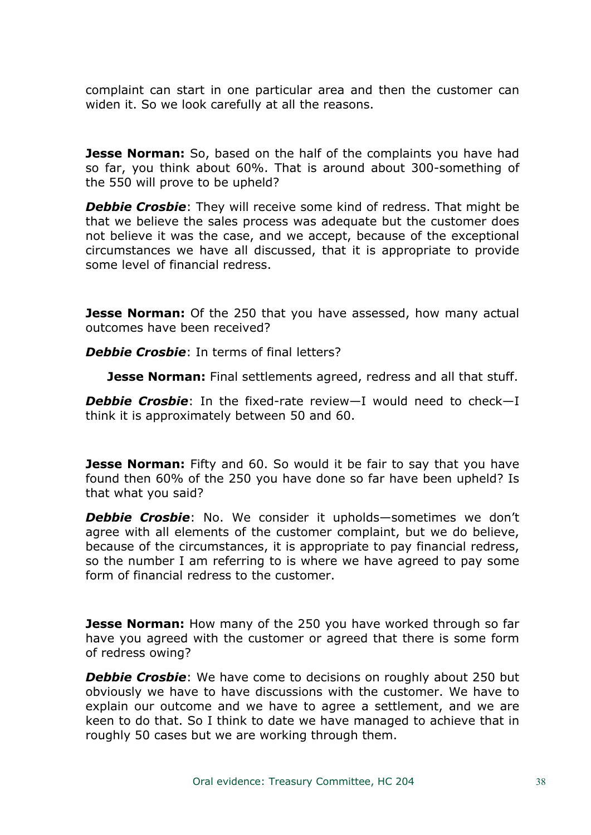complaint can start in one particular area and then the customer can widen it. So we look carefully at all the reasons.

**Jesse Norman:** So, based on the half of the complaints you have had so far, you think about 60%. That is around about 300-something of the 550 will prove to be upheld?

*Debbie Crosbie*: They will receive some kind of redress. That might be that we believe the sales process was adequate but the customer does not believe it was the case, and we accept, because of the exceptional circumstances we have all discussed, that it is appropriate to provide some level of financial redress.

**Jesse Norman:** Of the 250 that you have assessed, how many actual outcomes have been received?

*Debbie Crosbie*: In terms of final letters?

**Jesse Norman:** Final settlements agreed, redress and all that stuff.

*Debbie Crosbie*: In the fixed-rate review—I would need to check—I think it is approximately between 50 and 60.

**Jesse Norman:** Fifty and 60. So would it be fair to say that you have found then 60% of the 250 you have done so far have been upheld? Is that what you said?

*Debbie Crosbie*: No. We consider it upholds—sometimes we don't agree with all elements of the customer complaint, but we do believe, because of the circumstances, it is appropriate to pay financial redress, so the number I am referring to is where we have agreed to pay some form of financial redress to the customer.

**Jesse Norman:** How many of the 250 you have worked through so far have you agreed with the customer or agreed that there is some form of redress owing?

*Debbie Crosbie*: We have come to decisions on roughly about 250 but obviously we have to have discussions with the customer. We have to explain our outcome and we have to agree a settlement, and we are keen to do that. So I think to date we have managed to achieve that in roughly 50 cases but we are working through them.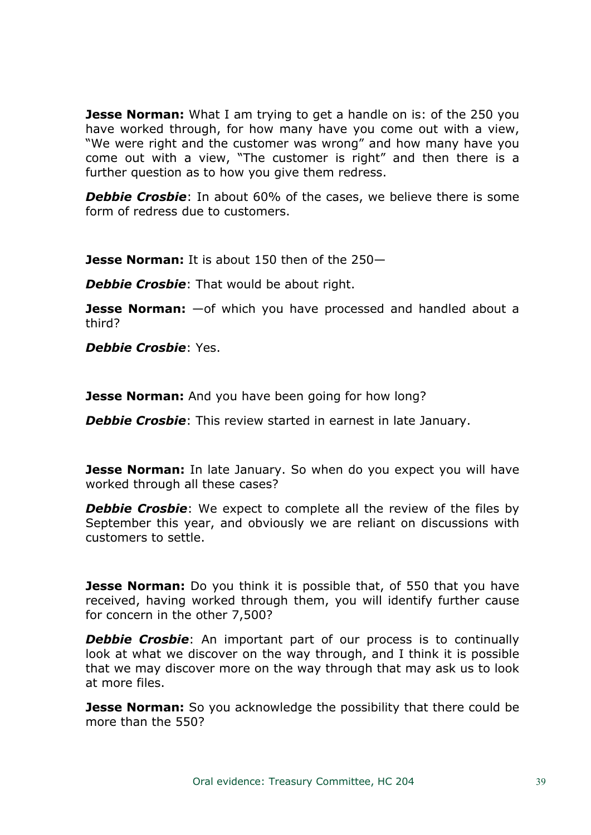**Jesse Norman:** What I am trying to get a handle on is: of the 250 you have worked through, for how many have you come out with a view, "We were right and the customer was wrong" and how many have you come out with a view, "The customer is right" and then there is a further question as to how you give them redress.

**Debbie Crosbie**: In about 60% of the cases, we believe there is some form of redress due to customers.

**Jesse Norman:** It is about 150 then of the 250—

*Debbie Crosbie*: That would be about right.

**Jesse Norman:** —of which you have processed and handled about a third?

*Debbie Crosbie*: Yes.

**Jesse Norman:** And you have been going for how long?

*Debbie Crosbie*: This review started in earnest in late January.

**Jesse Norman:** In late January. So when do you expect you will have worked through all these cases?

**Debbie Crosbie**: We expect to complete all the review of the files by September this year, and obviously we are reliant on discussions with customers to settle.

**Jesse Norman:** Do you think it is possible that, of 550 that you have received, having worked through them, you will identify further cause for concern in the other 7,500?

**Debbie Crosbie:** An important part of our process is to continually look at what we discover on the way through, and I think it is possible that we may discover more on the way through that may ask us to look at more files.

**Jesse Norman:** So you acknowledge the possibility that there could be more than the 550?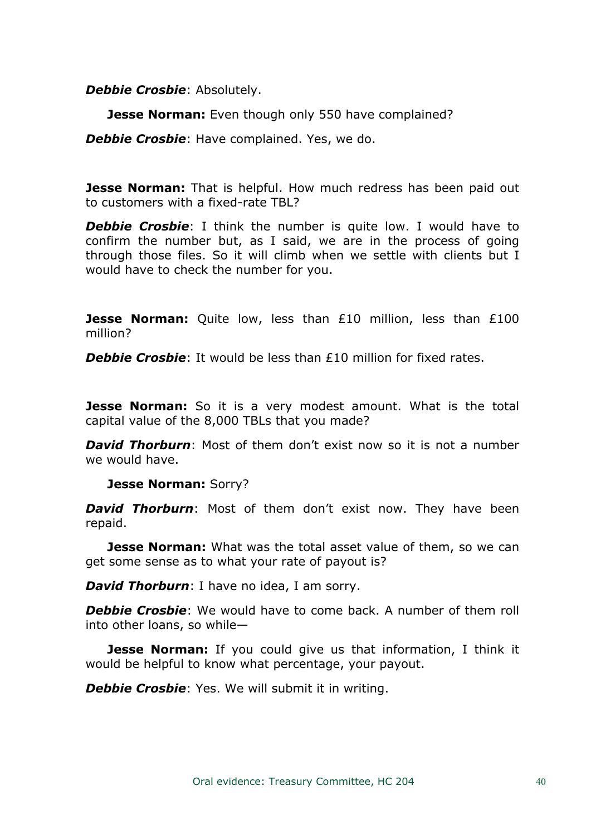*Debbie Crosbie*: Absolutely.

**Jesse Norman:** Even though only 550 have complained?

*Debbie Crosbie*: Have complained. Yes, we do.

**Jesse Norman:** That is helpful. How much redress has been paid out to customers with a fixed-rate TBL?

**Debbie Crosbie**: I think the number is quite low. I would have to confirm the number but, as I said, we are in the process of going through those files. So it will climb when we settle with clients but I would have to check the number for you.

**Jesse Norman:** Quite low, less than £10 million, less than £100 million?

**Debbie Crosbie**: It would be less than £10 million for fixed rates.

**Jesse Norman:** So it is a very modest amount. What is the total capital value of the 8,000 TBLs that you made?

*David Thorburn*: Most of them don't exist now so it is not a number we would have.

**Jesse Norman:** Sorry?

*David Thorburn*: Most of them don't exist now. They have been repaid.

**Jesse Norman:** What was the total asset value of them, so we can get some sense as to what your rate of payout is?

*David Thorburn*: I have no idea, I am sorry.

*Debbie Crosbie*: We would have to come back. A number of them roll into other loans, so while—

**Jesse Norman:** If you could give us that information, I think it would be helpful to know what percentage, your payout.

*Debbie Crosbie*: Yes. We will submit it in writing.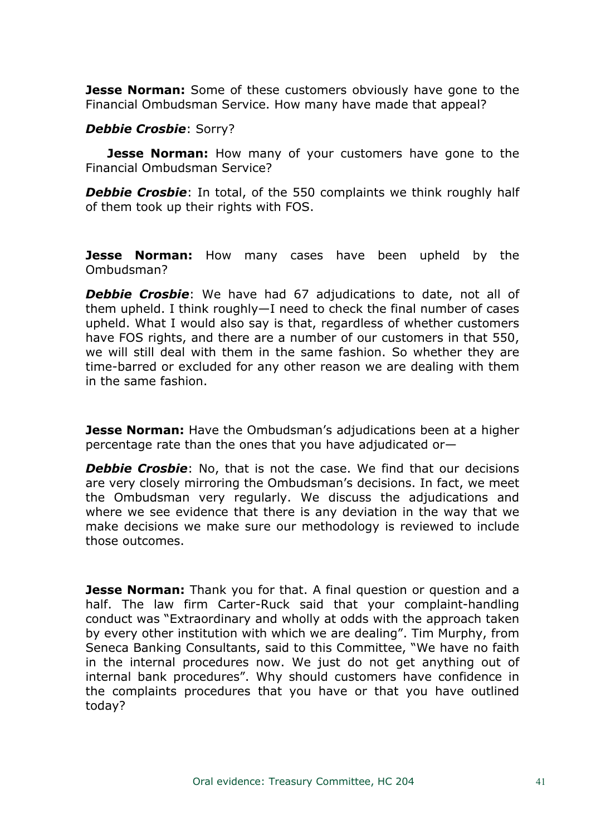**Jesse Norman:** Some of these customers obviously have gone to the Financial Ombudsman Service. How many have made that appeal?

# *Debbie Crosbie*: Sorry?

**Jesse Norman:** How many of your customers have gone to the Financial Ombudsman Service?

**Debbie Crosbie**: In total, of the 550 complaints we think roughly half of them took up their rights with FOS.

**Jesse Norman:** How many cases have been upheld by the Ombudsman?

**Debbie Crosbie:** We have had 67 adjudications to date, not all of them upheld. I think roughly—I need to check the final number of cases upheld. What I would also say is that, regardless of whether customers have FOS rights, and there are a number of our customers in that 550, we will still deal with them in the same fashion. So whether they are time-barred or excluded for any other reason we are dealing with them in the same fashion.

**Jesse Norman:** Have the Ombudsman's adjudications been at a higher percentage rate than the ones that you have adjudicated or—

*Debbie Crosbie*: No, that is not the case. We find that our decisions are very closely mirroring the Ombudsman's decisions. In fact, we meet the Ombudsman very regularly. We discuss the adjudications and where we see evidence that there is any deviation in the way that we make decisions we make sure our methodology is reviewed to include those outcomes.

**Jesse Norman:** Thank you for that. A final question or question and a half. The law firm Carter-Ruck said that your complaint-handling conduct was "Extraordinary and wholly at odds with the approach taken by every other institution with which we are dealing". Tim Murphy, from Seneca Banking Consultants, said to this Committee, "We have no faith in the internal procedures now. We just do not get anything out of internal bank procedures". Why should customers have confidence in the complaints procedures that you have or that you have outlined today?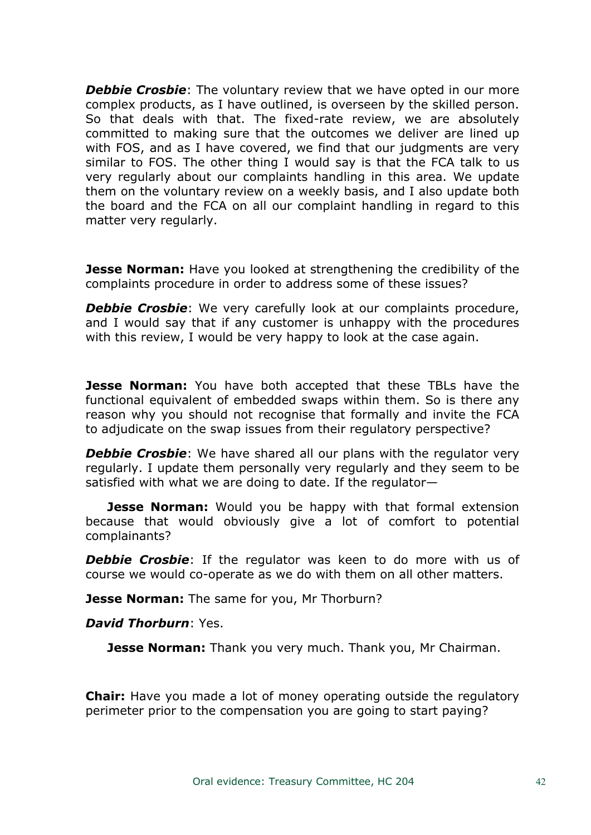**Debbie Crosbie**: The voluntary review that we have opted in our more complex products, as I have outlined, is overseen by the skilled person. So that deals with that. The fixed-rate review, we are absolutely committed to making sure that the outcomes we deliver are lined up with FOS, and as I have covered, we find that our judgments are very similar to FOS. The other thing I would say is that the FCA talk to us very regularly about our complaints handling in this area. We update them on the voluntary review on a weekly basis, and I also update both the board and the FCA on all our complaint handling in regard to this matter very regularly.

**Jesse Norman:** Have you looked at strengthening the credibility of the complaints procedure in order to address some of these issues?

*Debbie Crosbie*: We very carefully look at our complaints procedure, and I would say that if any customer is unhappy with the procedures with this review, I would be very happy to look at the case again.

**Jesse Norman:** You have both accepted that these TBLs have the functional equivalent of embedded swaps within them. So is there any reason why you should not recognise that formally and invite the FCA to adjudicate on the swap issues from their regulatory perspective?

**Debbie Crosbie**: We have shared all our plans with the regulator very regularly. I update them personally very regularly and they seem to be satisfied with what we are doing to date. If the regulator—

**Jesse Norman:** Would you be happy with that formal extension because that would obviously give a lot of comfort to potential complainants?

**Debbie Crosbie**: If the regulator was keen to do more with us of course we would co-operate as we do with them on all other matters.

**Jesse Norman:** The same for you, Mr Thorburn?

*David Thorburn*: Yes.

**Jesse Norman:** Thank you very much. Thank you, Mr Chairman.

**Chair:** Have you made a lot of money operating outside the regulatory perimeter prior to the compensation you are going to start paying?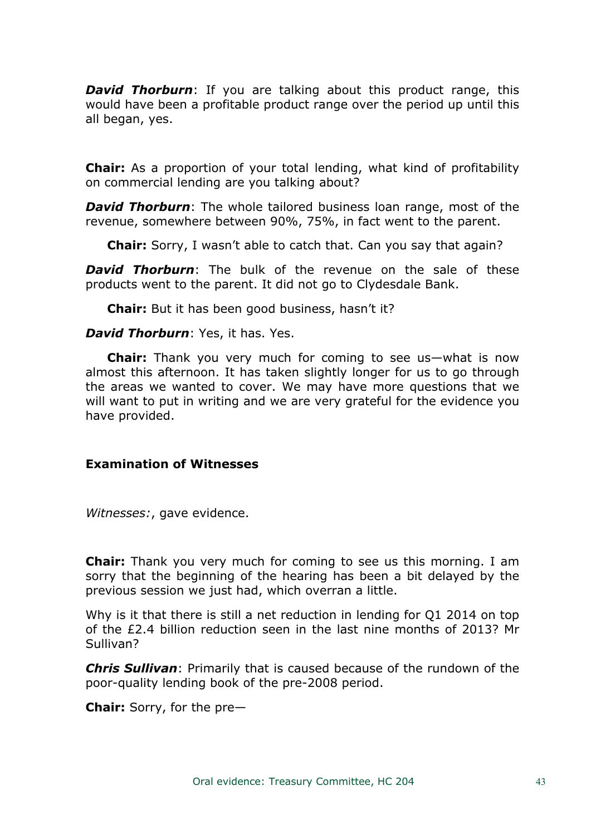*David Thorburn*: If you are talking about this product range, this would have been a profitable product range over the period up until this all began, yes.

**Chair:** As a proportion of your total lending, what kind of profitability on commercial lending are you talking about?

*David Thorburn*: The whole tailored business loan range, most of the revenue, somewhere between 90%, 75%, in fact went to the parent.

**Chair:** Sorry, I wasn't able to catch that. Can you say that again?

*David Thorburn*: The bulk of the revenue on the sale of these products went to the parent. It did not go to Clydesdale Bank.

**Chair:** But it has been good business, hasn't it?

### *David Thorburn*: Yes, it has. Yes.

**Chair:** Thank you very much for coming to see us—what is now almost this afternoon. It has taken slightly longer for us to go through the areas we wanted to cover. We may have more questions that we will want to put in writing and we are very grateful for the evidence you have provided.

### **Examination of Witnesses**

*Witnesses:*, gave evidence.

**Chair:** Thank you very much for coming to see us this morning. I am sorry that the beginning of the hearing has been a bit delayed by the previous session we just had, which overran a little.

Why is it that there is still a net reduction in lending for O1 2014 on top of the £2.4 billion reduction seen in the last nine months of 2013? Mr Sullivan?

*Chris Sullivan*: Primarily that is caused because of the rundown of the poor-quality lending book of the pre-2008 period.

**Chair:** Sorry, for the pre—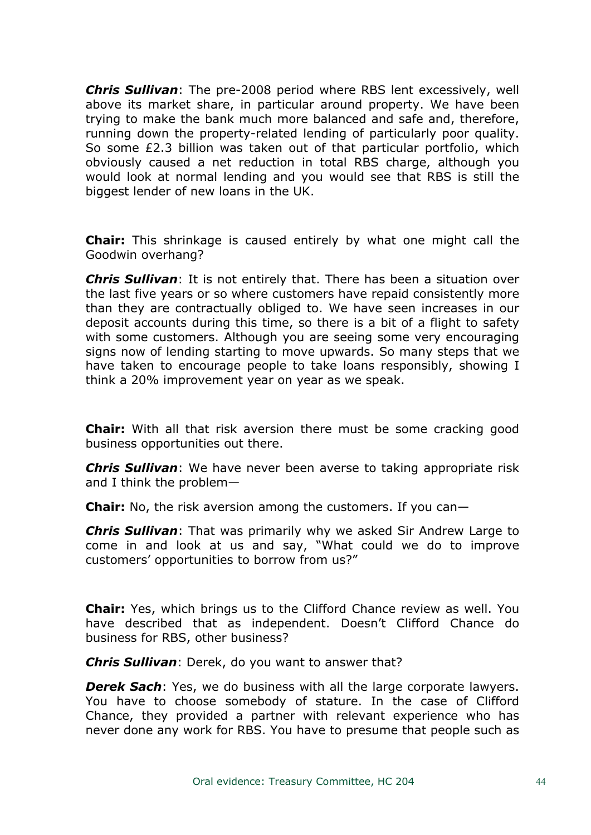*Chris Sullivan*: The pre-2008 period where RBS lent excessively, well above its market share, in particular around property. We have been trying to make the bank much more balanced and safe and, therefore, running down the property-related lending of particularly poor quality. So some £2.3 billion was taken out of that particular portfolio, which obviously caused a net reduction in total RBS charge, although you would look at normal lending and you would see that RBS is still the biggest lender of new loans in the UK.

**Chair:** This shrinkage is caused entirely by what one might call the Goodwin overhang?

*Chris Sullivan*: It is not entirely that. There has been a situation over the last five years or so where customers have repaid consistently more than they are contractually obliged to. We have seen increases in our deposit accounts during this time, so there is a bit of a flight to safety with some customers. Although you are seeing some very encouraging signs now of lending starting to move upwards. So many steps that we have taken to encourage people to take loans responsibly, showing I think a 20% improvement year on year as we speak.

**Chair:** With all that risk aversion there must be some cracking good business opportunities out there.

*Chris Sullivan*: We have never been averse to taking appropriate risk and I think the problem—

**Chair:** No, the risk aversion among the customers. If you can—

*Chris Sullivan*: That was primarily why we asked Sir Andrew Large to come in and look at us and say, "What could we do to improve customers' opportunities to borrow from us?"

**Chair:** Yes, which brings us to the Clifford Chance review as well. You have described that as independent. Doesn't Clifford Chance do business for RBS, other business?

*Chris Sullivan*: Derek, do you want to answer that?

*Derek Sach*: Yes, we do business with all the large corporate lawyers. You have to choose somebody of stature. In the case of Clifford Chance, they provided a partner with relevant experience who has never done any work for RBS. You have to presume that people such as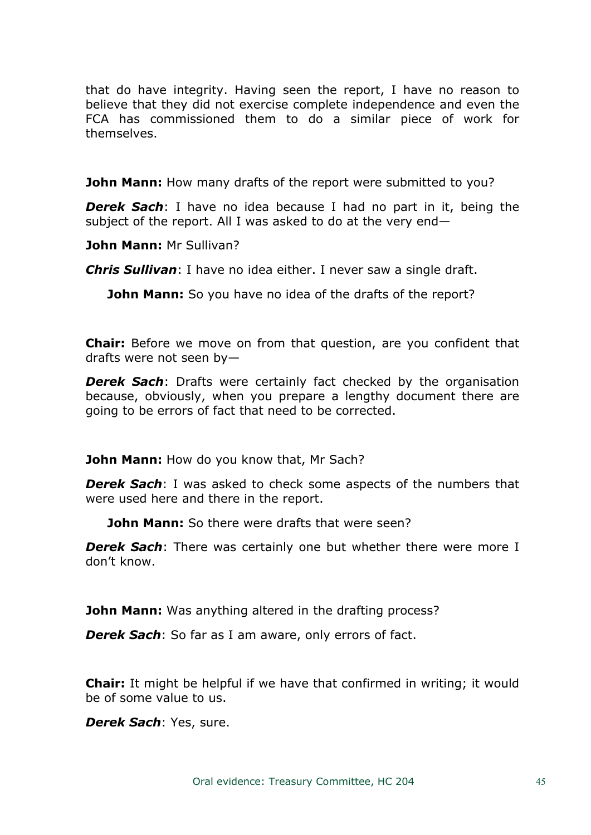that do have integrity. Having seen the report, I have no reason to believe that they did not exercise complete independence and even the FCA has commissioned them to do a similar piece of work for themselves.

**John Mann:** How many drafts of the report were submitted to you?

*Derek Sach*: I have no idea because I had no part in it, being the subject of the report. All I was asked to do at the very end—

**John Mann:** Mr Sullivan?

*Chris Sullivan*: I have no idea either. I never saw a single draft.

**John Mann:** So you have no idea of the drafts of the report?

**Chair:** Before we move on from that question, are you confident that drafts were not seen by—

*Derek Sach*: Drafts were certainly fact checked by the organisation because, obviously, when you prepare a lengthy document there are going to be errors of fact that need to be corrected.

**John Mann:** How do you know that, Mr Sach?

*Derek Sach*: I was asked to check some aspects of the numbers that were used here and there in the report.

**John Mann:** So there were drafts that were seen?

*Derek Sach*: There was certainly one but whether there were more I don't know.

**John Mann:** Was anything altered in the drafting process?

*Derek Sach*: So far as I am aware, only errors of fact.

**Chair:** It might be helpful if we have that confirmed in writing; it would be of some value to us.

*Derek Sach*: Yes, sure.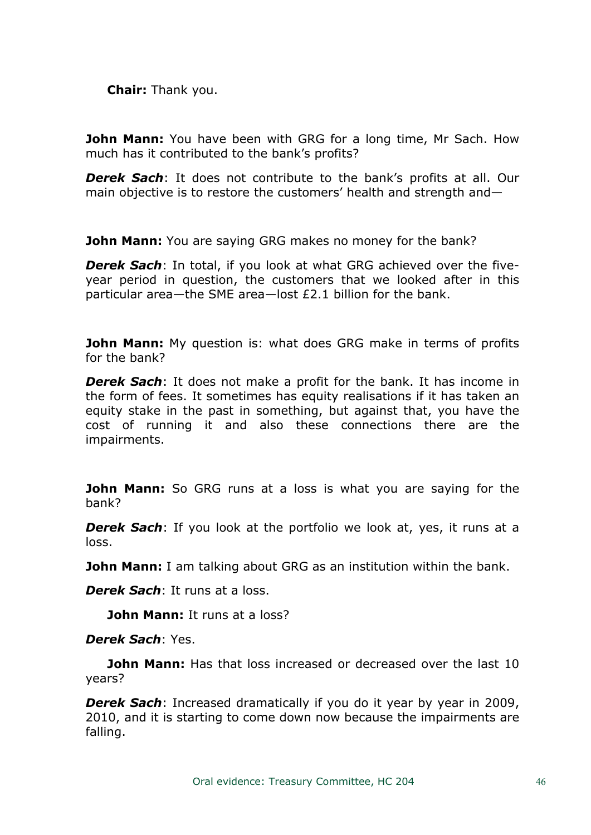**Chair:** Thank you.

**John Mann:** You have been with GRG for a long time, Mr Sach. How much has it contributed to the bank's profits?

*Derek Sach*: It does not contribute to the bank's profits at all. Our main objective is to restore the customers' health and strength and—

**John Mann:** You are saying GRG makes no money for the bank?

*Derek Sach*: In total, if you look at what GRG achieved over the fiveyear period in question, the customers that we looked after in this particular area—the SME area—lost £2.1 billion for the bank.

**John Mann:** My question is: what does GRG make in terms of profits for the bank?

*Derek Sach*: It does not make a profit for the bank. It has income in the form of fees. It sometimes has equity realisations if it has taken an equity stake in the past in something, but against that, you have the cost of running it and also these connections there are the impairments.

**John Mann:** So GRG runs at a loss is what you are saying for the bank?

*Derek Sach*: If you look at the portfolio we look at, yes, it runs at a loss.

**John Mann:** I am talking about GRG as an institution within the bank.

*Derek Sach*: It runs at a loss.

**John Mann:** It runs at a loss?

*Derek Sach*: Yes.

**John Mann:** Has that loss increased or decreased over the last 10 years?

*Derek Sach*: Increased dramatically if you do it year by year in 2009, 2010, and it is starting to come down now because the impairments are falling.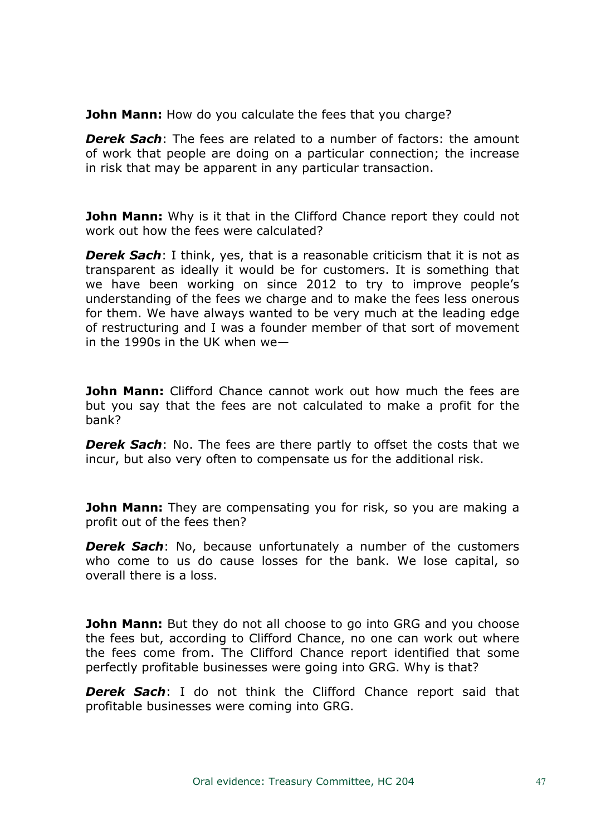**John Mann:** How do you calculate the fees that you charge?

*Derek Sach*: The fees are related to a number of factors: the amount of work that people are doing on a particular connection; the increase in risk that may be apparent in any particular transaction.

**John Mann:** Why is it that in the Clifford Chance report they could not work out how the fees were calculated?

*Derek Sach*: I think, yes, that is a reasonable criticism that it is not as transparent as ideally it would be for customers. It is something that we have been working on since 2012 to try to improve people's understanding of the fees we charge and to make the fees less onerous for them. We have always wanted to be very much at the leading edge of restructuring and I was a founder member of that sort of movement in the 1990s in the UK when we—

**John Mann:** Clifford Chance cannot work out how much the fees are but you say that the fees are not calculated to make a profit for the bank?

*Derek Sach:* No. The fees are there partly to offset the costs that we incur, but also very often to compensate us for the additional risk.

**John Mann:** They are compensating you for risk, so you are making a profit out of the fees then?

*Derek Sach*: No, because unfortunately a number of the customers who come to us do cause losses for the bank. We lose capital, so overall there is a loss.

**John Mann:** But they do not all choose to go into GRG and you choose the fees but, according to Clifford Chance, no one can work out where the fees come from. The Clifford Chance report identified that some perfectly profitable businesses were going into GRG. Why is that?

*Derek Sach*: I do not think the Clifford Chance report said that profitable businesses were coming into GRG.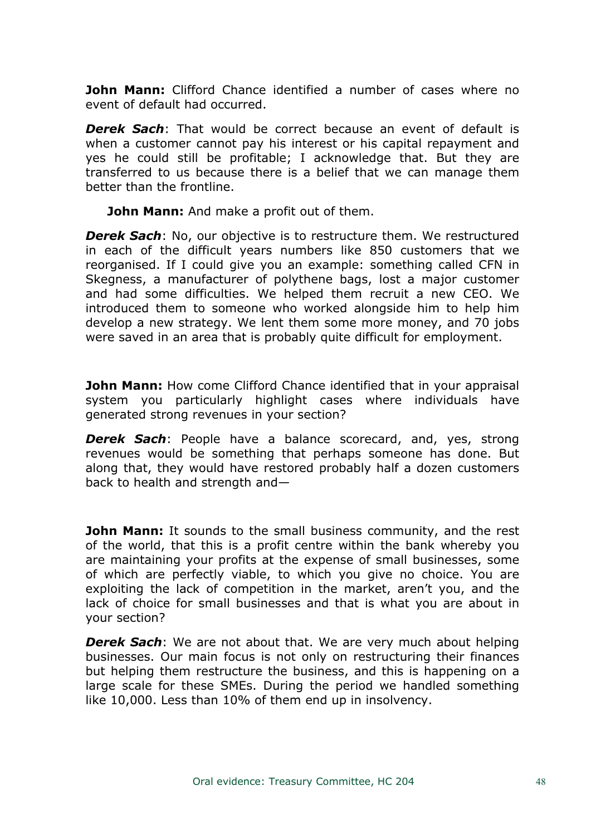**John Mann:** Clifford Chance identified a number of cases where no event of default had occurred.

*Derek Sach*: That would be correct because an event of default is when a customer cannot pay his interest or his capital repayment and yes he could still be profitable; I acknowledge that. But they are transferred to us because there is a belief that we can manage them better than the frontline.

**John Mann:** And make a profit out of them.

*Derek Sach*: No, our objective is to restructure them. We restructured in each of the difficult years numbers like 850 customers that we reorganised. If I could give you an example: something called CFN in Skegness, a manufacturer of polythene bags, lost a major customer and had some difficulties. We helped them recruit a new CEO. We introduced them to someone who worked alongside him to help him develop a new strategy. We lent them some more money, and 70 jobs were saved in an area that is probably quite difficult for employment.

**John Mann:** How come Clifford Chance identified that in your appraisal system you particularly highlight cases where individuals have generated strong revenues in your section?

*Derek Sach*: People have a balance scorecard, and, yes, strong revenues would be something that perhaps someone has done. But along that, they would have restored probably half a dozen customers back to health and strength and—

**John Mann:** It sounds to the small business community, and the rest of the world, that this is a profit centre within the bank whereby you are maintaining your profits at the expense of small businesses, some of which are perfectly viable, to which you give no choice. You are exploiting the lack of competition in the market, aren't you, and the lack of choice for small businesses and that is what you are about in your section?

*Derek Sach*: We are not about that. We are very much about helping businesses. Our main focus is not only on restructuring their finances but helping them restructure the business, and this is happening on a large scale for these SMEs. During the period we handled something like 10,000. Less than 10% of them end up in insolvency.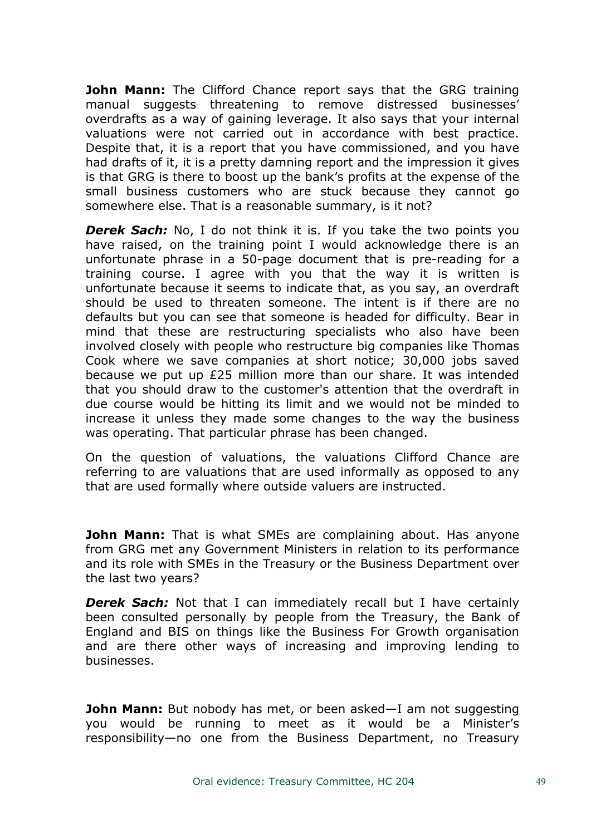**John Mann:** The Clifford Chance report says that the GRG training manual suggests threatening to remove distressed businesses' overdrafts as a way of gaining leverage. It also says that your internal valuations were not carried out in accordance with best practice. Despite that, it is a report that you have commissioned, and you have had drafts of it, it is a pretty damning report and the impression it gives is that GRG is there to boost up the bank's profits at the expense of the small business customers who are stuck because they cannot go somewhere else. That is a reasonable summary, is it not?

*Derek Sach:* No, I do not think it is. If you take the two points you have raised, on the training point I would acknowledge there is an unfortunate phrase in a 50-page document that is pre-reading for a training course. I agree with you that the way it is written is unfortunate because it seems to indicate that, as you say, an overdraft should be used to threaten someone. The intent is if there are no defaults but you can see that someone is headed for difficulty. Bear in mind that these are restructuring specialists who also have been involved closely with people who restructure big companies like Thomas Cook where we save companies at short notice; 30,000 jobs saved because we put up £25 million more than our share. It was intended that you should draw to the customer's attention that the overdraft in due course would be hitting its limit and we would not be minded to increase it unless they made some changes to the way the business was operating. That particular phrase has been changed.

On the question of valuations, the valuations Clifford Chance are referring to are valuations that are used informally as opposed to any that are used formally where outside valuers are instructed.

**John Mann:** That is what SMEs are complaining about. Has anyone from GRG met any Government Ministers in relation to its performance and its role with SMEs in the Treasury or the Business Department over the last two years?

*Derek Sach:* Not that I can immediately recall but I have certainly been consulted personally by people from the Treasury, the Bank of England and BIS on things like the Business For Growth organisation and are there other ways of increasing and improving lending to businesses.

**John Mann:** But nobody has met, or been asked—I am not suggesting you would be running to meet as it would be a Minister's responsibility—no one from the Business Department, no Treasury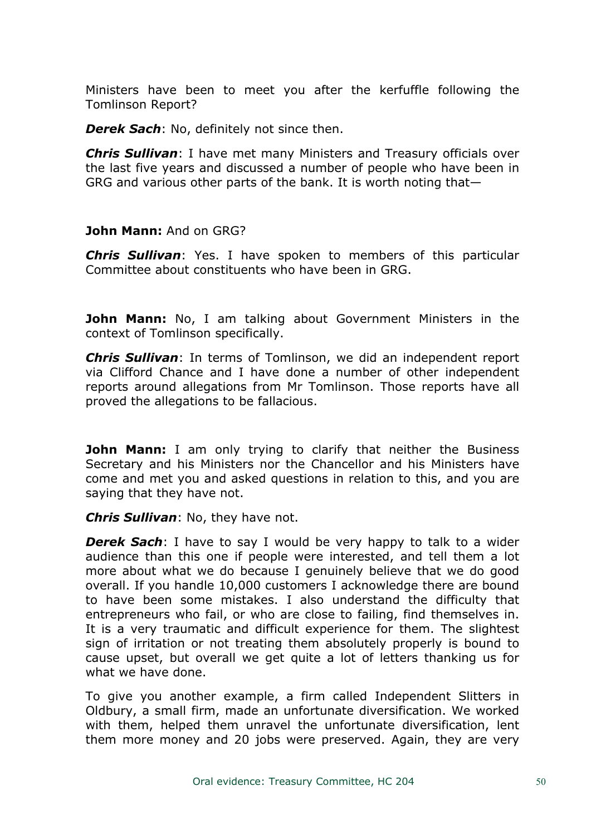Ministers have been to meet you after the kerfuffle following the Tomlinson Report?

*Derek Sach*: No, definitely not since then.

*Chris Sullivan*: I have met many Ministers and Treasury officials over the last five years and discussed a number of people who have been in GRG and various other parts of the bank. It is worth noting that—

## **John Mann:** And on GRG?

*Chris Sullivan*: Yes. I have spoken to members of this particular Committee about constituents who have been in GRG.

**John Mann:** No, I am talking about Government Ministers in the context of Tomlinson specifically.

*Chris Sullivan*: In terms of Tomlinson, we did an independent report via Clifford Chance and I have done a number of other independent reports around allegations from Mr Tomlinson. Those reports have all proved the allegations to be fallacious.

**John Mann:** I am only trying to clarify that neither the Business Secretary and his Ministers nor the Chancellor and his Ministers have come and met you and asked questions in relation to this, and you are saying that they have not.

### *Chris Sullivan*: No, they have not.

*Derek Sach*: I have to say I would be very happy to talk to a wider audience than this one if people were interested, and tell them a lot more about what we do because I genuinely believe that we do good overall. If you handle 10,000 customers I acknowledge there are bound to have been some mistakes. I also understand the difficulty that entrepreneurs who fail, or who are close to failing, find themselves in. It is a very traumatic and difficult experience for them. The slightest sign of irritation or not treating them absolutely properly is bound to cause upset, but overall we get quite a lot of letters thanking us for what we have done.

To give you another example, a firm called Independent Slitters in Oldbury, a small firm, made an unfortunate diversification. We worked with them, helped them unravel the unfortunate diversification, lent them more money and 20 jobs were preserved. Again, they are very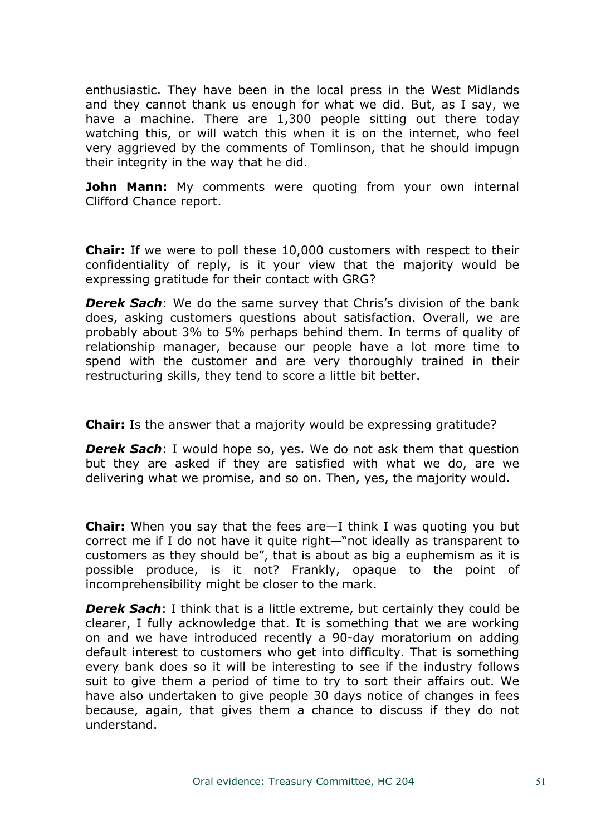enthusiastic. They have been in the local press in the West Midlands and they cannot thank us enough for what we did. But, as I say, we have a machine. There are 1,300 people sitting out there today watching this, or will watch this when it is on the internet, who feel very aggrieved by the comments of Tomlinson, that he should impugn their integrity in the way that he did.

**John Mann:** My comments were quoting from your own internal Clifford Chance report.

**Chair:** If we were to poll these 10,000 customers with respect to their confidentiality of reply, is it your view that the majority would be expressing gratitude for their contact with GRG?

*Derek Sach*: We do the same survey that Chris's division of the bank does, asking customers questions about satisfaction. Overall, we are probably about 3% to 5% perhaps behind them. In terms of quality of relationship manager, because our people have a lot more time to spend with the customer and are very thoroughly trained in their restructuring skills, they tend to score a little bit better.

**Chair:** Is the answer that a majority would be expressing gratitude?

*Derek Sach*: I would hope so, yes. We do not ask them that question but they are asked if they are satisfied with what we do, are we delivering what we promise, and so on. Then, yes, the majority would.

**Chair:** When you say that the fees are—I think I was quoting you but correct me if I do not have it quite right—"not ideally as transparent to customers as they should be", that is about as big a euphemism as it is possible produce, is it not? Frankly, opaque to the point of incomprehensibility might be closer to the mark.

*Derek Sach*: I think that is a little extreme, but certainly they could be clearer, I fully acknowledge that. It is something that we are working on and we have introduced recently a 90-day moratorium on adding default interest to customers who get into difficulty. That is something every bank does so it will be interesting to see if the industry follows suit to give them a period of time to try to sort their affairs out. We have also undertaken to give people 30 days notice of changes in fees because, again, that gives them a chance to discuss if they do not understand.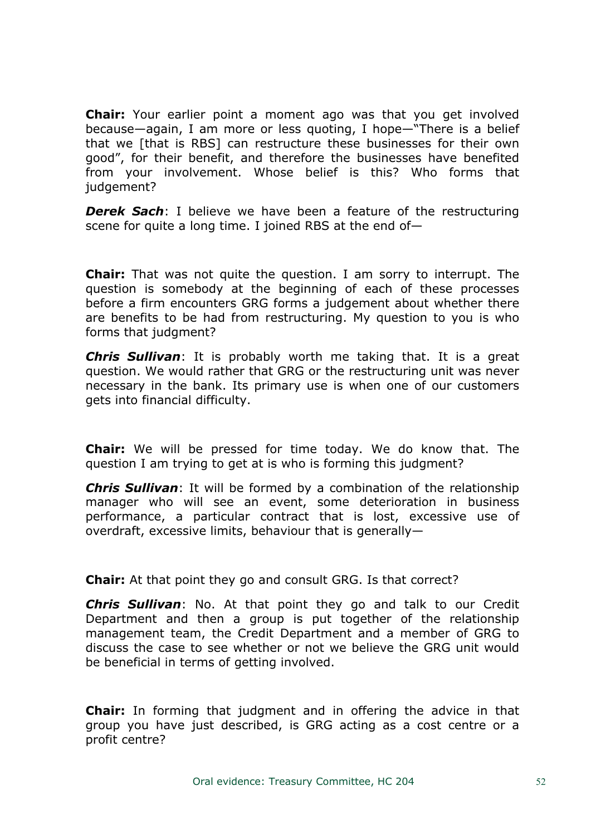**Chair:** Your earlier point a moment ago was that you get involved because—again, I am more or less quoting, I hope—"There is a belief that we [that is RBS] can restructure these businesses for their own good", for their benefit, and therefore the businesses have benefited from your involvement. Whose belief is this? Who forms that judgement?

*Derek Sach*: I believe we have been a feature of the restructuring scene for quite a long time. I joined RBS at the end of—

**Chair:** That was not quite the question. I am sorry to interrupt. The question is somebody at the beginning of each of these processes before a firm encounters GRG forms a judgement about whether there are benefits to be had from restructuring. My question to you is who forms that judgment?

*Chris Sullivan*: It is probably worth me taking that. It is a great question. We would rather that GRG or the restructuring unit was never necessary in the bank. Its primary use is when one of our customers gets into financial difficulty.

**Chair:** We will be pressed for time today. We do know that. The question I am trying to get at is who is forming this judgment?

*Chris Sullivan*: It will be formed by a combination of the relationship manager who will see an event, some deterioration in business performance, a particular contract that is lost, excessive use of overdraft, excessive limits, behaviour that is generally—

**Chair:** At that point they go and consult GRG. Is that correct?

*Chris Sullivan*: No. At that point they go and talk to our Credit Department and then a group is put together of the relationship management team, the Credit Department and a member of GRG to discuss the case to see whether or not we believe the GRG unit would be beneficial in terms of getting involved.

**Chair:** In forming that judgment and in offering the advice in that group you have just described, is GRG acting as a cost centre or a profit centre?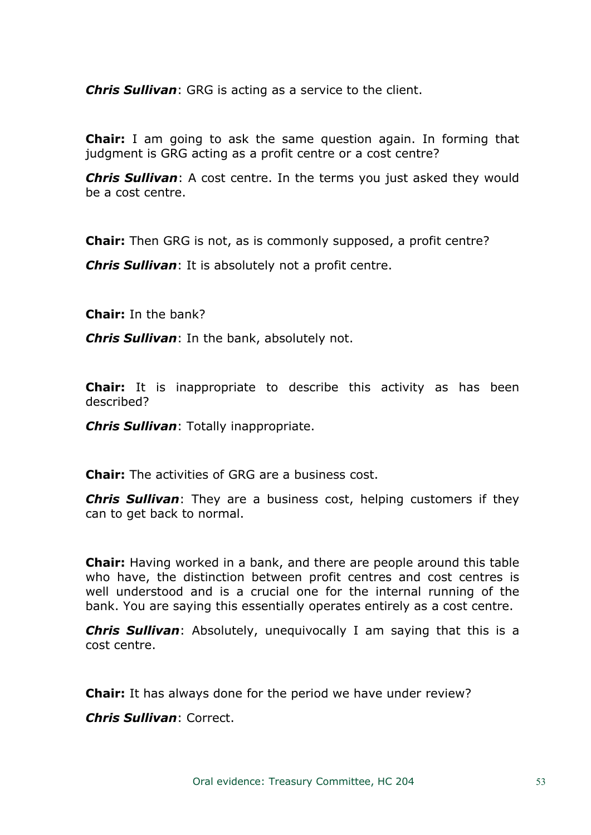*Chris Sullivan*: GRG is acting as a service to the client.

**Chair:** I am going to ask the same question again. In forming that judgment is GRG acting as a profit centre or a cost centre?

*Chris Sullivan*: A cost centre. In the terms you just asked they would be a cost centre.

**Chair:** Then GRG is not, as is commonly supposed, a profit centre?

*Chris Sullivan*: It is absolutely not a profit centre.

**Chair:** In the bank?

*Chris Sullivan*: In the bank, absolutely not.

**Chair:** It is inappropriate to describe this activity as has been described?

*Chris Sullivan*: Totally inappropriate.

**Chair:** The activities of GRG are a business cost.

*Chris Sullivan*: They are a business cost, helping customers if they can to get back to normal.

**Chair:** Having worked in a bank, and there are people around this table who have, the distinction between profit centres and cost centres is well understood and is a crucial one for the internal running of the bank. You are saying this essentially operates entirely as a cost centre.

*Chris Sullivan*: Absolutely, unequivocally I am saying that this is a cost centre.

**Chair:** It has always done for the period we have under review?

*Chris Sullivan*: Correct.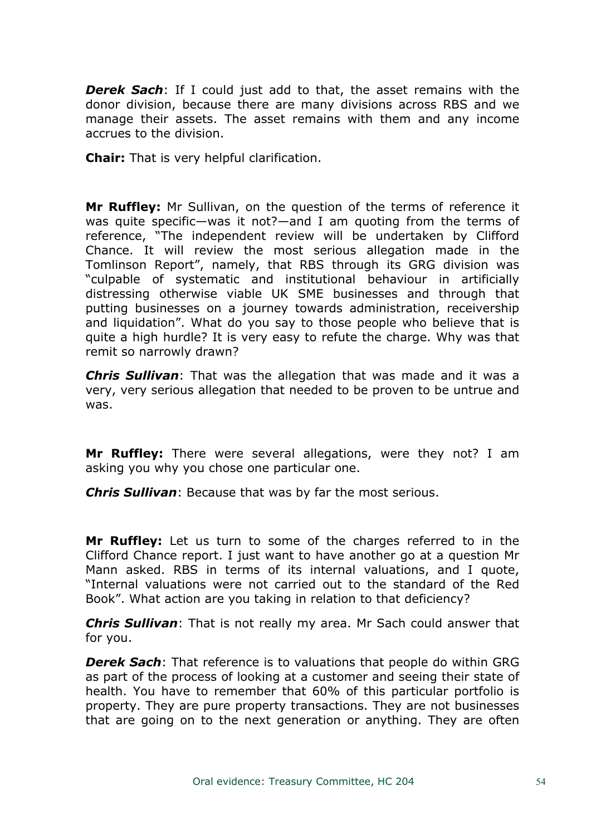*Derek Sach*: If I could just add to that, the asset remains with the donor division, because there are many divisions across RBS and we manage their assets. The asset remains with them and any income accrues to the division.

**Chair:** That is very helpful clarification.

**Mr Ruffley:** Mr Sullivan, on the question of the terms of reference it was quite specific—was it not?—and I am quoting from the terms of reference, "The independent review will be undertaken by Clifford Chance. It will review the most serious allegation made in the Tomlinson Report", namely, that RBS through its GRG division was "culpable of systematic and institutional behaviour in artificially distressing otherwise viable UK SME businesses and through that putting businesses on a journey towards administration, receivership and liquidation". What do you say to those people who believe that is quite a high hurdle? It is very easy to refute the charge. Why was that remit so narrowly drawn?

*Chris Sullivan*: That was the allegation that was made and it was a very, very serious allegation that needed to be proven to be untrue and was.

**Mr Ruffley:** There were several allegations, were they not? I am asking you why you chose one particular one.

*Chris Sullivan*: Because that was by far the most serious.

**Mr Ruffley:** Let us turn to some of the charges referred to in the Clifford Chance report. I just want to have another go at a question Mr Mann asked. RBS in terms of its internal valuations, and I quote, "Internal valuations were not carried out to the standard of the Red Book". What action are you taking in relation to that deficiency?

*Chris Sullivan*: That is not really my area. Mr Sach could answer that for you.

*Derek Sach*: That reference is to valuations that people do within GRG as part of the process of looking at a customer and seeing their state of health. You have to remember that 60% of this particular portfolio is property. They are pure property transactions. They are not businesses that are going on to the next generation or anything. They are often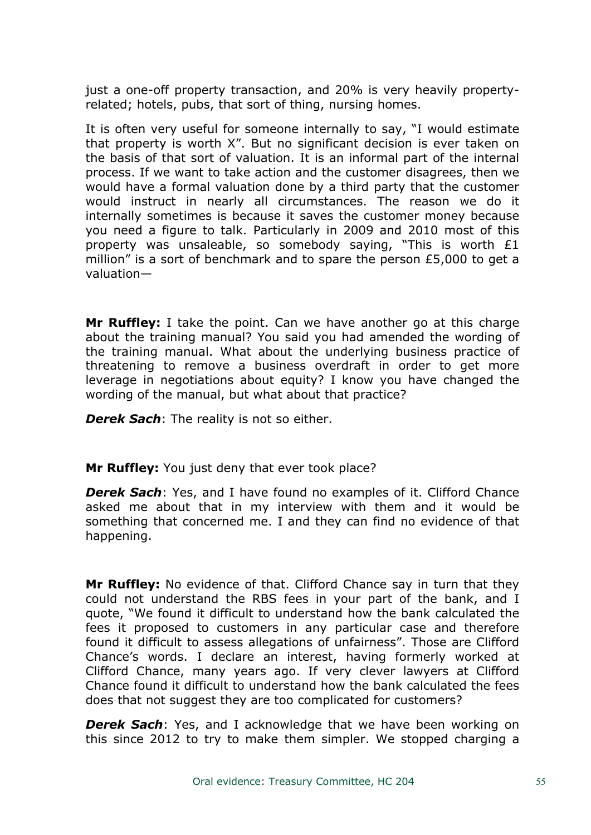just a one-off property transaction, and 20% is very heavily propertyrelated; hotels, pubs, that sort of thing, nursing homes.

It is often very useful for someone internally to say, "I would estimate that property is worth X". But no significant decision is ever taken on the basis of that sort of valuation. It is an informal part of the internal process. If we want to take action and the customer disagrees, then we would have a formal valuation done by a third party that the customer would instruct in nearly all circumstances. The reason we do it internally sometimes is because it saves the customer money because you need a figure to talk. Particularly in 2009 and 2010 most of this property was unsaleable, so somebody saying, "This is worth £1 million" is a sort of benchmark and to spare the person £5,000 to get a valuation—

**Mr Ruffley:** I take the point. Can we have another go at this charge about the training manual? You said you had amended the wording of the training manual. What about the underlying business practice of threatening to remove a business overdraft in order to get more leverage in negotiations about equity? I know you have changed the wording of the manual, but what about that practice?

*Derek Sach*: The reality is not so either.

**Mr Ruffley:** You just deny that ever took place?

*Derek Sach*: Yes, and I have found no examples of it. Clifford Chance asked me about that in my interview with them and it would be something that concerned me. I and they can find no evidence of that happening.

**Mr Ruffley:** No evidence of that. Clifford Chance say in turn that they could not understand the RBS fees in your part of the bank, and I quote, "We found it difficult to understand how the bank calculated the fees it proposed to customers in any particular case and therefore found it difficult to assess allegations of unfairness". Those are Clifford Chance's words. I declare an interest, having formerly worked at Clifford Chance, many years ago. If very clever lawyers at Clifford Chance found it difficult to understand how the bank calculated the fees does that not suggest they are too complicated for customers?

**Derek Sach:** Yes, and I acknowledge that we have been working on this since 2012 to try to make them simpler. We stopped charging a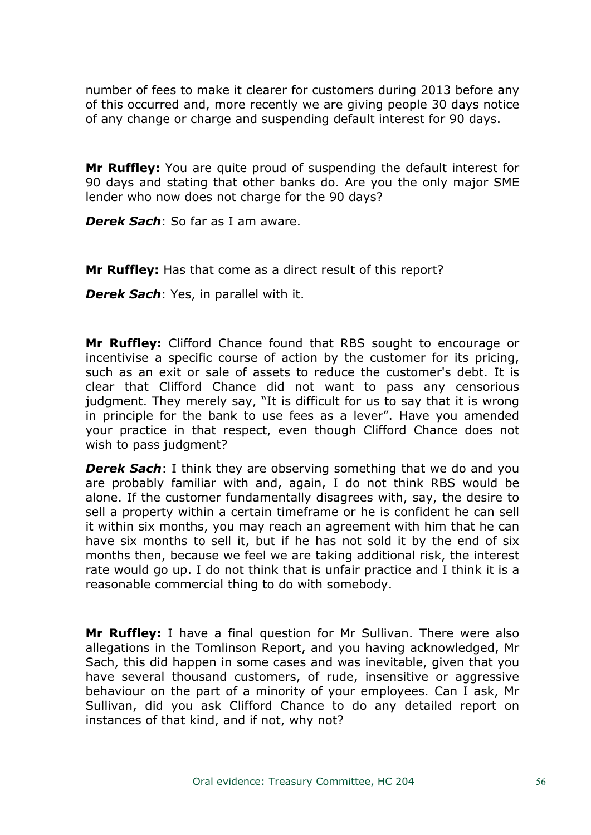number of fees to make it clearer for customers during 2013 before any of this occurred and, more recently we are giving people 30 days notice of any change or charge and suspending default interest for 90 days.

**Mr Ruffley:** You are quite proud of suspending the default interest for 90 days and stating that other banks do. Are you the only major SME lender who now does not charge for the 90 days?

*Derek Sach*: So far as I am aware.

**Mr Ruffley:** Has that come as a direct result of this report?

*Derek Sach*: Yes, in parallel with it.

**Mr Ruffley:** Clifford Chance found that RBS sought to encourage or incentivise a specific course of action by the customer for its pricing, such as an exit or sale of assets to reduce the customer's debt. It is clear that Clifford Chance did not want to pass any censorious judgment. They merely say, "It is difficult for us to say that it is wrong in principle for the bank to use fees as a lever". Have you amended your practice in that respect, even though Clifford Chance does not wish to pass judgment?

*Derek Sach*: I think they are observing something that we do and you are probably familiar with and, again, I do not think RBS would be alone. If the customer fundamentally disagrees with, say, the desire to sell a property within a certain timeframe or he is confident he can sell it within six months, you may reach an agreement with him that he can have six months to sell it, but if he has not sold it by the end of six months then, because we feel we are taking additional risk, the interest rate would go up. I do not think that is unfair practice and I think it is a reasonable commercial thing to do with somebody.

**Mr Ruffley:** I have a final question for Mr Sullivan. There were also allegations in the Tomlinson Report, and you having acknowledged, Mr Sach, this did happen in some cases and was inevitable, given that you have several thousand customers, of rude, insensitive or aggressive behaviour on the part of a minority of your employees. Can I ask, Mr Sullivan, did you ask Clifford Chance to do any detailed report on instances of that kind, and if not, why not?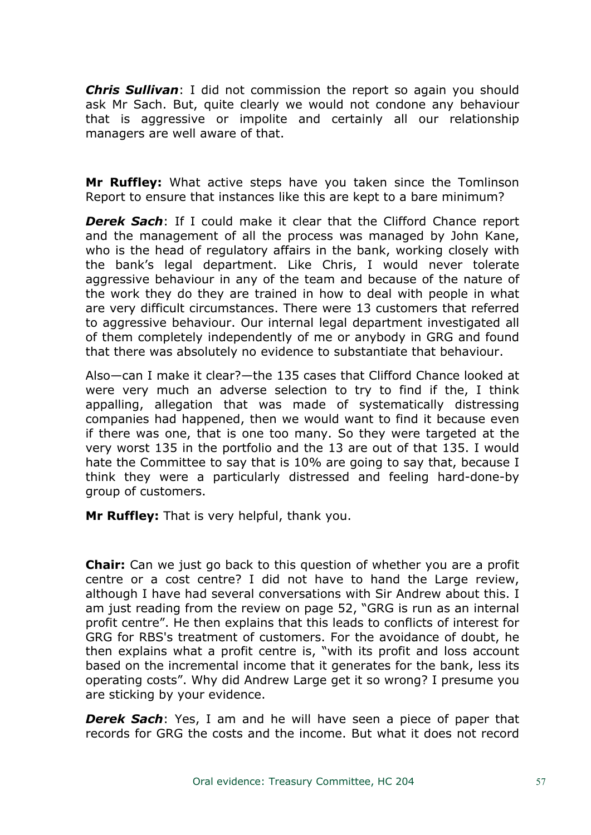*Chris Sullivan*: I did not commission the report so again you should ask Mr Sach. But, quite clearly we would not condone any behaviour that is aggressive or impolite and certainly all our relationship managers are well aware of that.

**Mr Ruffley:** What active steps have you taken since the Tomlinson Report to ensure that instances like this are kept to a bare minimum?

*Derek Sach*: If I could make it clear that the Clifford Chance report and the management of all the process was managed by John Kane, who is the head of regulatory affairs in the bank, working closely with the bank's legal department. Like Chris, I would never tolerate aggressive behaviour in any of the team and because of the nature of the work they do they are trained in how to deal with people in what are very difficult circumstances. There were 13 customers that referred to aggressive behaviour. Our internal legal department investigated all of them completely independently of me or anybody in GRG and found that there was absolutely no evidence to substantiate that behaviour.

Also—can I make it clear?—the 135 cases that Clifford Chance looked at were very much an adverse selection to try to find if the, I think appalling, allegation that was made of systematically distressing companies had happened, then we would want to find it because even if there was one, that is one too many. So they were targeted at the very worst 135 in the portfolio and the 13 are out of that 135. I would hate the Committee to say that is 10% are going to say that, because I think they were a particularly distressed and feeling hard-done-by group of customers.

**Mr Ruffley:** That is very helpful, thank you.

**Chair:** Can we just go back to this question of whether you are a profit centre or a cost centre? I did not have to hand the Large review, although I have had several conversations with Sir Andrew about this. I am just reading from the review on page 52, "GRG is run as an internal profit centre". He then explains that this leads to conflicts of interest for GRG for RBS's treatment of customers. For the avoidance of doubt, he then explains what a profit centre is, "with its profit and loss account based on the incremental income that it generates for the bank, less its operating costs". Why did Andrew Large get it so wrong? I presume you are sticking by your evidence.

*Derek Sach*: Yes, I am and he will have seen a piece of paper that records for GRG the costs and the income. But what it does not record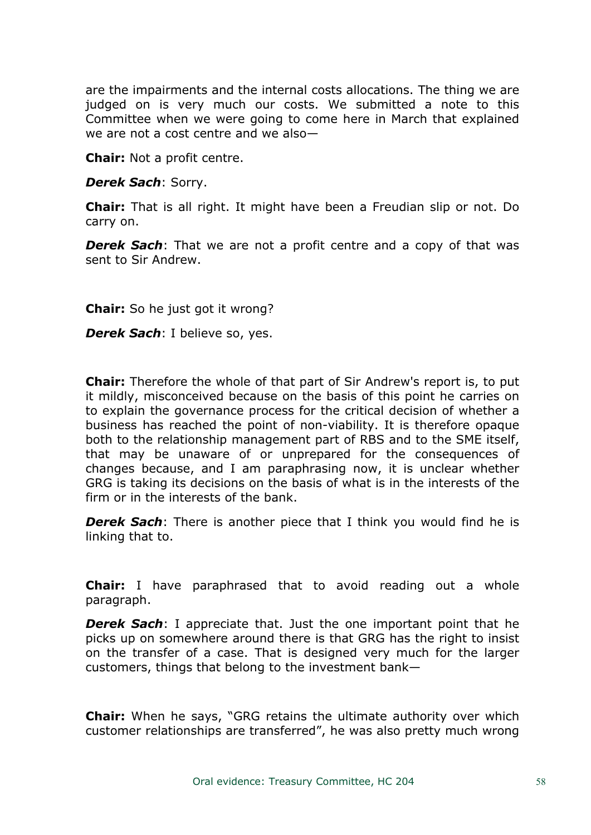are the impairments and the internal costs allocations. The thing we are judged on is very much our costs. We submitted a note to this Committee when we were going to come here in March that explained we are not a cost centre and we also—

**Chair:** Not a profit centre.

*Derek Sach*: Sorry.

**Chair:** That is all right. It might have been a Freudian slip or not. Do carry on.

*Derek Sach*: That we are not a profit centre and a copy of that was sent to Sir Andrew.

**Chair:** So he just got it wrong?

*Derek Sach*: I believe so, yes.

**Chair:** Therefore the whole of that part of Sir Andrew's report is, to put it mildly, misconceived because on the basis of this point he carries on to explain the governance process for the critical decision of whether a business has reached the point of non-viability. It is therefore opaque both to the relationship management part of RBS and to the SME itself, that may be unaware of or unprepared for the consequences of changes because, and I am paraphrasing now, it is unclear whether GRG is taking its decisions on the basis of what is in the interests of the firm or in the interests of the bank.

*Derek Sach*: There is another piece that I think you would find he is linking that to.

**Chair:** I have paraphrased that to avoid reading out a whole paragraph.

*Derek Sach*: I appreciate that. Just the one important point that he picks up on somewhere around there is that GRG has the right to insist on the transfer of a case. That is designed very much for the larger customers, things that belong to the investment bank—

**Chair:** When he says, "GRG retains the ultimate authority over which customer relationships are transferred", he was also pretty much wrong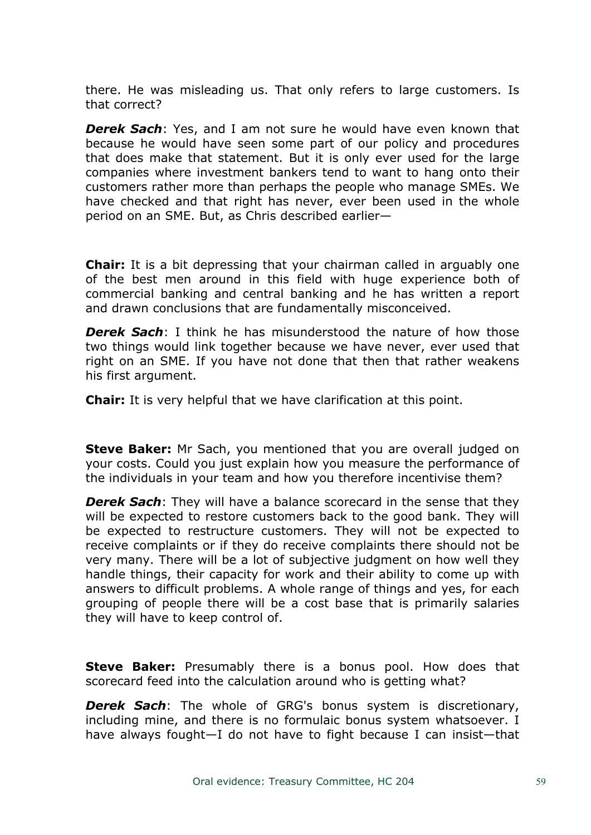there. He was misleading us. That only refers to large customers. Is that correct?

*Derek Sach*: Yes, and I am not sure he would have even known that because he would have seen some part of our policy and procedures that does make that statement. But it is only ever used for the large companies where investment bankers tend to want to hang onto their customers rather more than perhaps the people who manage SMEs. We have checked and that right has never, ever been used in the whole period on an SME. But, as Chris described earlier—

**Chair:** It is a bit depressing that your chairman called in arguably one of the best men around in this field with huge experience both of commercial banking and central banking and he has written a report and drawn conclusions that are fundamentally misconceived.

*Derek Sach*: I think he has misunderstood the nature of how those two things would link together because we have never, ever used that right on an SME. If you have not done that then that rather weakens his first argument.

**Chair:** It is very helpful that we have clarification at this point.

**Steve Baker:** Mr Sach, you mentioned that you are overall judged on your costs. Could you just explain how you measure the performance of the individuals in your team and how you therefore incentivise them?

*Derek Sach*: They will have a balance scorecard in the sense that they will be expected to restore customers back to the good bank. They will be expected to restructure customers. They will not be expected to receive complaints or if they do receive complaints there should not be very many. There will be a lot of subjective judgment on how well they handle things, their capacity for work and their ability to come up with answers to difficult problems. A whole range of things and yes, for each grouping of people there will be a cost base that is primarily salaries they will have to keep control of.

**Steve Baker:** Presumably there is a bonus pool. How does that scorecard feed into the calculation around who is getting what?

*Derek Sach*: The whole of GRG's bonus system is discretionary, including mine, and there is no formulaic bonus system whatsoever. I have always fought—I do not have to fight because I can insist—that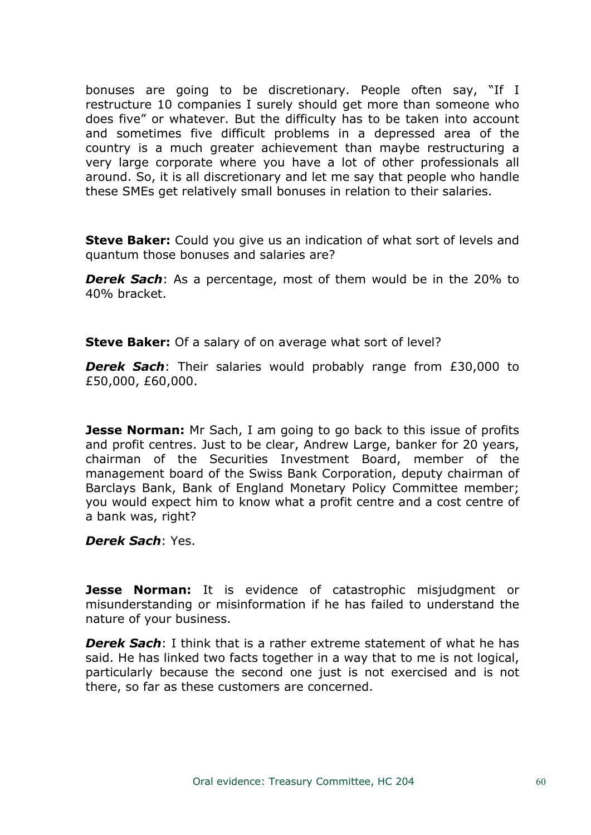bonuses are going to be discretionary. People often say, "If I restructure 10 companies I surely should get more than someone who does five" or whatever. But the difficulty has to be taken into account and sometimes five difficult problems in a depressed area of the country is a much greater achievement than maybe restructuring a very large corporate where you have a lot of other professionals all around. So, it is all discretionary and let me say that people who handle these SMEs get relatively small bonuses in relation to their salaries.

**Steve Baker:** Could you give us an indication of what sort of levels and quantum those bonuses and salaries are?

*Derek Sach*: As a percentage, most of them would be in the 20% to 40% bracket.

**Steve Baker:** Of a salary of on average what sort of level?

*Derek Sach*: Their salaries would probably range from £30,000 to £50,000, £60,000.

**Jesse Norman:** Mr Sach, I am going to go back to this issue of profits and profit centres. Just to be clear, Andrew Large, banker for 20 years, chairman of the Securities Investment Board, member of the management board of the Swiss Bank Corporation, deputy chairman of Barclays Bank, Bank of England Monetary Policy Committee member; you would expect him to know what a profit centre and a cost centre of a bank was, right?

*Derek Sach*: Yes.

**Jesse Norman:** It is evidence of catastrophic misjudgment or misunderstanding or misinformation if he has failed to understand the nature of your business.

*Derek Sach*: I think that is a rather extreme statement of what he has said. He has linked two facts together in a way that to me is not logical, particularly because the second one just is not exercised and is not there, so far as these customers are concerned.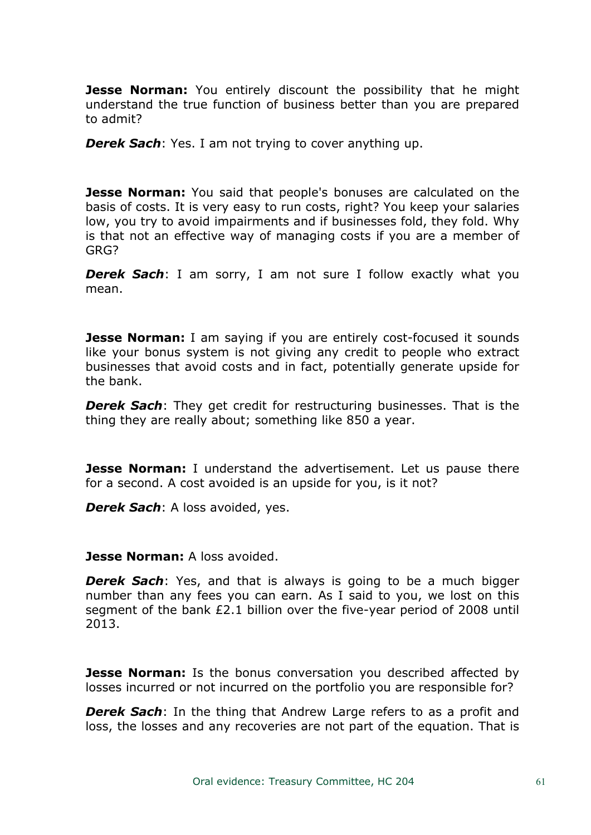**Jesse Norman:** You entirely discount the possibility that he might understand the true function of business better than you are prepared to admit?

*Derek Sach*: Yes. I am not trying to cover anything up.

**Jesse Norman:** You said that people's bonuses are calculated on the basis of costs. It is very easy to run costs, right? You keep your salaries low, you try to avoid impairments and if businesses fold, they fold. Why is that not an effective way of managing costs if you are a member of GRG?

*Derek Sach*: I am sorry, I am not sure I follow exactly what you mean.

**Jesse Norman:** I am saying if you are entirely cost-focused it sounds like your bonus system is not giving any credit to people who extract businesses that avoid costs and in fact, potentially generate upside for the bank.

*Derek Sach*: They get credit for restructuring businesses. That is the thing they are really about; something like 850 a year.

**Jesse Norman:** I understand the advertisement. Let us pause there for a second. A cost avoided is an upside for you, is it not?

*Derek Sach*: A loss avoided, yes.

### **Jesse Norman:** A loss avoided.

*Derek Sach*: Yes, and that is always is going to be a much bigger number than any fees you can earn. As I said to you, we lost on this segment of the bank £2.1 billion over the five-year period of 2008 until 2013.

**Jesse Norman:** Is the bonus conversation you described affected by losses incurred or not incurred on the portfolio you are responsible for?

*Derek Sach*: In the thing that Andrew Large refers to as a profit and loss, the losses and any recoveries are not part of the equation. That is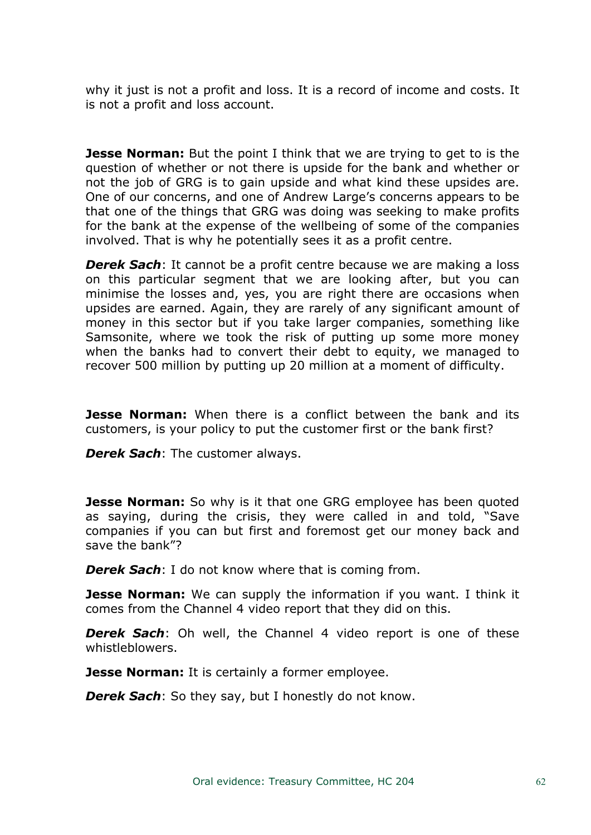why it just is not a profit and loss. It is a record of income and costs. It is not a profit and loss account.

**Jesse Norman:** But the point I think that we are trying to get to is the question of whether or not there is upside for the bank and whether or not the job of GRG is to gain upside and what kind these upsides are. One of our concerns, and one of Andrew Large's concerns appears to be that one of the things that GRG was doing was seeking to make profits for the bank at the expense of the wellbeing of some of the companies involved. That is why he potentially sees it as a profit centre.

**Derek Sach**: It cannot be a profit centre because we are making a loss on this particular segment that we are looking after, but you can minimise the losses and, yes, you are right there are occasions when upsides are earned. Again, they are rarely of any significant amount of money in this sector but if you take larger companies, something like Samsonite, where we took the risk of putting up some more money when the banks had to convert their debt to equity, we managed to recover 500 million by putting up 20 million at a moment of difficulty.

**Jesse Norman:** When there is a conflict between the bank and its customers, is your policy to put the customer first or the bank first?

*Derek Sach*: The customer always.

**Jesse Norman:** So why is it that one GRG employee has been quoted as saying, during the crisis, they were called in and told, "Save companies if you can but first and foremost get our money back and save the bank"?

*Derek Sach*: I do not know where that is coming from.

**Jesse Norman:** We can supply the information if you want. I think it comes from the Channel 4 video report that they did on this.

*Derek Sach*: Oh well, the Channel 4 video report is one of these whistleblowers.

**Jesse Norman:** It is certainly a former employee.

*Derek Sach*: So they say, but I honestly do not know.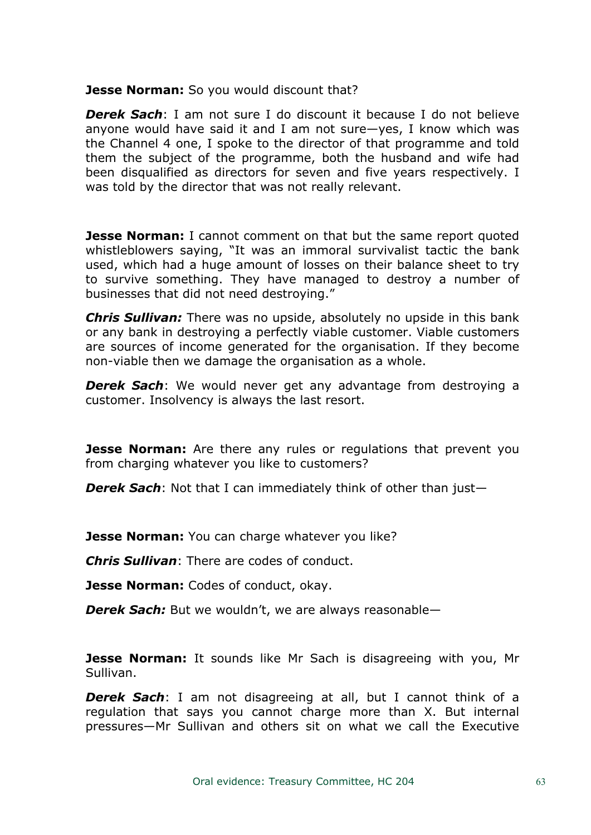**Jesse Norman:** So you would discount that?

*Derek Sach*: I am not sure I do discount it because I do not believe anyone would have said it and I am not sure—yes, I know which was the Channel 4 one, I spoke to the director of that programme and told them the subject of the programme, both the husband and wife had been disqualified as directors for seven and five years respectively. I was told by the director that was not really relevant.

**Jesse Norman:** I cannot comment on that but the same report quoted whistleblowers saying, "It was an immoral survivalist tactic the bank used, which had a huge amount of losses on their balance sheet to try to survive something. They have managed to destroy a number of businesses that did not need destroying."

*Chris Sullivan:* There was no upside, absolutely no upside in this bank or any bank in destroying a perfectly viable customer. Viable customers are sources of income generated for the organisation. If they become non-viable then we damage the organisation as a whole.

*Derek Sach*: We would never get any advantage from destroying a customer. Insolvency is always the last resort.

**Jesse Norman:** Are there any rules or regulations that prevent you from charging whatever you like to customers?

*Derek Sach*: Not that I can immediately think of other than just—

**Jesse Norman:** You can charge whatever you like?

*Chris Sullivan*: There are codes of conduct.

**Jesse Norman:** Codes of conduct, okay.

*Derek Sach:* But we wouldn't, we are always reasonable—

**Jesse Norman:** It sounds like Mr Sach is disagreeing with you, Mr Sullivan.

*Derek Sach*: I am not disagreeing at all, but I cannot think of a regulation that says you cannot charge more than X. But internal pressures—Mr Sullivan and others sit on what we call the Executive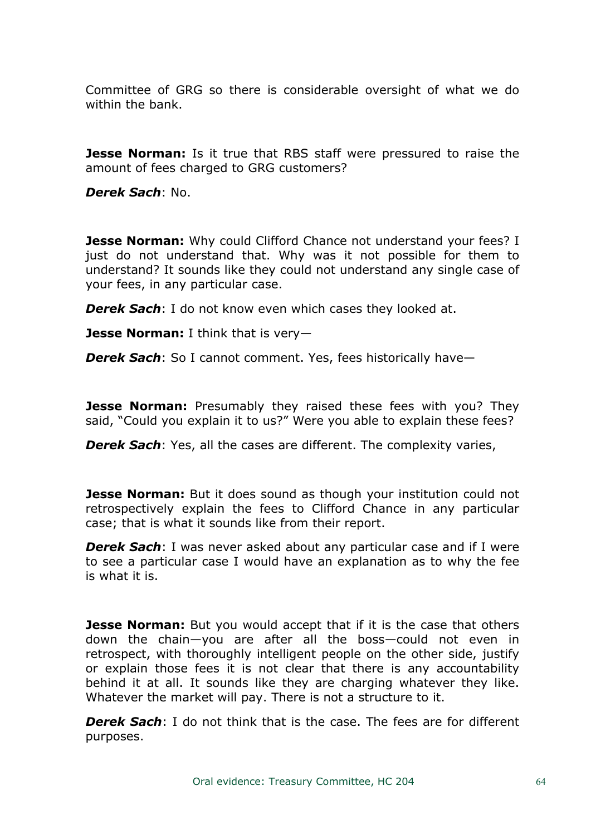Committee of GRG so there is considerable oversight of what we do within the bank.

**Jesse Norman:** Is it true that RBS staff were pressured to raise the amount of fees charged to GRG customers?

*Derek Sach*: No.

**Jesse Norman:** Why could Clifford Chance not understand your fees? I just do not understand that. Why was it not possible for them to understand? It sounds like they could not understand any single case of your fees, in any particular case.

*Derek Sach*: I do not know even which cases they looked at.

**Jesse Norman:** I think that is very—

*Derek Sach*: So I cannot comment. Yes, fees historically have—

**Jesse Norman:** Presumably they raised these fees with you? They said, "Could you explain it to us?" Were you able to explain these fees?

*Derek Sach*: Yes, all the cases are different. The complexity varies,

**Jesse Norman:** But it does sound as though your institution could not retrospectively explain the fees to Clifford Chance in any particular case; that is what it sounds like from their report.

*Derek Sach*: I was never asked about any particular case and if I were to see a particular case I would have an explanation as to why the fee is what it is.

**Jesse Norman:** But you would accept that if it is the case that others down the chain—you are after all the boss—could not even in retrospect, with thoroughly intelligent people on the other side, justify or explain those fees it is not clear that there is any accountability behind it at all. It sounds like they are charging whatever they like. Whatever the market will pay. There is not a structure to it.

*Derek Sach*: I do not think that is the case. The fees are for different purposes.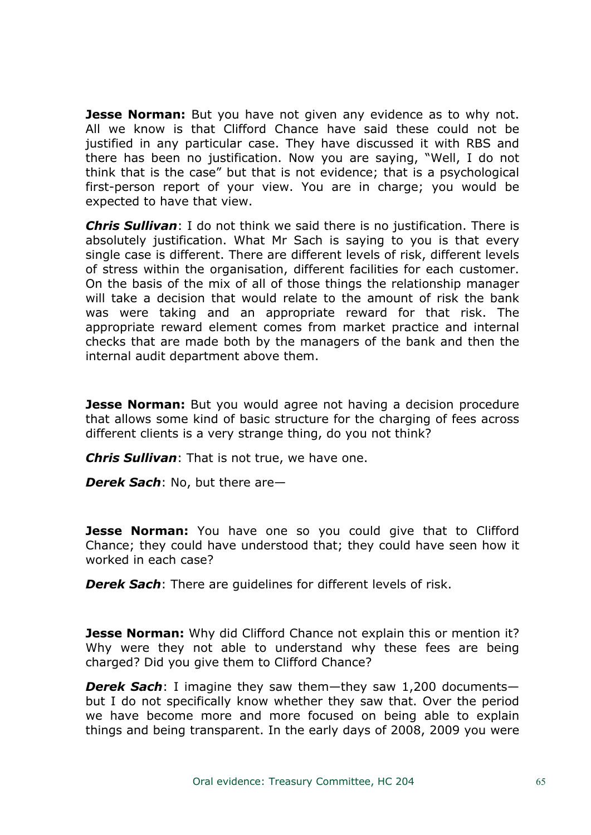**Jesse Norman:** But you have not given any evidence as to why not. All we know is that Clifford Chance have said these could not be justified in any particular case. They have discussed it with RBS and there has been no justification. Now you are saying, "Well, I do not think that is the case" but that is not evidence; that is a psychological first-person report of your view. You are in charge; you would be expected to have that view.

*Chris Sullivan*: I do not think we said there is no justification. There is absolutely justification. What Mr Sach is saying to you is that every single case is different. There are different levels of risk, different levels of stress within the organisation, different facilities for each customer. On the basis of the mix of all of those things the relationship manager will take a decision that would relate to the amount of risk the bank was were taking and an appropriate reward for that risk. The appropriate reward element comes from market practice and internal checks that are made both by the managers of the bank and then the internal audit department above them.

**Jesse Norman:** But you would agree not having a decision procedure that allows some kind of basic structure for the charging of fees across different clients is a very strange thing, do you not think?

*Chris Sullivan*: That is not true, we have one.

*Derek Sach*: No, but there are—

**Jesse Norman:** You have one so you could give that to Clifford Chance; they could have understood that; they could have seen how it worked in each case?

*Derek Sach*: There are guidelines for different levels of risk.

**Jesse Norman:** Why did Clifford Chance not explain this or mention it? Why were they not able to understand why these fees are being charged? Did you give them to Clifford Chance?

*Derek Sach*: I imagine they saw them—they saw 1,200 documents but I do not specifically know whether they saw that. Over the period we have become more and more focused on being able to explain things and being transparent. In the early days of 2008, 2009 you were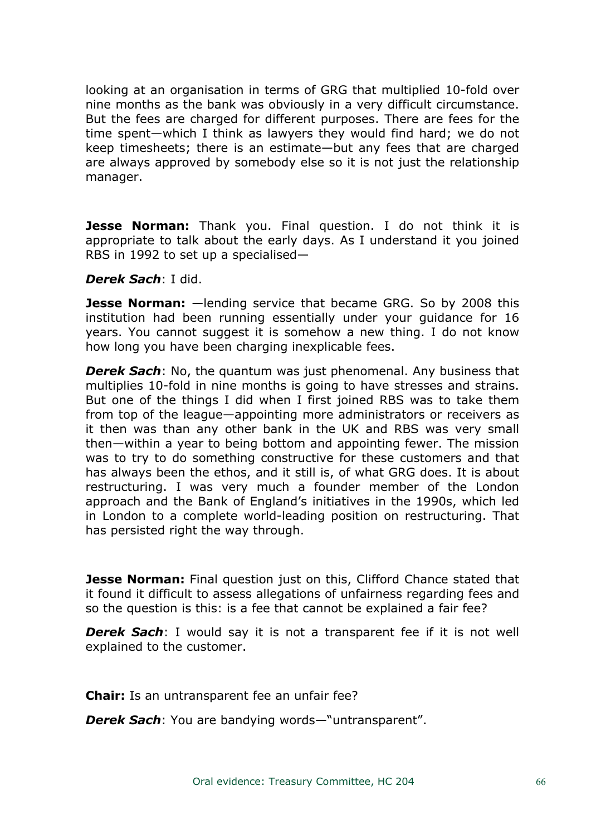looking at an organisation in terms of GRG that multiplied 10-fold over nine months as the bank was obviously in a very difficult circumstance. But the fees are charged for different purposes. There are fees for the time spent—which I think as lawyers they would find hard; we do not keep timesheets; there is an estimate—but any fees that are charged are always approved by somebody else so it is not just the relationship manager.

**Jesse Norman:** Thank you. Final question. I do not think it is appropriate to talk about the early days. As I understand it you joined RBS in 1992 to set up a specialised—

#### *Derek Sach*: I did.

**Jesse Norman:** —lending service that became GRG. So by 2008 this institution had been running essentially under your guidance for 16 years. You cannot suggest it is somehow a new thing. I do not know how long you have been charging inexplicable fees.

*Derek Sach*: No, the quantum was just phenomenal. Any business that multiplies 10-fold in nine months is going to have stresses and strains. But one of the things I did when I first joined RBS was to take them from top of the league—appointing more administrators or receivers as it then was than any other bank in the UK and RBS was very small then—within a year to being bottom and appointing fewer. The mission was to try to do something constructive for these customers and that has always been the ethos, and it still is, of what GRG does. It is about restructuring. I was very much a founder member of the London approach and the Bank of England's initiatives in the 1990s, which led in London to a complete world-leading position on restructuring. That has persisted right the way through.

**Jesse Norman:** Final question just on this, Clifford Chance stated that it found it difficult to assess allegations of unfairness regarding fees and so the question is this: is a fee that cannot be explained a fair fee?

*Derek Sach*: I would say it is not a transparent fee if it is not well explained to the customer.

**Chair:** Is an untransparent fee an unfair fee?

*Derek Sach*: You are bandying words—"untransparent".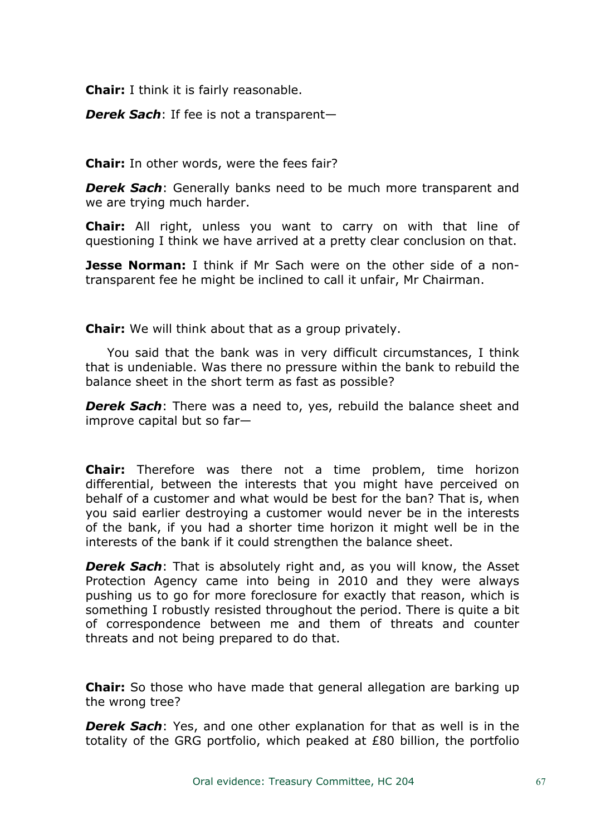**Chair:** I think it is fairly reasonable.

*Derek Sach*: If fee is not a transparent—

**Chair:** In other words, were the fees fair?

*Derek Sach*: Generally banks need to be much more transparent and we are trying much harder.

**Chair:** All right, unless you want to carry on with that line of questioning I think we have arrived at a pretty clear conclusion on that.

**Jesse Norman:** I think if Mr Sach were on the other side of a nontransparent fee he might be inclined to call it unfair, Mr Chairman.

**Chair:** We will think about that as a group privately.

You said that the bank was in very difficult circumstances, I think that is undeniable. Was there no pressure within the bank to rebuild the balance sheet in the short term as fast as possible?

*Derek Sach*: There was a need to, yes, rebuild the balance sheet and improve capital but so far—

**Chair:** Therefore was there not a time problem, time horizon differential, between the interests that you might have perceived on behalf of a customer and what would be best for the ban? That is, when you said earlier destroying a customer would never be in the interests of the bank, if you had a shorter time horizon it might well be in the interests of the bank if it could strengthen the balance sheet.

*Derek Sach*: That is absolutely right and, as you will know, the Asset Protection Agency came into being in 2010 and they were always pushing us to go for more foreclosure for exactly that reason, which is something I robustly resisted throughout the period. There is quite a bit of correspondence between me and them of threats and counter threats and not being prepared to do that.

**Chair:** So those who have made that general allegation are barking up the wrong tree?

*Derek Sach*: Yes, and one other explanation for that as well is in the totality of the GRG portfolio, which peaked at £80 billion, the portfolio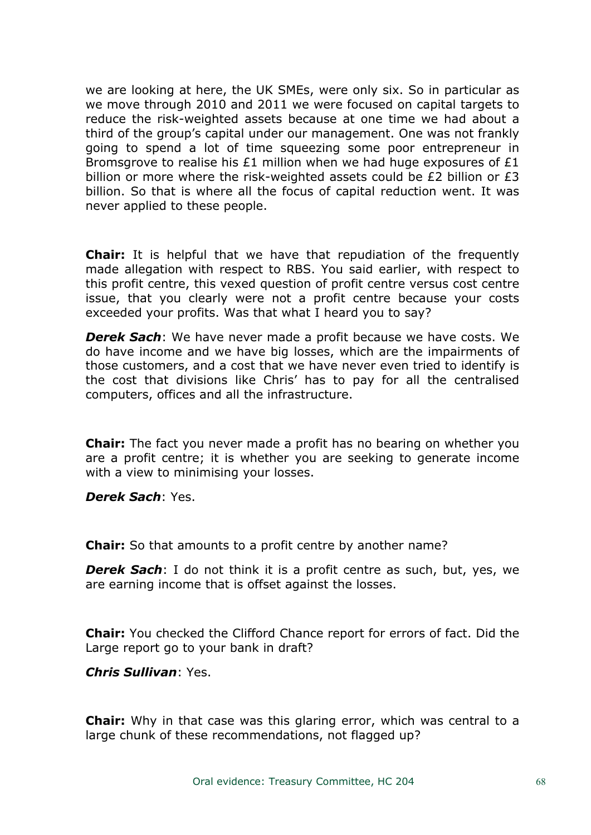we are looking at here, the UK SMEs, were only six. So in particular as we move through 2010 and 2011 we were focused on capital targets to reduce the risk-weighted assets because at one time we had about a third of the group's capital under our management. One was not frankly going to spend a lot of time squeezing some poor entrepreneur in Bromsgrove to realise his £1 million when we had huge exposures of £1 billion or more where the risk-weighted assets could be £2 billion or £3 billion. So that is where all the focus of capital reduction went. It was never applied to these people.

**Chair:** It is helpful that we have that repudiation of the frequently made allegation with respect to RBS. You said earlier, with respect to this profit centre, this vexed question of profit centre versus cost centre issue, that you clearly were not a profit centre because your costs exceeded your profits. Was that what I heard you to say?

*Derek Sach*: We have never made a profit because we have costs. We do have income and we have big losses, which are the impairments of those customers, and a cost that we have never even tried to identify is the cost that divisions like Chris' has to pay for all the centralised computers, offices and all the infrastructure.

**Chair:** The fact you never made a profit has no bearing on whether you are a profit centre; it is whether you are seeking to generate income with a view to minimising your losses.

*Derek Sach*: Yes.

**Chair:** So that amounts to a profit centre by another name?

*Derek Sach*: I do not think it is a profit centre as such, but, yes, we are earning income that is offset against the losses.

**Chair:** You checked the Clifford Chance report for errors of fact. Did the Large report go to your bank in draft?

*Chris Sullivan*: Yes.

**Chair:** Why in that case was this glaring error, which was central to a large chunk of these recommendations, not flagged up?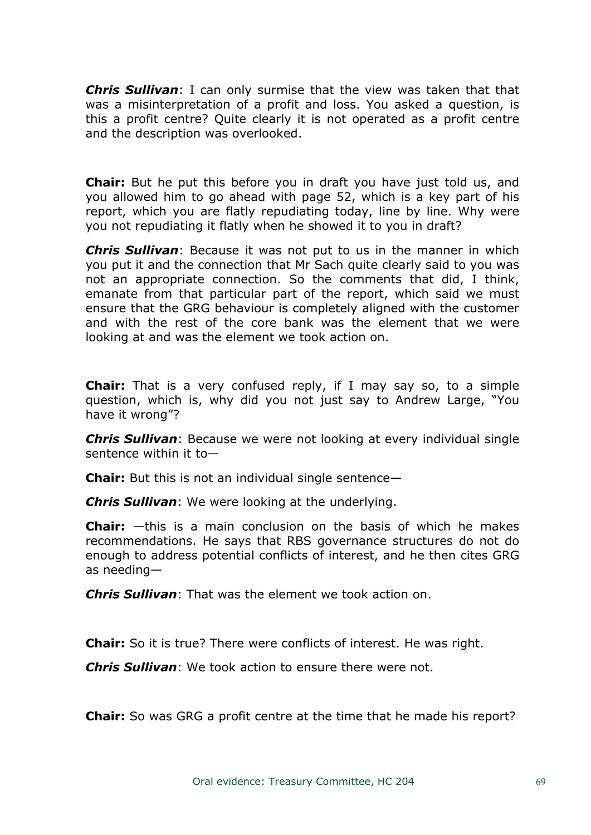*Chris Sullivan*: I can only surmise that the view was taken that that was a misinterpretation of a profit and loss. You asked a question, is this a profit centre? Quite clearly it is not operated as a profit centre and the description was overlooked.

**Chair:** But he put this before you in draft you have just told us, and you allowed him to go ahead with page 52, which is a key part of his report, which you are flatly repudiating today, line by line. Why were you not repudiating it flatly when he showed it to you in draft?

*Chris Sullivan*: Because it was not put to us in the manner in which you put it and the connection that Mr Sach quite clearly said to you was not an appropriate connection. So the comments that did, I think, emanate from that particular part of the report, which said we must ensure that the GRG behaviour is completely aligned with the customer and with the rest of the core bank was the element that we were looking at and was the element we took action on.

**Chair:** That is a very confused reply, if I may say so, to a simple question, which is, why did you not just say to Andrew Large, "You have it wrong"?

*Chris Sullivan*: Because we were not looking at every individual single sentence within it to—

**Chair:** But this is not an individual single sentence—

*Chris Sullivan*: We were looking at the underlying.

**Chair:** —this is a main conclusion on the basis of which he makes recommendations. He says that RBS governance structures do not do enough to address potential conflicts of interest, and he then cites GRG as needing—

*Chris Sullivan*: That was the element we took action on.

**Chair:** So it is true? There were conflicts of interest. He was right.

*Chris Sullivan*: We took action to ensure there were not.

**Chair:** So was GRG a profit centre at the time that he made his report?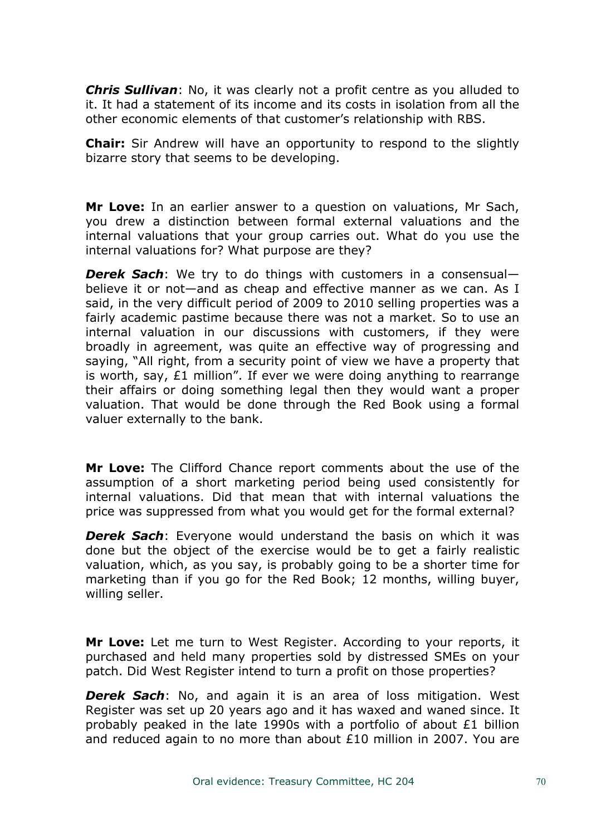*Chris Sullivan*: No, it was clearly not a profit centre as you alluded to it. It had a statement of its income and its costs in isolation from all the other economic elements of that customer's relationship with RBS.

**Chair:** Sir Andrew will have an opportunity to respond to the slightly bizarre story that seems to be developing.

**Mr Love:** In an earlier answer to a question on valuations, Mr Sach, you drew a distinction between formal external valuations and the internal valuations that your group carries out. What do you use the internal valuations for? What purpose are they?

*Derek Sach*: We try to do things with customers in a consensual believe it or not—and as cheap and effective manner as we can. As I said, in the very difficult period of 2009 to 2010 selling properties was a fairly academic pastime because there was not a market. So to use an internal valuation in our discussions with customers, if they were broadly in agreement, was quite an effective way of progressing and saying, "All right, from a security point of view we have a property that is worth, say, £1 million". If ever we were doing anything to rearrange their affairs or doing something legal then they would want a proper valuation. That would be done through the Red Book using a formal valuer externally to the bank.

**Mr Love:** The Clifford Chance report comments about the use of the assumption of a short marketing period being used consistently for internal valuations. Did that mean that with internal valuations the price was suppressed from what you would get for the formal external?

*Derek Sach*: Everyone would understand the basis on which it was done but the object of the exercise would be to get a fairly realistic valuation, which, as you say, is probably going to be a shorter time for marketing than if you go for the Red Book; 12 months, willing buyer, willing seller.

**Mr Love:** Let me turn to West Register. According to your reports, it purchased and held many properties sold by distressed SMEs on your patch. Did West Register intend to turn a profit on those properties?

*Derek Sach*: No, and again it is an area of loss mitigation. West Register was set up 20 years ago and it has waxed and waned since. It probably peaked in the late 1990s with a portfolio of about £1 billion and reduced again to no more than about £10 million in 2007. You are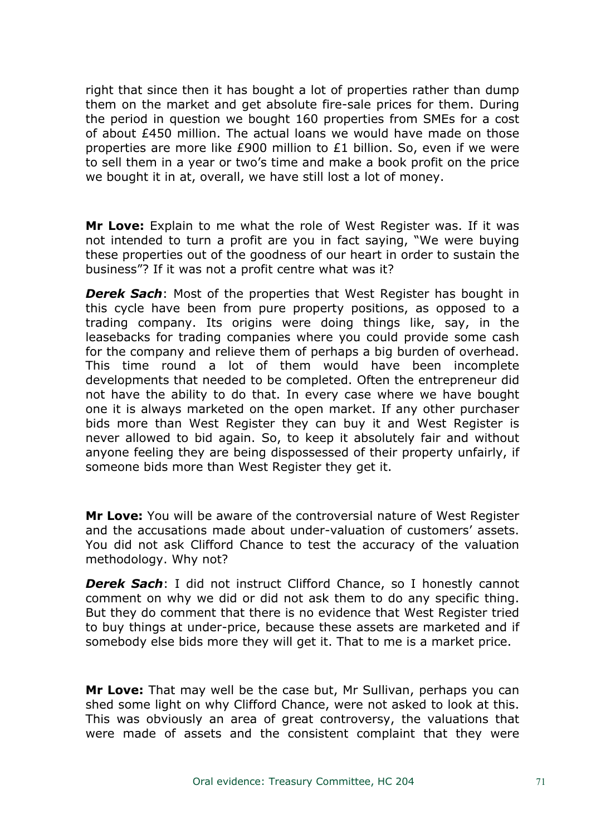right that since then it has bought a lot of properties rather than dump them on the market and get absolute fire-sale prices for them. During the period in question we bought 160 properties from SMEs for a cost of about £450 million. The actual loans we would have made on those properties are more like £900 million to £1 billion. So, even if we were to sell them in a year or two's time and make a book profit on the price we bought it in at, overall, we have still lost a lot of money.

**Mr Love:** Explain to me what the role of West Register was. If it was not intended to turn a profit are you in fact saying, "We were buying these properties out of the goodness of our heart in order to sustain the business"? If it was not a profit centre what was it?

*Derek Sach*: Most of the properties that West Register has bought in this cycle have been from pure property positions, as opposed to a trading company. Its origins were doing things like, say, in the leasebacks for trading companies where you could provide some cash for the company and relieve them of perhaps a big burden of overhead. This time round a lot of them would have been incomplete developments that needed to be completed. Often the entrepreneur did not have the ability to do that. In every case where we have bought one it is always marketed on the open market. If any other purchaser bids more than West Register they can buy it and West Register is never allowed to bid again. So, to keep it absolutely fair and without anyone feeling they are being dispossessed of their property unfairly, if someone bids more than West Register they get it.

**Mr Love:** You will be aware of the controversial nature of West Register and the accusations made about under-valuation of customers' assets. You did not ask Clifford Chance to test the accuracy of the valuation methodology. Why not?

*Derek Sach*: I did not instruct Clifford Chance, so I honestly cannot comment on why we did or did not ask them to do any specific thing. But they do comment that there is no evidence that West Register tried to buy things at under-price, because these assets are marketed and if somebody else bids more they will get it. That to me is a market price.

**Mr Love:** That may well be the case but, Mr Sullivan, perhaps you can shed some light on why Clifford Chance, were not asked to look at this. This was obviously an area of great controversy, the valuations that were made of assets and the consistent complaint that they were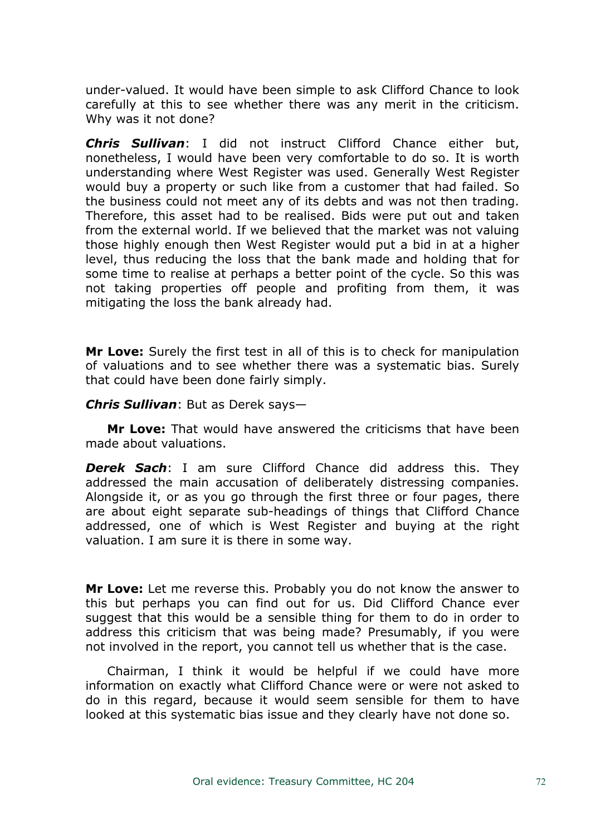under-valued. It would have been simple to ask Clifford Chance to look carefully at this to see whether there was any merit in the criticism. Why was it not done?

*Chris Sullivan*: I did not instruct Clifford Chance either but, nonetheless, I would have been very comfortable to do so. It is worth understanding where West Register was used. Generally West Register would buy a property or such like from a customer that had failed. So the business could not meet any of its debts and was not then trading. Therefore, this asset had to be realised. Bids were put out and taken from the external world. If we believed that the market was not valuing those highly enough then West Register would put a bid in at a higher level, thus reducing the loss that the bank made and holding that for some time to realise at perhaps a better point of the cycle. So this was not taking properties off people and profiting from them, it was mitigating the loss the bank already had.

**Mr Love:** Surely the first test in all of this is to check for manipulation of valuations and to see whether there was a systematic bias. Surely that could have been done fairly simply.

#### *Chris Sullivan*: But as Derek says—

**Mr Love:** That would have answered the criticisms that have been made about valuations.

*Derek Sach*: I am sure Clifford Chance did address this. They addressed the main accusation of deliberately distressing companies. Alongside it, or as you go through the first three or four pages, there are about eight separate sub-headings of things that Clifford Chance addressed, one of which is West Register and buying at the right valuation. I am sure it is there in some way.

**Mr Love:** Let me reverse this. Probably you do not know the answer to this but perhaps you can find out for us. Did Clifford Chance ever suggest that this would be a sensible thing for them to do in order to address this criticism that was being made? Presumably, if you were not involved in the report, you cannot tell us whether that is the case.

Chairman, I think it would be helpful if we could have more information on exactly what Clifford Chance were or were not asked to do in this regard, because it would seem sensible for them to have looked at this systematic bias issue and they clearly have not done so.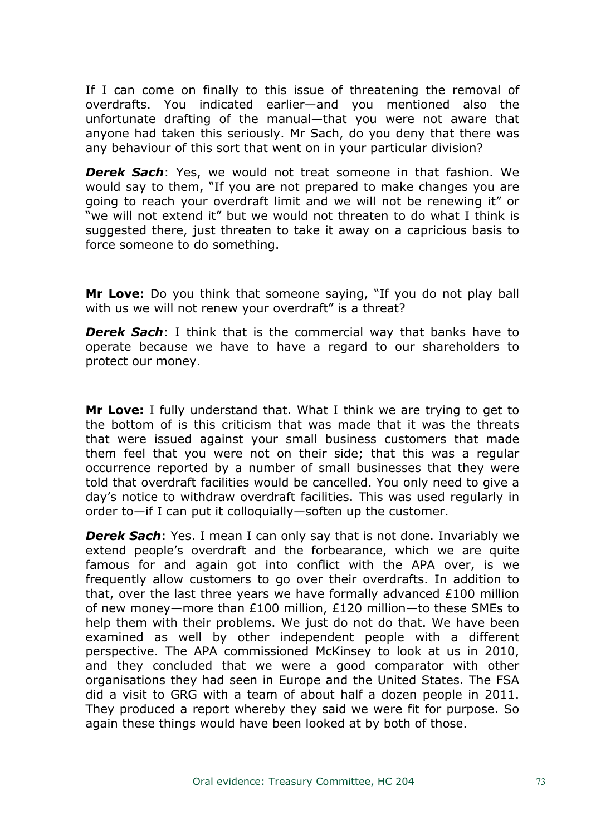If I can come on finally to this issue of threatening the removal of overdrafts. You indicated earlier—and you mentioned also the unfortunate drafting of the manual—that you were not aware that anyone had taken this seriously. Mr Sach, do you deny that there was any behaviour of this sort that went on in your particular division?

*Derek Sach*: Yes, we would not treat someone in that fashion. We would say to them, "If you are not prepared to make changes you are going to reach your overdraft limit and we will not be renewing it" or "we will not extend it" but we would not threaten to do what I think is suggested there, just threaten to take it away on a capricious basis to force someone to do something.

**Mr Love:** Do you think that someone saying, "If you do not play ball with us we will not renew your overdraft" is a threat?

*Derek Sach*: I think that is the commercial way that banks have to operate because we have to have a regard to our shareholders to protect our money.

**Mr Love:** I fully understand that. What I think we are trying to get to the bottom of is this criticism that was made that it was the threats that were issued against your small business customers that made them feel that you were not on their side; that this was a regular occurrence reported by a number of small businesses that they were told that overdraft facilities would be cancelled. You only need to give a day's notice to withdraw overdraft facilities. This was used regularly in order to—if I can put it colloquially—soften up the customer.

*Derek Sach*: Yes. I mean I can only say that is not done. Invariably we extend people's overdraft and the forbearance, which we are quite famous for and again got into conflict with the APA over, is we frequently allow customers to go over their overdrafts. In addition to that, over the last three years we have formally advanced £100 million of new money—more than £100 million, £120 million—to these SMEs to help them with their problems. We just do not do that. We have been examined as well by other independent people with a different perspective. The APA commissioned McKinsey to look at us in 2010, and they concluded that we were a good comparator with other organisations they had seen in Europe and the United States. The FSA did a visit to GRG with a team of about half a dozen people in 2011. They produced a report whereby they said we were fit for purpose. So again these things would have been looked at by both of those.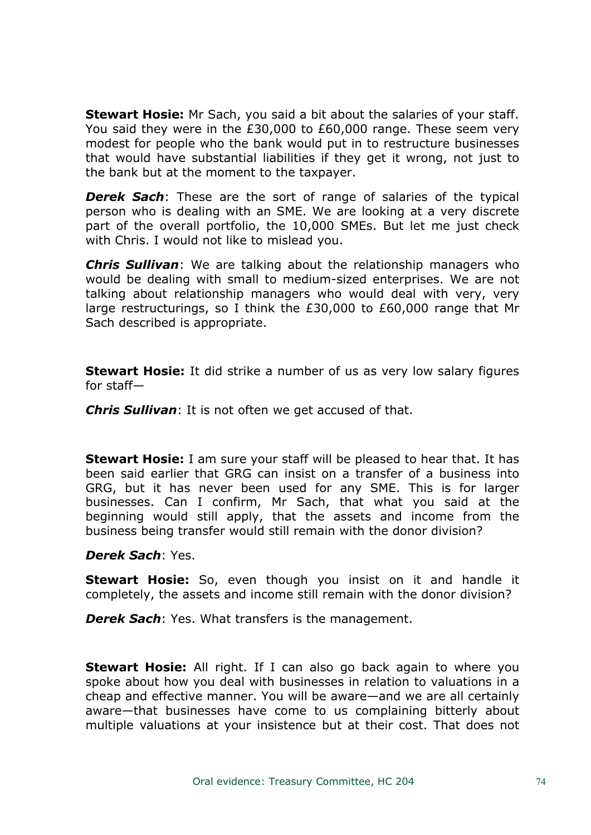**Stewart Hosie:** Mr Sach, you said a bit about the salaries of your staff. You said they were in the £30,000 to £60,000 range. These seem very modest for people who the bank would put in to restructure businesses that would have substantial liabilities if they get it wrong, not just to the bank but at the moment to the taxpayer.

*Derek Sach*: These are the sort of range of salaries of the typical person who is dealing with an SME. We are looking at a very discrete part of the overall portfolio, the 10,000 SMEs. But let me just check with Chris. I would not like to mislead you.

*Chris Sullivan*: We are talking about the relationship managers who would be dealing with small to medium-sized enterprises. We are not talking about relationship managers who would deal with very, very large restructurings, so I think the £30,000 to £60,000 range that Mr Sach described is appropriate.

**Stewart Hosie:** It did strike a number of us as very low salary figures for staff—

*Chris Sullivan*: It is not often we get accused of that.

**Stewart Hosie:** I am sure your staff will be pleased to hear that. It has been said earlier that GRG can insist on a transfer of a business into GRG, but it has never been used for any SME. This is for larger businesses. Can I confirm, Mr Sach, that what you said at the beginning would still apply, that the assets and income from the business being transfer would still remain with the donor division?

## *Derek Sach*: Yes.

**Stewart Hosie:** So, even though you insist on it and handle it completely, the assets and income still remain with the donor division?

*Derek Sach*: Yes. What transfers is the management.

**Stewart Hosie:** All right. If I can also go back again to where you spoke about how you deal with businesses in relation to valuations in a cheap and effective manner. You will be aware—and we are all certainly aware—that businesses have come to us complaining bitterly about multiple valuations at your insistence but at their cost. That does not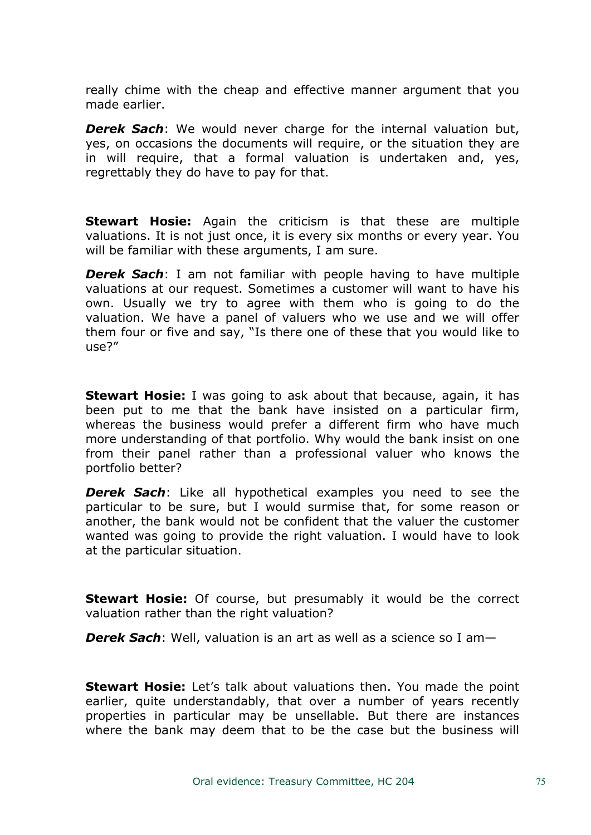really chime with the cheap and effective manner argument that you made earlier.

*Derek Sach*: We would never charge for the internal valuation but, yes, on occasions the documents will require, or the situation they are in will require, that a formal valuation is undertaken and, yes, regrettably they do have to pay for that.

**Stewart Hosie:** Again the criticism is that these are multiple valuations. It is not just once, it is every six months or every year. You will be familiar with these arguments, I am sure.

*Derek Sach*: I am not familiar with people having to have multiple valuations at our request. Sometimes a customer will want to have his own. Usually we try to agree with them who is going to do the valuation. We have a panel of valuers who we use and we will offer them four or five and say, "Is there one of these that you would like to  $IISP<sup>2</sup>$ 

**Stewart Hosie:** I was going to ask about that because, again, it has been put to me that the bank have insisted on a particular firm, whereas the business would prefer a different firm who have much more understanding of that portfolio. Why would the bank insist on one from their panel rather than a professional valuer who knows the portfolio better?

*Derek Sach*: Like all hypothetical examples you need to see the particular to be sure, but I would surmise that, for some reason or another, the bank would not be confident that the valuer the customer wanted was going to provide the right valuation. I would have to look at the particular situation.

**Stewart Hosie:** Of course, but presumably it would be the correct valuation rather than the right valuation?

*Derek Sach*: Well, valuation is an art as well as a science so I am—

**Stewart Hosie:** Let's talk about valuations then. You made the point earlier, quite understandably, that over a number of years recently properties in particular may be unsellable. But there are instances where the bank may deem that to be the case but the business will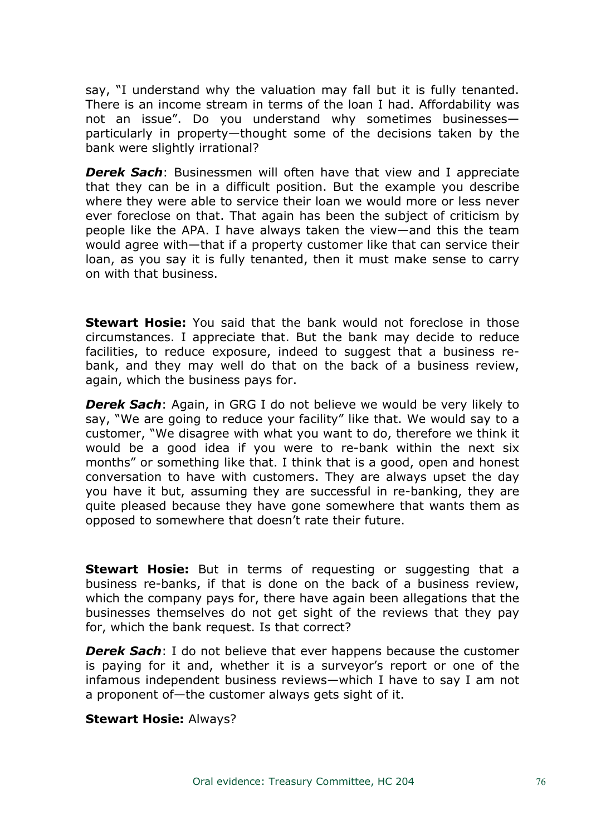say, "I understand why the valuation may fall but it is fully tenanted. There is an income stream in terms of the loan I had. Affordability was not an issue". Do you understand why sometimes businesses particularly in property—thought some of the decisions taken by the bank were slightly irrational?

*Derek Sach*: Businessmen will often have that view and I appreciate that they can be in a difficult position. But the example you describe where they were able to service their loan we would more or less never ever foreclose on that. That again has been the subject of criticism by people like the APA. I have always taken the view—and this the team would agree with—that if a property customer like that can service their loan, as you say it is fully tenanted, then it must make sense to carry on with that business.

**Stewart Hosie:** You said that the bank would not foreclose in those circumstances. I appreciate that. But the bank may decide to reduce facilities, to reduce exposure, indeed to suggest that a business rebank, and they may well do that on the back of a business review, again, which the business pays for.

*Derek Sach*: Again, in GRG I do not believe we would be very likely to say, "We are going to reduce your facility" like that. We would say to a customer, "We disagree with what you want to do, therefore we think it would be a good idea if you were to re-bank within the next six months" or something like that. I think that is a good, open and honest conversation to have with customers. They are always upset the day you have it but, assuming they are successful in re-banking, they are quite pleased because they have gone somewhere that wants them as opposed to somewhere that doesn't rate their future.

**Stewart Hosie:** But in terms of requesting or suggesting that a business re-banks, if that is done on the back of a business review, which the company pays for, there have again been allegations that the businesses themselves do not get sight of the reviews that they pay for, which the bank request. Is that correct?

*Derek Sach*: I do not believe that ever happens because the customer is paying for it and, whether it is a surveyor's report or one of the infamous independent business reviews—which I have to say I am not a proponent of—the customer always gets sight of it.

**Stewart Hosie:** Always?